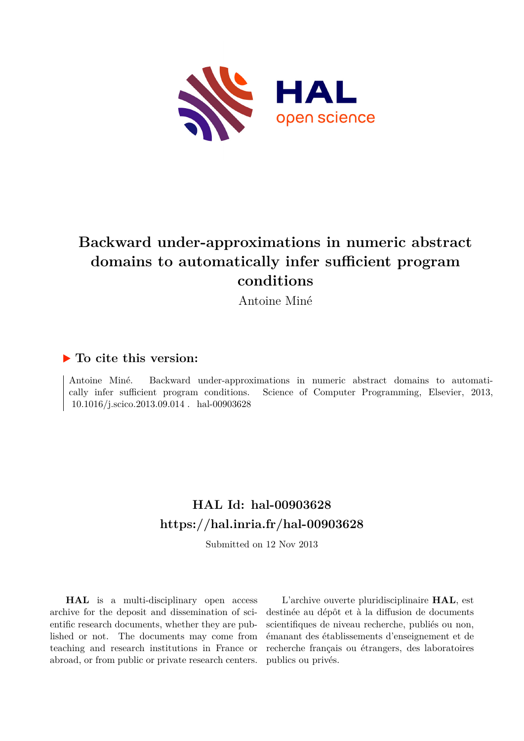

# **Backward under-approximations in numeric abstract domains to automatically infer sufficient program conditions**

Antoine Miné

## **To cite this version:**

Antoine Miné. Backward under-approximations in numeric abstract domains to automatically infer sufficient program conditions. Science of Computer Programming, Elsevier, 2013, 10.1016/j.scico.2013.09.014 hal-00903628

## **HAL Id: hal-00903628 <https://hal.inria.fr/hal-00903628>**

Submitted on 12 Nov 2013

**HAL** is a multi-disciplinary open access archive for the deposit and dissemination of scientific research documents, whether they are published or not. The documents may come from teaching and research institutions in France or abroad, or from public or private research centers.

L'archive ouverte pluridisciplinaire **HAL**, est destinée au dépôt et à la diffusion de documents scientifiques de niveau recherche, publiés ou non, émanant des établissements d'enseignement et de recherche français ou étrangers, des laboratoires publics ou privés.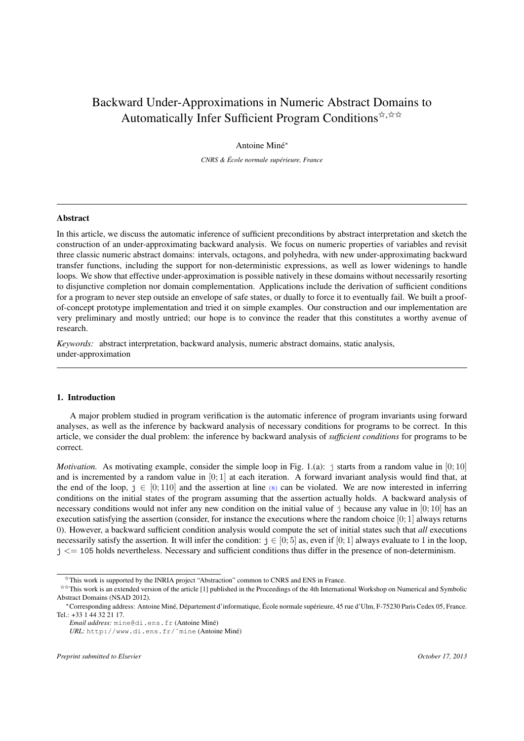## Backward Under-Approximations in Numeric Abstract Domains to Automatically Infer Sufficient Program Conditions \*\*\*\*

## Antoine Miné<sup>\*</sup>

*CNRS & Ecole normale sup ´ erieure, France ´*

## Abstract

In this article, we discuss the automatic inference of sufficient preconditions by abstract interpretation and sketch the construction of an under-approximating backward analysis. We focus on numeric properties of variables and revisit three classic numeric abstract domains: intervals, octagons, and polyhedra, with new under-approximating backward transfer functions, including the support for non-deterministic expressions, as well as lower widenings to handle loops. We show that effective under-approximation is possible natively in these domains without necessarily resorting to disjunctive completion nor domain complementation. Applications include the derivation of sufficient conditions for a program to never step outside an envelope of safe states, or dually to force it to eventually fail. We built a proofof-concept prototype implementation and tried it on simple examples. Our construction and our implementation are very preliminary and mostly untried; our hope is to convince the reader that this constitutes a worthy avenue of research.

*Keywords:* abstract interpretation, backward analysis, numeric abstract domains, static analysis, under-approximation

#### 1. Introduction

A major problem studied in program verification is the automatic inference of program invariants using forward analyses, as well as the inference by backward analysis of necessary conditions for programs to be correct. In this article, we consider the dual problem: the inference by backward analysis of *sufficient conditions* for programs to be correct.

*Motivation.* As motivating example, consider the simple loop in Fig. [1.](#page-2-0)(a):  $\frac{1}{7}$  starts from a random value in [0; 10] and is incremented by a random value in  $[0; 1]$  at each iteration. A forward invariant analysis would find that, at the end of the loop,  $j \in [0; 110]$  and the assertion at line (8) can be violated. We are now interested in inferring conditions on the initial states of the program assuming that the assertion actually holds. A backward analysis of necessary conditions would not infer any new condition on the initial value of  $\dot{\tau}$  because any value in [0; 10] has an execution satisfying the assertion (consider, for instance the executions where the random choice  $[0; 1]$  always returns 0). However, a backward sufficient condition analysis would compute the set of initial states such that *all* executions necessarily satisfy the assertion. It will infer the condition:  $j \in [0; 5]$  as, even if  $[0; 1]$  always evaluate to 1 in the loop,  $j \leq 105$  holds nevertheless. Necessary and sufficient conditions thus differ in the presence of non-determinism.

 $*$ This work is supported by the INRIA project "Abstraction" common to CNRS and ENS in France.

<sup>✩✩</sup>This work is an extended version of the article [\[1\]](#page-32-0) published in the Proceedings of the 4th International Workshop on Numerical and Symbolic Abstract Domains (NSAD 2012).

<sup>\*</sup>Corresponding address: Antoine Miné, Département d'informatique, École normale supérieure, 45 rue d'Ulm, F-75230 Paris Cedex 05, France. Tel.: +33 1 44 32 21 17.

*Email address:* mine@di.ens.fr (Antoine Mine)´

*URL:* http://www.di.ens.fr/˜mine (Antoine Mine)´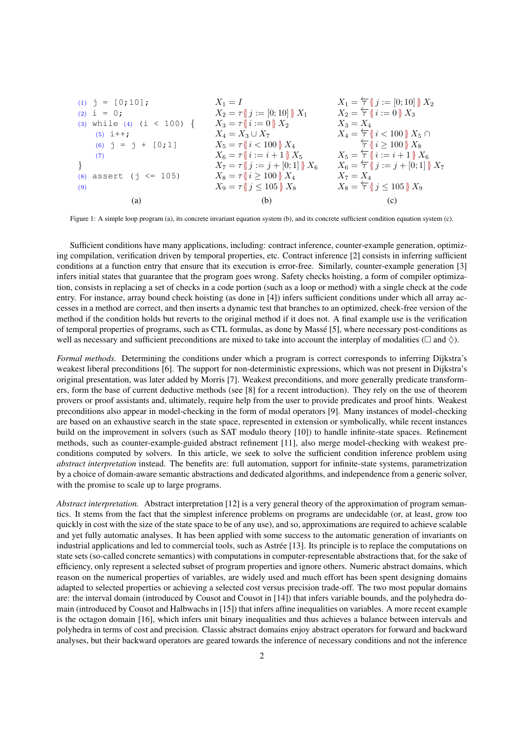| (1) $j = [0; 10];$        | $X_1 = I$                            | $X_1 = \overleftarrow{\tau} \{j := [0; 10] \mid X_2$        |
|---------------------------|--------------------------------------|-------------------------------------------------------------|
| (2) i = 0;                | $X_2 = \tau \{j := [0;10] \, \, X_1$ | $X_2 = \overleftarrow{\tau} \,   \, i := 0 \,   \, X_3$     |
| (3) while (4) (i < 100) { | $X_3 = \tau \{i := 0 \mid X_2$       | $X_3 = X_4$                                                 |
| $(5) i++;$                | $X_4 = X_3 \cup X_7$                 | $X_4 = \overleftarrow{\tau} \{i < 100 \} X_5 \cap$          |
| (6) $j = j + [0; 1]$      | $X_5 = \tau \{i < 100 \} X_4$        | $\overleftarrow{\tau}$ { $i \geq 100$ } $X_8$               |
| (7)                       | $X_6 = \tau \{i := i + 1 \} X_5$     | $X_5 = \overleftarrow{\tau} \,   \, i := i + 1 \,   \, X_6$ |
|                           | $X_7 = \tau \{j := j + [0;1] \} X_6$ | $X_6 = \overleftarrow{\tau} \{j := j + [0;1] \} X_7$        |
| (8) assert $(i \le 105)$  | $X_8 = \tau \{ i \geq 100 \} X_4$    | $X_7=X_4$                                                   |
| (9)                       | $X_9 = \tau \{j \leq 105 \} X_8$     | $X_8 = \overleftarrow{\tau} \{j \leq 105 \} X_9$            |
| (a)                       | (b)                                  |                                                             |

<span id="page-2-0"></span>Figure 1: A simple loop program (a), its concrete invariant equation system (b), and its concrete sufficient condition equation system (c).

Sufficient conditions have many applications, including: contract inference, counter-example generation, optimizing compilation, verification driven by temporal properties, etc. Contract inference [\[2\]](#page-32-1) consists in inferring sufficient conditions at a function entry that ensure that its execution is error-free. Similarly, counter-example generation [\[3\]](#page-32-2) infers initial states that guarantee that the program goes wrong. Safety checks hoisting, a form of compiler optimization, consists in replacing a set of checks in a code portion (such as a loop or method) with a single check at the code entry. For instance, array bound check hoisting (as done in [\[4\]](#page-32-3)) infers sufficient conditions under which all array accesses in a method are correct, and then inserts a dynamic test that branches to an optimized, check-free version of the method if the condition holds but reverts to the original method if it does not. A final example use is the verification of temporal properties of programs, such as CTL formulas, as done by Masse [\[5\]](#page-32-4), where necessary post-conditions as ´ well as necessary and sufficient preconditions are mixed to take into account the interplay of modalities ( $\Box$  and  $\Diamond$ ).

*Formal methods.* Determining the conditions under which a program is correct corresponds to inferring Dijkstra's weakest liberal preconditions [\[6\]](#page-32-5). The support for non-deterministic expressions, which was not present in Dijkstra's original presentation, was later added by Morris [\[7\]](#page-32-6). Weakest preconditions, and more generally predicate transformers, form the base of current deductive methods (see [\[8\]](#page-32-7) for a recent introduction). They rely on the use of theorem provers or proof assistants and, ultimately, require help from the user to provide predicates and proof hints. Weakest preconditions also appear in model-checking in the form of modal operators [\[9\]](#page-32-8). Many instances of model-checking are based on an exhaustive search in the state space, represented in extension or symbolically, while recent instances build on the improvement in solvers (such as SAT modulo theory [\[10\]](#page-32-9)) to handle infinite-state spaces. Refinement methods, such as counter-example-guided abstract refinement [\[11\]](#page-32-10), also merge model-checking with weakest preconditions computed by solvers. In this article, we seek to solve the sufficient condition inference problem using *abstract interpretation* instead. The benefits are: full automation, support for infinite-state systems, parametrization by a choice of domain-aware semantic abstractions and dedicated algorithms, and independence from a generic solver, with the promise to scale up to large programs.

*Abstract interpretation.* Abstract interpretation [\[12\]](#page-32-11) is a very general theory of the approximation of program semantics. It stems from the fact that the simplest inference problems on programs are undecidable (or, at least, grow too quickly in cost with the size of the state space to be of any use), and so, approximations are required to achieve scalable and yet fully automatic analyses. It has been applied with some success to the automatic generation of invariants on industrial applications and led to commercial tools, such as Astree [\[13\]](#page-32-12). Its principle is to replace the computations on ´ state sets (so-called concrete semantics) with computations in computer-representable abstractions that, for the sake of efficiency, only represent a selected subset of program properties and ignore others. Numeric abstract domains, which reason on the numerical properties of variables, are widely used and much effort has been spent designing domains adapted to selected properties or achieving a selected cost versus precision trade-off. The two most popular domains are: the interval domain (introduced by Cousot and Cousot in [\[14\]](#page-32-13)) that infers variable bounds, and the polyhedra domain (introduced by Cousot and Halbwachs in [\[15\]](#page-32-14)) that infers affine inequalities on variables. A more recent example is the octagon domain [\[16\]](#page-33-0), which infers unit binary inequalities and thus achieves a balance between intervals and polyhedra in terms of cost and precision. Classic abstract domains enjoy abstract operators for forward and backward analyses, but their backward operators are geared towards the inference of necessary conditions and not the inference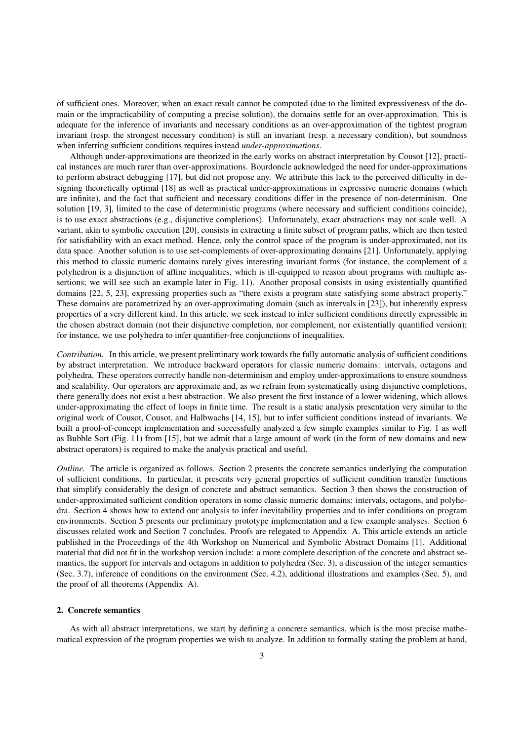of sufficient ones. Moreover, when an exact result cannot be computed (due to the limited expressiveness of the domain or the impracticability of computing a precise solution), the domains settle for an over-approximation. This is adequate for the inference of invariants and necessary conditions as an over-approximation of the tightest program invariant (resp. the strongest necessary condition) is still an invariant (resp. a necessary condition), but soundness when inferring sufficient conditions requires instead *under-approximations*.

Although under-approximations are theorized in the early works on abstract interpretation by Cousot [\[12\]](#page-32-11), practical instances are much rarer than over-approximations. Bourdoncle acknowledged the need for under-approximations to perform abstract debugging [\[17\]](#page-33-1), but did not propose any. We attribute this lack to the perceived difficulty in designing theoretically optimal [\[18\]](#page-33-2) as well as practical under-approximations in expressive numeric domains (which are infinite), and the fact that sufficient and necessary conditions differ in the presence of non-determinism. One solution [\[19,](#page-33-3) [3\]](#page-32-2), limited to the case of deterministic programs (where necessary and sufficient conditions coincide), is to use exact abstractions (e.g., disjunctive completions). Unfortunately, exact abstractions may not scale well. A variant, akin to symbolic execution [\[20\]](#page-33-4), consists in extracting a finite subset of program paths, which are then tested for satisfiability with an exact method. Hence, only the control space of the program is under-approximated, not its data space. Another solution is to use set-complements of over-approximating domains [\[21\]](#page-33-5). Unfortunately, applying this method to classic numeric domains rarely gives interesting invariant forms (for instance, the complement of a polyhedron is a disjunction of affine inequalities, which is ill-equipped to reason about programs with multiple assertions; we will see such an example later in Fig. [11\)](#page-24-0). Another proposal consists in using existentially quantified domains [\[22,](#page-33-6) [5,](#page-32-4) [23\]](#page-33-7), expressing properties such as "there exists a program state satisfying some abstract property." These domains are parametrized by an over-approximating domain (such as intervals in [\[23\]](#page-33-7)), but inherently express properties of a very different kind. In this article, we seek instead to infer sufficient conditions directly expressible in the chosen abstract domain (not their disjunctive completion, nor complement, nor existentially quantified version); for instance, we use polyhedra to infer quantifier-free conjunctions of inequalities.

*Contribution.* In this article, we present preliminary work towards the fully automatic analysis of sufficient conditions by abstract interpretation. We introduce backward operators for classic numeric domains: intervals, octagons and polyhedra. These operators correctly handle non-determinism and employ under-approximations to ensure soundness and scalability. Our operators are approximate and, as we refrain from systematically using disjunctive completions, there generally does not exist a best abstraction. We also present the first instance of a lower widening, which allows under-approximating the effect of loops in finite time. The result is a static analysis presentation very similar to the original work of Cousot, Cousot, and Halbwachs [\[14,](#page-32-13) [15\]](#page-32-14), but to infer sufficient conditions instead of invariants. We built a proof-of-concept implementation and successfully analyzed a few simple examples similar to Fig. [1](#page-2-0) as well as Bubble Sort (Fig. [11\)](#page-24-0) from [\[15\]](#page-32-14), but we admit that a large amount of work (in the form of new domains and new abstract operators) is required to make the analysis practical and useful.

*Outline.* The article is organized as follows. Section [2](#page-3-0) presents the concrete semantics underlying the computation of sufficient conditions. In particular, it presents very general properties of sufficient condition transfer functions that simplify considerably the design of concrete and abstract semantics. Section [3](#page-9-0) then shows the construction of under-approximated sufficient condition operators in some classic numeric domains: intervals, octagons, and polyhedra. Section [4](#page-21-0) shows how to extend our analysis to infer inevitability properties and to infer conditions on program environments. Section [5](#page-22-0) presents our preliminary prototype implementation and a few example analyses. Section [6](#page-24-1) discusses related work and Section [7](#page-25-0) concludes. Proofs are relegated to [Appendix A.](#page-25-1) This article extends an article published in the Proceedings of the 4th Workshop on Numerical and Symbolic Abstract Domains [\[1\]](#page-32-0). Additional material that did not fit in the workshop version include: a more complete description of the concrete and abstract semantics, the support for intervals and octagons in addition to polyhedra (Sec. [3\)](#page-9-0), a discussion of the integer semantics (Sec. [3.7\)](#page-19-0), inference of conditions on the environment (Sec. [4.2\)](#page-22-1), additional illustrations and examples (Sec. [5\)](#page-22-0), and the proof of all theorems [\(Appendix A\)](#page-25-1).

## <span id="page-3-0"></span>2. Concrete semantics

As with all abstract interpretations, we start by defining a concrete semantics, which is the most precise mathematical expression of the program properties we wish to analyze. In addition to formally stating the problem at hand,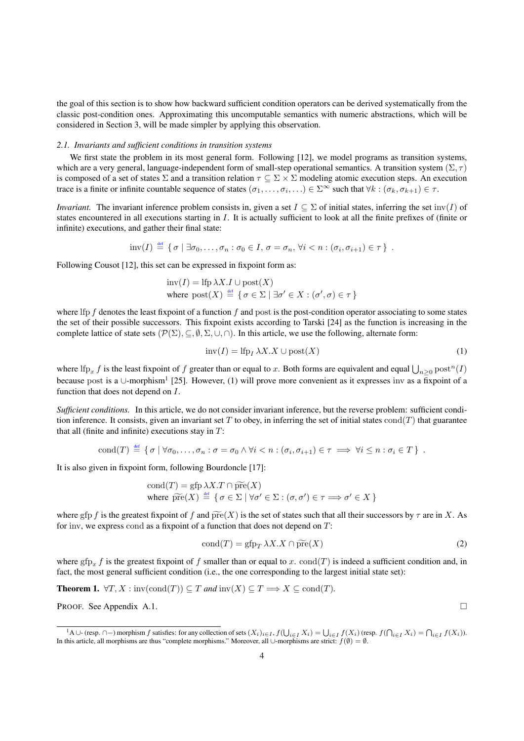the goal of this section is to show how backward sufficient condition operators can be derived systematically from the classic post-condition ones. Approximating this uncomputable semantics with numeric abstractions, which will be considered in Section [3,](#page-9-0) will be made simpler by applying this observation.

#### <span id="page-4-2"></span>*2.1. Invariants and sufficient conditions in transition systems*

We first state the problem in its most general form. Following [\[12\]](#page-32-11), we model programs as transition systems, which are a very general, language-independent form of small-step operational semantics. A transition system  $(\Sigma, \tau)$ is composed of a set of states  $\Sigma$  and a transition relation  $\tau \subseteq \Sigma \times \Sigma$  modeling atomic execution steps. An execution trace is a finite or infinite countable sequence of states  $(\sigma_1,\ldots,\sigma_i,\ldots) \in \Sigma^{\infty}$  such that  $\forall k : (\sigma_k, \sigma_{k+1}) \in \tau$ .

*Invariant.* The invariant inference problem consists in, given a set  $I \subseteq \Sigma$  of initial states, inferring the set  $inv(I)$  of states encountered in all executions starting in I. It is actually sufficient to look at all the finite prefixes of (finite or infinite) executions, and gather their final state:

$$
inv(I) \stackrel{\text{def}}{=} \{ \sigma \mid \exists \sigma_0, \ldots, \sigma_n : \sigma_0 \in I, \sigma = \sigma_n, \forall i < n : (\sigma_i, \sigma_{i+1}) \in \tau \} .
$$

Following Cousot [\[12\]](#page-32-11), this set can be expressed in fixpoint form as:

$$
inv(I) = \text{Ifp } \lambda X. I \cup post(X)
$$
  
where  $post(X) \stackrel{\text{def}}{=} \{ \sigma \in \Sigma \mid \exists \sigma' \in X : (\sigma', \sigma) \in \tau \}$ 

where lfp  $f$  denotes the least fixpoint of a function  $f$  and post is the post-condition operator associating to some states the set of their possible successors. This fixpoint exists according to Tarski [\[24\]](#page-33-8) as the function is increasing in the complete lattice of state sets  $(\mathcal{P}(\Sigma), \subseteq, \emptyset, \Sigma, \cup, \cap)$ . In this article, we use the following, alternate form:

<span id="page-4-1"></span>
$$
inv(I) = \text{lfp}_I \lambda X. X \cup post(X)
$$
 (1)

where lfp<sub>x</sub> f is the least fixpoint of f greater than or equal to x. Both forms are equivalent and equal  $\bigcup_{n\geq 0}$  post<sup>n</sup>(I) because post is a ∪-morphism<sup>[1](#page-4-0)</sup> [\[25\]](#page-33-9). However, [\(1\)](#page-4-1) will prove more convenient as it expresses inv as a fixpoint of a function that does not depend on I.

*Sufficient conditions.* In this article, we do not consider invariant inference, but the reverse problem: sufficient condition inference. It consists, given an invariant set T to obey, in inferring the set of initial states  $cond(T)$  that guarantee that all (finite and infinite) executions stay in  $T$ :

$$
\text{cond}(T) \stackrel{\text{def}}{=} \{ \sigma \mid \forall \sigma_0, \ldots, \sigma_n : \sigma = \sigma_0 \land \forall i < n : (\sigma_i, \sigma_{i+1}) \in \tau \implies \forall i \leq n : \sigma_i \in T \} .
$$

It is also given in fixpoint form, following Bourdoncle [\[17\]](#page-33-1):

$$
\operatorname{cond}(T) = \operatorname{gfp} \lambda X. T \cap \widetilde{\operatorname{pre}}(X)
$$
  
where  $\widetilde{\operatorname{pre}}(X) \stackrel{\text{def}}{=} \{ \sigma \in \Sigma \mid \forall \sigma' \in \Sigma : (\sigma, \sigma') \in \tau \Longrightarrow \sigma' \in X \}$ 

where gfp f is the greatest fixpoint of f and  $\widetilde{pre}(X)$  is the set of states such that all their successors by  $\tau$  are in X. As for inv, we express cond as a fixpoint of a function that does not depend on  $T$ :

$$
cond(T) = gfp_T \lambda X.X \cap \widetilde{pre}(X)
$$
\n(2)

where  $gfp_x f$  is the greatest fixpoint of f smaller than or equal to x. cond(T) is indeed a sufficient condition and, in fact, the most general sufficient condition (i.e., the one corresponding to the largest initial state set):

**Theorem 1.**  $\forall T, X : \text{inv}(\text{cond}(T)) \subseteq T$  *and*  $\text{inv}(X) \subseteq T \implies X \subseteq \text{cond}(T)$ *.* 

PROOF. See [Appendix A.1.](#page-25-2)

<span id="page-4-3"></span>

<span id="page-4-0"></span><sup>&</sup>lt;sup>1</sup>A∪- (resp. ∩–) morphism f satisfies: for any collection of sets  $(X_i)_{i \in I}$ ,  $f(\bigcup_{i \in I} X_i) = \bigcup_{i \in I} f(X_i)$  (resp.  $f(\bigcap_{i \in I} X_i) = \bigcap_{i \in I} f(X_i)$ ). In this article, all morphisms are thus "complete morphisms." Moreover, all ∪-morphisms are strict:  $f(\emptyset) = \emptyset$ .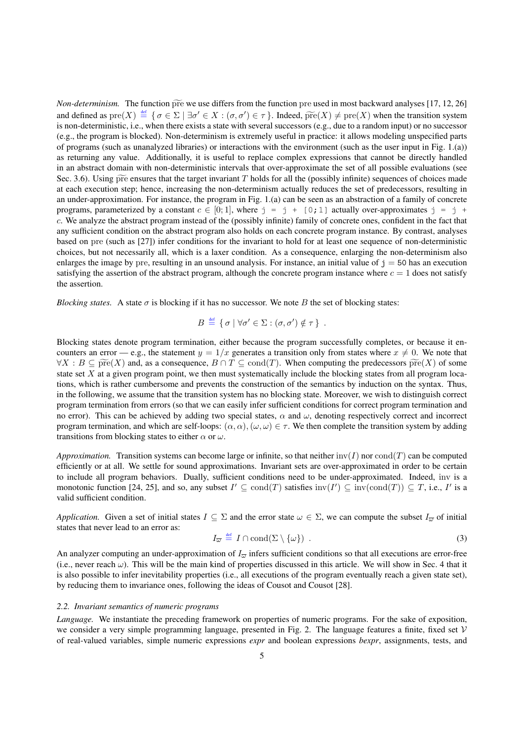*Non-determinism.* The function pre we use differs from the function pre used in most backward analyses [\[17,](#page-33-1) [12,](#page-32-11) [26\]](#page-33-10) and defined as  $pre(X) \stackrel{\text{def}}{=} \{ \sigma \in \Sigma \mid \exists \sigma' \in X : (\sigma, \sigma') \in \tau \}$ . Indeed,  $pre(X) \neq pre(X)$  when the transition system is non-deterministic, i.e., when there exists a state with several successors (e.g., due to a random input) or no successor (e.g., the program is blocked). Non-determinism is extremely useful in practice: it allows modeling unspecified parts of programs (such as unanalyzed libraries) or interactions with the environment (such as the user input in Fig. [1.](#page-2-0)(a)) as returning any value. Additionally, it is useful to replace complex expressions that cannot be directly handled in an abstract domain with non-deterministic intervals that over-approximate the set of all possible evaluations (see Sec. [3.6\)](#page-18-0). Using  $\widetilde{pre}$  ensures that the target invariant T holds for all the (possibly infinite) sequences of choices made at each execution step; hence, increasing the non-determinism actually reduces the set of predecessors, resulting in an under-approximation. For instance, the program in Fig. [1.](#page-2-0)(a) can be seen as an abstraction of a family of concrete programs, parameterized by a constant  $c \in [0; 1]$ , where  $j = j + [0; 1]$  actually over-approximates  $j = j +$ c. We analyze the abstract program instead of the (possibly infinite) family of concrete ones, confident in the fact that any sufficient condition on the abstract program also holds on each concrete program instance. By contrast, analyses based on pre (such as [\[27\]](#page-33-11)) infer conditions for the invariant to hold for at least one sequence of non-deterministic choices, but not necessarily all, which is a laxer condition. As a consequence, enlarging the non-determinism also enlarges the image by pre, resulting in an unsound analysis. For instance, an initial value of  $j = 50$  has an execution satisfying the assertion of the abstract program, although the concrete program instance where  $c = 1$  does not satisfy the assertion.

*Blocking states.* A state  $\sigma$  is blocking if it has no successor. We note B the set of blocking states:

$$
B \stackrel{\text{def}}{=} \{ \sigma \mid \forall \sigma' \in \Sigma : (\sigma, \sigma') \notin \tau \} .
$$

Blocking states denote program termination, either because the program successfully completes, or because it encounters an error — e.g., the statement  $y = 1/x$  generates a transition only from states where  $x \neq 0$ . We note that  $\forall X : B \subseteq \widetilde{pre}(X)$  and, as a consequence,  $B \cap T \subseteq \text{cond}(T)$ . When computing the predecessors  $\widetilde{pre}(X)$  of some state set X at a given program point, we then must systematically include the blocking states from all program locations, which is rather cumbersome and prevents the construction of the semantics by induction on the syntax. Thus, in the following, we assume that the transition system has no blocking state. Moreover, we wish to distinguish correct program termination from errors (so that we can easily infer sufficient conditions for correct program termination and no error). This can be achieved by adding two special states,  $\alpha$  and  $\omega$ , denoting respectively correct and incorrect program termination, and which are self-loops:  $(\alpha, \alpha)$ ,  $(\omega, \omega) \in \tau$ . We then complete the transition system by adding transitions from blocking states to either  $\alpha$  or  $\omega$ .

*Approximation.* Transition systems can become large or infinite, so that neither  $inv(I)$  nor  $cond(T)$  can be computed efficiently or at all. We settle for sound approximations. Invariant sets are over-approximated in order to be certain to include all program behaviors. Dually, sufficient conditions need to be under-approximated. Indeed, inv is a monotonic function [\[24,](#page-33-8) [25\]](#page-33-9), and so, any subset  $I' \subseteq \text{cond}(T)$  satisfies  $\text{inv}(I') \subseteq \text{inv}(\text{cond}(T)) \subseteq T$ , i.e., I' is a valid sufficient condition.

*Application.* Given a set of initial states  $I \subseteq \Sigma$  and the error state  $\omega \in \Sigma$ , we can compute the subset  $I_{\overline{\omega}}$  of initial states that never lead to an error as:

<span id="page-5-1"></span>
$$
I_{\overline{\omega}} \stackrel{\text{def}}{=} I \cap \text{cond}(\Sigma \setminus \{\omega\}) \tag{3}
$$

An analyzer computing an under-approximation of  $I_{\overline{\omega}}$  infers sufficient conditions so that all executions are error-free (i.e., never reach  $\omega$ ). This will be the main kind of properties discussed in this article. We will show in Sec. [4](#page-21-0) that it is also possible to infer inevitability properties (i.e., all executions of the program eventually reach a given state set), by reducing them to invariance ones, following the ideas of Cousot and Cousot [\[28\]](#page-33-12).

#### <span id="page-5-0"></span>*2.2. Invariant semantics of numeric programs*

*Language.* We instantiate the preceding framework on properties of numeric programs. For the sake of exposition, we consider a very simple programming language, presented in Fig. [2.](#page-6-0) The language features a finite, fixed set  $V$ of real-valued variables, simple numeric expressions *expr* and boolean expressions *bexpr*, assignments, tests, and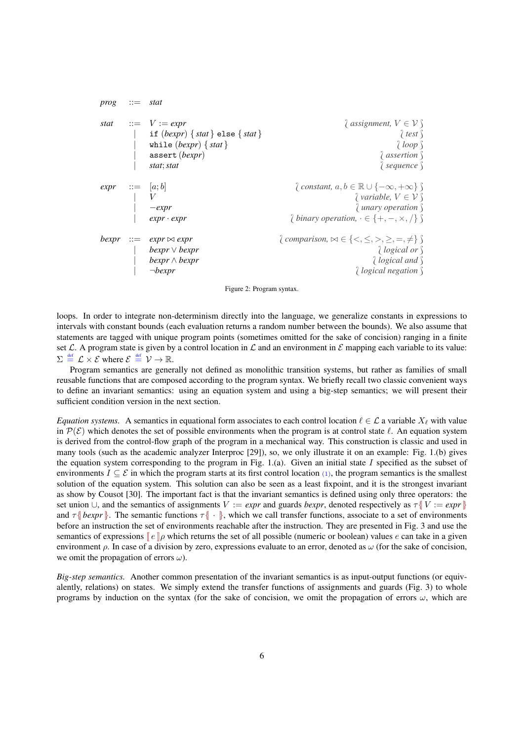*prog* ::= *stat stat* ::= V := *expr* H *assignment,* V ∈ V I  $if (bexpr) { stat} els = {stat}$  $while (bexpr) {stat}$  $\text{assert}(bexpr)$  $\mathcal{S}$ **stat**; stat  $\mathit{expr}$  ::=  $[a;b]$   $\{costant, a, b \in \mathbb{R} \cup \{-\infty, +\infty\}\}$  $\begin{aligned} \begin{cases} V \end{cases} \quad V \in V \end{aligned}$ | −*expr* H *unary operation* I  $\{ \text{expr} \cdot \text{expr} \}$   $\{ \text{binary operation}, \cdot \in \{+, -, \times, / \} \}$ *bexpr* ::= *expr*  $\bowtie$  *expr*<br> *expr*  $\bowtie$  *expr*<br> *bexpr*  $\bowtie$  *expr*<br> *expr*  $\bowtie$  *bexpr*<br> *expr*  $\bowtie$  *bexpr*<br> *expr*  $\bowtie$  *bexpr*<br> *expr*  $\bowtie$  *logical and*  $\complement$ | *bexpr* ∨ *bexpr* H *logical or* I | *bexpr* ∧ *bexpr* H *logical and* I |  $\neg$ *bexpr*  $\{ \logical \ negation$ 

<span id="page-6-0"></span>Figure 2: Program syntax.

loops. In order to integrate non-determinism directly into the language, we generalize constants in expressions to intervals with constant bounds (each evaluation returns a random number between the bounds). We also assume that statements are tagged with unique program points (sometimes omitted for the sake of concision) ranging in a finite set  $\mathcal L$ . A program state is given by a control location in  $\mathcal L$  and an environment in  $\mathcal E$  mapping each variable to its value:  $\Sigma \stackrel{\text{def}}{=} \mathcal{L} \times \mathcal{E}$  where  $\mathcal{E} \stackrel{\text{def}}{=} \mathcal{V} \rightarrow \mathbb{R}$ .

Program semantics are generally not defined as monolithic transition systems, but rather as families of small reusable functions that are composed according to the program syntax. We briefly recall two classic convenient ways to define an invariant semantics: using an equation system and using a big-step semantics; we will present their sufficient condition version in the next section.

*Equation systems.* A semantics in equational form associates to each control location  $\ell \in \mathcal{L}$  a variable  $X_{\ell}$  with value in  $\mathcal{P}(\mathcal{E})$  which denotes the set of possible environments when the program is at control state  $\ell$ . An equation system is derived from the control-flow graph of the program in a mechanical way. This construction is classic and used in many tools (such as the academic analyzer Interproc [\[29\]](#page-33-13)), so, we only illustrate it on an example: Fig. [1.](#page-2-0)(b) gives the equation system corresponding to the program in Fig. [1.](#page-2-0)(a). Given an initial state I specified as the subset of environments  $I \subseteq \mathcal{E}$  in which the program starts at its first control location (1), the program semantics is the smallest solution of the equation system. This solution can also be seen as a least fixpoint, and it is the strongest invariant as show by Cousot [\[30\]](#page-33-14). The important fact is that the invariant semantics is defined using only three operators: the set union ∪, and the semantics of assignments  $V := expr$  and guards *bexpr*, denoted respectively as  $\tau \{V := expr\}$ and  $\tau$  | *bexpr* |}. The semantic functions  $\tau$  || · ||, which we call transfer functions, associate to a set of environments before an instruction the set of environments reachable after the instruction. They are presented in Fig. [3](#page-7-0) and use the semantics of expressions  $\lceil e \rceil$  which returns the set of all possible (numeric or boolean) values e can take in a given environment  $\rho$ . In case of a division by zero, expressions evaluate to an error, denoted as  $\omega$  (for the sake of concision, we omit the propagation of errors  $\omega$ ).

*Big-step semantics.* Another common presentation of the invariant semantics is as input-output functions (or equivalently, relations) on states. We simply extend the transfer functions of assignments and guards (Fig. [3\)](#page-7-0) to whole programs by induction on the syntax (for the sake of concision, we omit the propagation of errors  $\omega$ , which are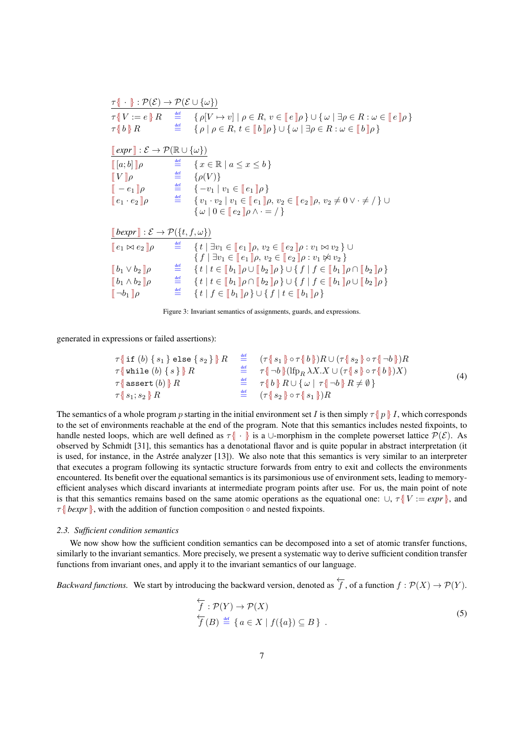| $\tau\{\!\!\{\cdot\mid\}:\mathcal{P}(\mathcal{E})\to\mathcal{P}(\mathcal{E}\cup\{\omega\})$ |                               |                                                                                                                                                                                                    |
|---------------------------------------------------------------------------------------------|-------------------------------|----------------------------------------------------------------------------------------------------------------------------------------------------------------------------------------------------|
|                                                                                             |                               | $\tau \{ \mid V := e \mid R \mid \stackrel{\text{def}}{=} \{ \rho[V \mapsto v] \mid \rho \in R, v \in [\![ e ]\!] \rho \} \cup \{ \omega \mid \exists \rho \in R : \omega \in [\![ e ]\!] \rho \}$ |
| $\tau\{\!\mid b\!\mid\!R$                                                                   | $\frac{\text{def}}{\sqrt{2}}$ | $\{\rho \mid \rho \in R, t \in \llbracket b \rrbracket \rho \} \cup \{\omega \mid \exists \rho \in R : \omega \in \llbracket b \rrbracket \rho \}$                                                 |
| $[expr]: \mathcal{E} \rightarrow \mathcal{P}(\mathbb{R} \cup {\omega})$                     |                               |                                                                                                                                                                                                    |
| $\llbracket [a;b] \rrbracket \rho$                                                          | $\equiv$                      | $\{x \in \mathbb{R} \mid a \leq x \leq b\}$                                                                                                                                                        |
| $\llbracket V \rrbracket \rho$                                                              | $\frac{def}{ }$               | $\{\rho(V)\}\$                                                                                                                                                                                     |
| $\llbracket -e_1 \rrbracket \rho$                                                           |                               | $\stackrel{\text{def}}{=} \{ -v_1 \mid v_1 \in \llbracket e_1 \rrbracket \rho \}$                                                                                                                  |
| $\llbracket e_1 \cdot e_2 \rrbracket \rho$                                                  | $\frac{\text{def}}{\equiv}$   | $\{v_1\cdot v_2 \mid v_1 \in \mathbb{F}e_1\mathbb{R}\rho, v_2 \in \mathbb{F}e_2\mathbb{R}\rho, v_2 \neq 0 \vee \cdot \neq \emptyset\} \cup$                                                        |
|                                                                                             |                               | $\{\omega \mid 0 \in \llbracket e_2 \rrbracket \rho \wedge \cdot \cdot \cdot \cdot / \}$                                                                                                           |
| $[[\text{bexpr}]] : \mathcal{E} \rightarrow \mathcal{P}(\lbrace t, f, \omega \rbrace)$      |                               |                                                                                                                                                                                                    |
| $[\![ e_1 \Join e_2 ]\!] \rho$                                                              |                               | $\stackrel{\text{def}}{=} \{ t \mid \exists v_1 \in \llbracket e_1 \rrbracket \rho, v_2 \in \llbracket e_2 \rrbracket \rho : v_1 \bowtie v_2 \} \cup$                                              |
|                                                                                             |                               | $\{f \mid \exists v_1 \in \llbracket e_1 \rrbracket \rho, v_2 \in \llbracket e_2 \rrbracket \rho : v_1 \not\bowtie v_2 \}$                                                                         |
| $\llbracket b_1 \vee b_2 \rrbracket \rho$                                                   | $\stackrel{\text{def}}{=}$    | $\{t \mid t \in \llbracket b_1 \rrbracket \rho \cup \llbracket b_2 \rrbracket \rho \} \cup \{f \mid f \in \llbracket b_1 \rrbracket \rho \cap \llbracket b_2 \rrbracket \rho\}$                    |
| $\llbracket b_1 \wedge b_2 \rrbracket \rho$                                                 | $\frac{def}{ }$               | $\{t \mid t \in \llbracket b_1 \rrbracket \rho \cap \llbracket b_2 \rrbracket \rho\} \cup \{f \mid f \in \llbracket b_1 \rrbracket \rho \cup \llbracket b_2 \rrbracket \rho\}$                     |
| $[\neg b_1] \rho$                                                                           | $\equiv$                      | $\{t \mid f \in \llbracket b_1 \rrbracket \rho \} \cup \{f \mid t \in \llbracket b_1 \rrbracket \rho \}$                                                                                           |

<span id="page-7-0"></span>Figure 3: Invariant semantics of assignments, guards, and expressions.

generated in expressions or failed assertions):

<span id="page-7-2"></span>
$$
\tau \{\text{if } (b) \{s_1\} \text{ else } \{s_2\} \} R \qquad \overset{\text{def}}{=} \qquad (\tau \{s_1 \} \circ \tau \{b\}) R \cup (\tau \{s_2 \} \circ \tau \{ \neg b\}) R
$$
\n
$$
\tau \{\text{while } (b) \{s\} \} R \qquad \overset{\text{def}}{=} \qquad \tau \{\neg b \} (\text{If}_{PR} \lambda X. X \cup (\tau \{s\} \circ \tau \{b\}) X)
$$
\n
$$
\tau \{\text{assert } (b) \} R \qquad \overset{\text{def}}{=} \qquad \tau \{b\} R \cup \{\omega \} \tau \{\neg b \} R \neq \emptyset \}
$$
\n
$$
\tau \{s_1; s_2 \} R \qquad \overset{\text{def}}{=} \qquad (\tau \{s_2 \} \circ \tau \{s_1 \}) R \qquad \qquad (4)
$$

The semantics of a whole program p starting in the initial environment set I is then simply  $\tau \, \| p \, \| I$ , which corresponds to the set of environments reachable at the end of the program. Note that this semantics includes nested fixpoints, to handle nested loops, which are well defined as  $\tau$  | · | is a ∪-morphism in the complete powerset lattice  $\mathcal{P}(\mathcal{E})$ . As observed by Schmidt [\[31\]](#page-33-15), this semantics has a denotational flavor and is quite popular in abstract interpretation (it is used, for instance, in the Astrée analyzer  $[13]$ ). We also note that this semantics is very similar to an interpreter that executes a program following its syntactic structure forwards from entry to exit and collects the environments encountered. Its benefit over the equational semantics is its parsimonious use of environment sets, leading to memoryefficient analyses which discard invariants at intermediate program points after use. For us, the main point of note is that this semantics remains based on the same atomic operations as the equational one:  $\cup$ ,  $\tau$ { $V := exp r$ }, and τ{| *bexpr*|}, with the addition of function composition ◦ and nested fixpoints.

#### *2.3. Sufficient condition semantics*

We now show how the sufficient condition semantics can be decomposed into a set of atomic transfer functions, similarly to the invariant semantics. More precisely, we present a systematic way to derive sufficient condition transfer functions from invariant ones, and apply it to the invariant semantics of our language.

*Backward functions.* We start by introducing the backward version, denoted as  $\overleftarrow{f}$ , of a function  $f : \mathcal{P}(X) \to \mathcal{P}(Y)$ .

<span id="page-7-1"></span>
$$
\overleftarrow{f} : \mathcal{P}(Y) \to \mathcal{P}(X)
$$
\n
$$
\overleftarrow{f}(B) \stackrel{\text{def}}{=} \{ a \in X \mid f(\{a\}) \subseteq B \} .
$$
\n(5)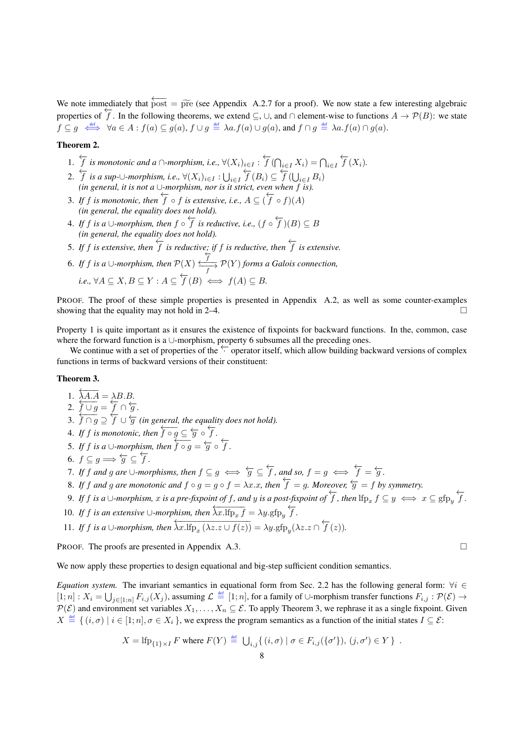We note immediately that  $\overleftarrow{\text{post}} = \overrightarrow{\text{pre}}$  (see [Appendix A.2.](#page-26-0)[7](#page-27-0) for a proof). We now state a few interesting algebraic properties of  $\overline{f}$ . In the following theorems, we extend ⊆, ∪, and ∩ element-wise to functions  $A \rightarrow \mathcal{P}(B)$ : we state  $f\subseteq g \;\; \stackrel{\scriptscriptstyle\rm def}{\iff}\;\; \forall a\in A : f(a)\subseteq g(a),$   $f\cup g\stackrel{\scriptscriptstyle\rm def}{=} \lambda a.f(a)\cup g(a),$  and  $f\cap g\stackrel{\scriptscriptstyle\rm def}{=} \lambda a.f(a)\cap g(a).$ 

## Theorem 2.

- <span id="page-8-6"></span><span id="page-8-5"></span>1.  $\overleftarrow{f}$  is monotonic and a  $\cap$ -morphism, i.e.,  $\forall (X_i)_{i \in I} : \overleftarrow{f}(\bigcap_{i \in I} X_i) = \bigcap_{i \in I} \overleftarrow{f}(X_i)$ .
- <span id="page-8-9"></span>2.  $\overleftarrow{f}$  *is a sup-*∪*-morphism, i.e.*,  $\forall (X_i)_{i \in I} : \bigcup_{i \in I} \overleftarrow{f}(B_i) \subseteq \overleftarrow{f}(\bigcup_{i \in I} B_i)$ *(in general, it is not a* ∪*-morphism, nor is it strict, even when* f *is).*
- 3. If f is monotonic, then  $f \circ f$  is extensive, i.e.,  $A \subseteq (\overleftarrow{f} \circ f)(A)$ *(in general, the equality does not hold).*
- **4.** *If f* is a ∪-morphism, then  $f \circ \overleftarrow{f}$  is reductive, i.e.,  $(f \circ \overleftarrow{f})(B) \subseteq B$ *(in general, the equality does not hold).*
- 5. If f is extensive, then  $\overleftarrow{f}$  is reductive; if f is reductive, then  $\overleftarrow{f}$  is extensive.
- <span id="page-8-10"></span>6. If f is a  $\cup$ -morphism, then  $\mathcal{P}(X) \xrightarrow{f}$  $\overleftarrow{f}$ P(Y ) *forms a Galois connection,*  $i.e., \forall A \subseteq X, B \subseteq Y : A \subseteq \overleftarrow{f}(B) \iff f(A) \subseteq B.$

PROOF. The proof of these simple properties is presented in [Appendix A.2,](#page-26-0) as well as some counter-examples showing that the equality may not hold in 2–4.

Property 1 is quite important as it ensures the existence of fixpoints for backward functions. In the, common, case where the forward function is a ∪-morphism, property 6 subsumes all the preceding ones.

We continue with a set of properties of the  $\leftarrow$  operator itself, which allow building backward versions of complex functions in terms of backward versions of their constituent:

#### Theorem 3.

- <span id="page-8-0"></span>1.  $\overleftarrow{\lambda A.A} = \lambda B.B.$
- <span id="page-8-1"></span>2.  $f \cup g = f \cap \overline{g}$ .
- 3.  $\overline{f \cap g} \supseteq \overline{f \cup g}$  (in general, the equality does not hold).
- 4. If f is monotonic, then  $f \circ g \subseteq \overleftarrow{g} \circ \overleftarrow{f}$ .
- <span id="page-8-3"></span>5. If f is a ∪-morphism, then  $f \circ g = \overleftarrow{g} \circ \overleftarrow{f}$ .
- <span id="page-8-7"></span>6.  $f \subseteq g \Longrightarrow \overleftarrow{g} \subseteq \overleftarrow{f}$ .
- 7. If f and g are  $\cup$ -morphisms, then  $f \subseteq g \iff \overleftarrow{g} \subseteq \overleftarrow{f}$ , and so,  $f = g \iff \overleftarrow{f} = \overleftarrow{g}$ .
- <span id="page-8-8"></span>8. If f and g are monotonic and  $f \circ g = g \circ f = \lambda x.x$ , then  $\overline{f} = g$ . Moreover,  $\overline{g} = f$  by symmetry.
- <span id="page-8-2"></span>9. If f is a ∪*-morphism,* x is a pre-fixpoint of f, and y is a post-fixpoint of  $\overleftarrow{f}$ , then  $\text{lfp}_x f \subseteq y \iff x \subseteq \text{gfp}_y \overleftarrow{f}$ .
- 10. *If f is an extensive* ∪*-morphism, then*  $\overline{\lambda x}$ .lfp<sub>x</sub> *f* =  $\lambda y$ .gfp<sub>y</sub>  $\overleftarrow{f}$ .
- <span id="page-8-4"></span>11. *If* f is a ∪*-morphism, then*  $\overline{\lambda x.$ If<sub>px</sub> ( $\lambda z. z \cup f(z)$ ) =  $\lambda y.$ gfp<sub>y</sub> ( $\lambda z. z \cap f(z)$ ).

**PROOF.** The proofs are presented in [Appendix A.3.](#page-27-1)

We now apply these properties to design equational and big-step sufficient condition semantics.

*Equation system.* The invariant semantics in equational form from Sec. [2.2](#page-5-0) has the following general form:  $\forall i \in$  $[1;n]: X_i = \bigcup_{j \in [1;n]} F_{i,j}(X_j)$ , assuming  $\mathcal{L} \stackrel{\text{def}}{=} [1;n]$ , for a family of  $\cup$ -morphism transfer functions  $F_{i,j} : \mathcal{P}(\mathcal{E}) \to$  $P(\mathcal{E})$  and environment set variables  $X_1, \ldots, X_n \subseteq \mathcal{E}$ . To apply Theorem [3,](#page-8-0) we rephrase it as a single fixpoint. Given  $X \stackrel{\text{def}}{=} \{ (i, \sigma) \mid i \in [1; n], \sigma \in X_i \}$ , we express the program semantics as a function of the initial states  $I \subseteq \mathcal{E}$ :

$$
X = \text{lfp}_{\{1\} \times I} \, F \text{ where } F(Y) \stackrel{\text{def}}{=} \bigcup_{i,j} \{ (i,\sigma) \mid \sigma \in F_{i,j}(\{\sigma'\}), (j,\sigma') \in Y \} .
$$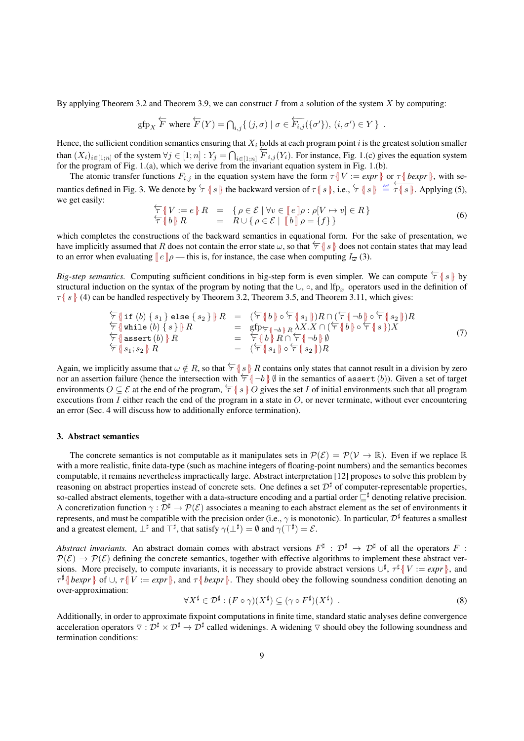By applying Theorem [3](#page-8-0)[.2](#page-8-1) and Theorem [3.](#page-8-0)[9,](#page-8-2) we can construct I from a solution of the system X by computing:

$$
\mathrm{gfp}_X \not \overleftarrow{F} \text{ where } \overleftarrow{F}(Y) = \bigcap_{i,j} \{ (j,\sigma) \mid \sigma \in \overleftarrow{F_{i,j}}(\{\sigma'\}), (i,\sigma') \in Y \} .
$$

Hence, the sufficient condition semantics ensuring that  $X_i$  holds at each program point i is the greatest solution smaller than  $(X_i)_{i \in [1;n]}$  of the system  $\forall j \in [1;n] : Y_j = \bigcap_{i \in [1;n]}$  $F_{i,j}(Y_i)$ . For instance, Fig. [1.](#page-2-0)(c) gives the equation system for the program of Fig. [1.](#page-2-0)(a), which we derive from the invariant equation system in Fig. [1.](#page-2-0)(b).

The atomic transfer functions  $F_{i,j}$  in the equation system have the form  $\tau \{V := \epsilon xpr\}$  or  $\tau \{\epsilon \neq 0$ . mantics defined in Fig. [3.](#page-7-0) We denote by  $\overleftarrow{\tau} \{ s \}$  the backward version of  $\tau \{ s \}$ , i.e.,  $\overleftarrow{\tau} \{ s \} \stackrel{\text{def}}{=} \overleftarrow{\tau} \{ s \}$ . Applying [\(5\)](#page-7-1),

we get easily:  
\n
$$
\overleftarrow{\tau} \{ V := e \} \} R = \{ \rho \in \mathcal{E} \mid \forall v \in [e] \rho : \rho[V \mapsto v] \in R \}
$$
\n
$$
\overleftarrow{\tau} \{ b \} R = R \cup \{ \rho \in \mathcal{E} \mid [b] \rho = \{ f \} \}
$$
\n(6)

which completes the constructions of the backward semantics in equational form. For the sake of presentation, we have implicitly assumed that R does not contain the error state  $\omega$ , so that  $\overline{7}$  {| s || does not contain states that may lead to an error when evaluating  $\llbracket e \rrbracket \rho$  — this is, for instance, the case when computing  $I_{\overline{\omega}}(3)$  $I_{\overline{\omega}}(3)$ .

*Big-step semantics.* Computing sufficient conditions in big-step form is even simpler. We can compute  $\overline{\tau}$  {| s |} by structural induction on the syntax of the program by noting that the ∪,  $\circ$ , and lfp<sub>x</sub> operators used in the definition of  $\tau$  { s } [\(4\)](#page-7-2) can be handled respectively by Theorem [3](#page-8-0)[.2,](#page-8-1) Theorem 3[.5,](#page-8-3) and Theorem [3.](#page-8-0)[11,](#page-8-4) which gives:

<span id="page-9-2"></span>
$$
\begin{array}{rcl}\n\overleftarrow{\tau} \{\text{if } (b) \{s_1\} \text{ else } \{s_2\} \} R & = & (\overleftarrow{\tau} \{b\} \circ \overleftarrow{\tau} \{s_1\}) R \cap (\overleftarrow{\tau} \{b\} \circ \overleftarrow{\tau} \{s_2\}) R \\
\overleftarrow{\tau} \{\text{while } (b) \{s\} \} R & = & \text{gfp}\n\overleftarrow{\tau}_{\neg b} R \lambda X.X \cap (\overleftarrow{\tau} \{b\} \circ \overleftarrow{\tau} \{s\}) X \\
\overleftarrow{\tau} \{\text{assert } (b) \} R & = & \overleftarrow{\tau} \{b\} R \cap \overleftarrow{\tau} \{b\} \emptyset \\
\overleftarrow{\tau} \{s_1; s_2\} R & = & (\overleftarrow{\tau} \{s_1\} \circ \overleftarrow{\tau} \{s_2\}) R\n\end{array}\n\tag{7}
$$

Again, we implicitly assume that  $\omega \notin R$ , so that  $\overleftarrow{\tau} \setminus s \mid R$  contains only states that cannot result in a division by zero nor an assertion failure (hence the intersection with  $\overleftarrow{+}$  {| ¬b |} Ø in the semantics of assert (b)). Given a set of target environments  $O \subseteq \mathcal{E}$  at the end of the program,  $\overleftarrow{\tau}$  {| s \|  $\overrightarrow{O}$  gives the set I of initial environments such that all program executions from I either reach the end of the program in a state in  $O$ , or never terminate, without ever encountering an error (Sec. [4](#page-21-0) will discuss how to additionally enforce termination).

#### <span id="page-9-0"></span>3. Abstract semantics

The concrete semantics is not computable as it manipulates sets in  $\mathcal{P}(\mathcal{E}) = \mathcal{P}(\mathcal{V} \to \mathbb{R})$ . Even if we replace  $\mathbb{R}$ with a more realistic, finite data-type (such as machine integers of floating-point numbers) and the semantics becomes computable, it remains nevertheless impractically large. Abstract interpretation [\[12\]](#page-32-11) proposes to solve this problem by reasoning on abstract properties instead of concrete sets. One defines a set  $\mathcal{D}^{\sharp}$  of computer-representable properties, so-called abstract elements, together with a data-structure encoding and a partial order ⊑<sup>‡</sup> denoting relative precision. A concretization function  $\gamma : \overline{\mathcal{D}}^{\sharp} \to \mathcal{P}(\mathcal{E})$  associates a meaning to each abstract element as the set of environments it represents, and must be compatible with the precision order (i.e.,  $\gamma$  is monotonic). In particular,  $\mathcal{D}^\sharp$  features a smallest and a greatest element,  $\perp^{\sharp}$  and  $\top^{\sharp}$ , that satisfy  $\gamma(\perp^{\sharp}) = \emptyset$  and  $\gamma(\top^{\sharp}) = \mathcal{E}$ .

*Abstract invariants.* An abstract domain comes with abstract versions  $F^{\sharp}: \mathcal{D}^{\sharp} \to \mathcal{D}^{\sharp}$  of all the operators  $F$ :  $\mathcal{P}(\mathcal{E}) \to \mathcal{P}(\mathcal{E})$  defining the concrete semantics, together with effective algorithms to implement these abstract versions. More precisely, to compute invariants, it is necessary to provide abstract versions  $\cup^{\sharp}$ ,  $\tau^{\sharp} \setminus V := exp r \}$ , and  $\tau^{\sharp}\{\text{bexpr}\}\$  of  $\cup$ ,  $\tau\{V := expr\}$ , and  $\tau\{\text{bexpr}\}\$ . They should obey the following soundness condition denoting an over-approximation:

<span id="page-9-1"></span>
$$
\forall X^{\sharp} \in \mathcal{D}^{\sharp} : (F \circ \gamma)(X^{\sharp}) \subseteq (\gamma \circ F^{\sharp})(X^{\sharp}) . \tag{8}
$$

Additionally, in order to approximate fixpoint computations in finite time, standard static analyses define convergence acceleration operators  $\nabla : \mathcal{D}^{\sharp} \times \mathcal{D}^{\sharp} \to \mathcal{D}^{\sharp}$  called widenings. A widening  $\nabla$  should obey the following soundness and termination conditions: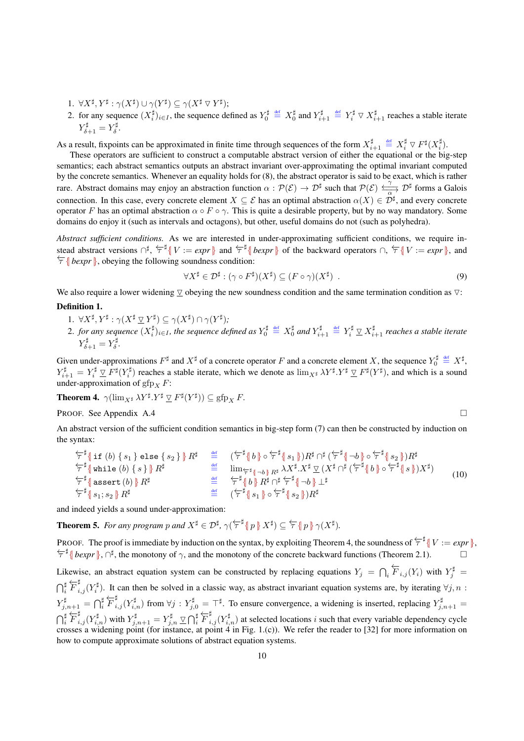- 1.  $\forall X^{\sharp}, Y^{\sharp} : \gamma(X^{\sharp}) \cup \gamma(Y^{\sharp}) \subseteq \gamma(X^{\sharp} \nabla Y^{\sharp});$
- 2. for any sequence  $(X_i^{\sharp})_{i \in I}$ , the sequence defined as  $Y_0^{\sharp} \stackrel{\text{def}}{=} X_0^{\sharp}$  and  $Y_{i+1}^{\sharp} \stackrel{\text{def}}{=} Y_i^{\sharp} \triangledown X_{i+1}^{\sharp}$  reaches a stable iterate  $Y_{\delta+1}^{\sharp}=Y_{\delta}^{\sharp}.$

As a result, fixpoints can be approximated in finite time through sequences of the form  $X_{i+1}^{\sharp} \triangleq X_i^{\sharp} \triangledown F^{\sharp}(X_i^{\sharp})$ .

These operators are sufficient to construct a computable abstract version of either the equational or the big-step semantics; each abstract semantics outputs an abstract invariant over-approximating the optimal invariant computed by the concrete semantics. Whenever an equality holds for [\(8\)](#page-9-1), the abstract operator is said to be exact, which is rather rare. Abstract domains may enjoy an abstraction function  $\alpha : \mathcal{P}(\mathcal{E}) \to \mathcal{D}^{\sharp}$  such that  $\mathcal{P}(\mathcal{E}) \xrightarrow{\gamma} \mathcal{D}^{\sharp}$  forms a Galois connection. In this case, every concrete element  $X \subseteq \mathcal{E}$  has an optimal abstraction  $\alpha(X) \in \mathcal{D}^{\sharp}$ , and every concrete operator F has an optimal abstraction  $\alpha \circ F \circ \gamma$ . This is quite a desirable property, but by no way mandatory. Some domains do enjoy it (such as intervals and octagons), but other, useful domains do not (such as polyhedra).

*Abstract sufficient conditions.* As we are interested in under-approximating sufficient conditions, we require instead abstract versions  $\bigcap^{\sharp}, \overleftarrow{\tau}^{\sharp} \{V := \exp r \}$  and  $\overleftarrow{\tau}^{\sharp} \{ \text{bexpr} \}$  of the backward operators  $\bigcap, \overleftarrow{\tau} \{V := \exp r \}$ , and ←−<sup>τ</sup> {| *bexpr*|}, obeying the following soundness condition:

<span id="page-10-0"></span>
$$
\forall X^{\sharp} \in \mathcal{D}^{\sharp} : (\gamma \circ F^{\sharp})(X^{\sharp}) \subseteq (F \circ \gamma)(X^{\sharp}) . \tag{9}
$$

We also require a lower widening  $\triangledown$  obeying the new soundness condition and the same termination condition as  $\triangledown$ :

## Definition 1.

- 1.  $\forall X^{\sharp}, Y^{\sharp} : \gamma(X^{\sharp} \nabla Y^{\sharp}) \subseteq \gamma(X^{\sharp}) \cap \gamma(Y^{\sharp})$ ;
- 2. for any sequence  $(X_i^{\sharp})_{i\in I}$ , the sequence defined as  $Y_0^{\sharp} \triangleq X_0^{\sharp}$  and  $Y_{i+1}^{\sharp} \triangleq Y_i^{\sharp} \nsubseteq X_{i+1}^{\sharp}$  reaches a stable iterate Y ♯  $\tilde{\delta+1} = Y$ ♯ δ *.*

Given under-approximations  $F^{\sharp}$  and  $X^{\sharp}$  of a concrete operator F and a concrete element X, the sequence  $Y_0^{\sharp} \stackrel{\text{def}}{=} X^{\sharp}$ ,  $Y_{i+1}^{\sharp} = Y_i^{\sharp} \nsubseteq F^{\sharp}(Y_i^{\sharp})$  reaches a stable iterate, which we denote as  $\lim_{X \uparrow} \lambda Y^{\sharp} \cdot Y^{\sharp} \nsubseteq F^{\sharp}(Y^{\sharp})$ , and which is a sound under-approximation of  $gfp_X F$ :

**Theorem 4.**  $\gamma(\lim_{X^{\sharp}} \lambda Y^{\sharp} . Y^{\sharp} \nabla F^{\sharp} (Y^{\sharp})) \subseteq \text{gfp}_X F$ .

PROOF. See [Appendix A.4](#page-29-0)

<span id="page-10-2"></span>
$$
f_{\rm{max}}
$$

An abstract version of the sufficient condition semantics in big-step form [\(7\)](#page-9-2) can then be constructed by induction on the syntax:

<span id="page-10-1"></span>
$$
\overleftarrow{\tau}^{\sharp}\{\text{if }(b) \{s_{1}\} \text{ else } \{s_{2}\} \} R^{\sharp} \qquad \cong \qquad (\overleftarrow{\tau}^{\sharp}\{b\} \circ \overleftarrow{\tau}^{\sharp}\{s_{1}\}) R^{\sharp} \cap^{\sharp} (\overleftarrow{\tau}^{\sharp}\{\neg b\} \circ \overleftarrow{\tau}^{\sharp}\{s_{2}\}) R^{\sharp} \n\overleftarrow{\tau}^{\sharp}\{\text{while }(b) \{s\}\} R^{\sharp} \qquad \cong \qquad \lim_{\underline{\tau}^{\sharp}\{b\} \circ \overleftarrow{\tau}^{\sharp}\{s_{1}\}\} R^{\sharp} \cap^{\sharp} (\overleftarrow{\tau}^{\sharp}\{\neg b\} \circ \overleftarrow{\tau}^{\sharp}\{s_{2}\}) R^{\sharp} \n\overleftarrow{\tau}^{\sharp}\{\text{assert}(b)\} R^{\sharp} \qquad \cong \qquad \overleftarrow{\tau}^{\sharp}\{b\} R^{\sharp} \cap^{\sharp} \overleftarrow{\tau}^{\sharp}\{\neg b\} R^{\sharp} \cap^{\sharp} \overleftarrow{\tau}^{\sharp}\{\neg b\} \} L^{\sharp} \n\overleftarrow{\tau}^{\sharp}\{s_{1}; s_{2}\} R^{\sharp} \qquad (10)
$$

and indeed yields a sound under-approximation:

**Theorem 5.** For any program p and  $X^{\sharp} \in \mathcal{D}^{\sharp}$ ,  $\gamma(\overleftarrow{\tau}^{\sharp} \{p\} X^{\sharp}) \subseteq \overleftarrow{\tau} \{p\} \gamma(X^{\sharp})$ .

PROOF. The proof is immediate by induction on the syntax, by exploiting Theorem [4,](#page-10-0) the soundness of  $\forall f \in \{V := \text{expr}\}\$ ,  $\forall \tau^{\sharp} \in \mathbb{R}$  *bexpr*  $\Vert$ ,  $\cap^{\sharp}$ , the monotony of  $\gamma$ , and the monotony of the concrete backward functions (Theorem [2.](#page-8-5)[1\)](#page-8-6). Likewise, an abstract equation system can be constructed by replacing equations  $Y_j = \bigcap_i$  $\overleftarrow{F}_{i,j}(Y_i)$  with  $Y_j^{\sharp}$  =  $\bigcap_i^\sharp$  $\overleftarrow{F}_{i,j}^{\sharp}(Y_i^{\sharp})$ . It can then be solved in a classic way, as abstract invariant equation systems are, by iterating  $\forall j, n$ :  $Y_{j,n+1}^\sharp=\bigcap_i^\sharp$  $\overleftarrow{F}_{i,j}^{\sharp}(Y_{i,n}^{\sharp})$  from  $\forall j: Y_{j,0}^{\sharp} = \top^{\sharp}$ . To ensure convergence, a widening is inserted, replacing  $Y_{j,n+1}^{\sharp} =$  $\bigcap_i^\sharp$  $\overleftarrow{F}_{i,j}^{\sharp}(Y_{i,n}^{\sharp})$  with  $Y_{j,n+1}^{\sharp}=Y_{j,n}^{\sharp}\,\underline{\triangledown}\bigcap_{i=1}^{\sharp}$  $\overleftarrow{F}_{i,j}^{\sharp}(Y_{i,n}^{\sharp})$  at selected locations *i* such that every variable dependency cycle crosses a widening point (for instance, at point 4 in Fig. [1.](#page-2-0)(c)). We refer the reader to [\[32\]](#page-33-16) for more information on how to compute approximate solutions of abstract equation systems.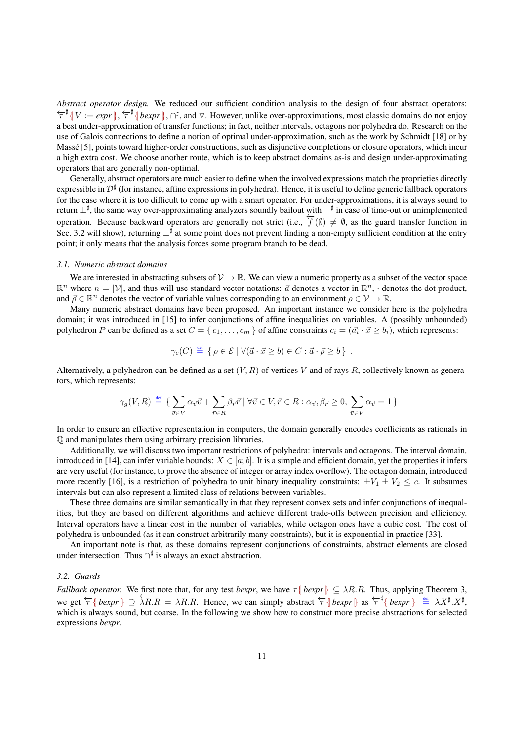*Abstract operator design.* We reduced our sufficient condition analysis to the design of four abstract operators:  $\overleftarrow{\tau}^{\sharp} \left\{ V := \overrightarrow{expr} \right\}, \overleftarrow{\tau}^{\sharp} \left\{ bexpr \right\}, \cap^{\sharp}$ , and  $\nabla$ . However, unlike over-approximations, most classic domains do not enjoy a best under-approximation of transfer functions; in fact, neither intervals, octagons nor polyhedra do. Research on the use of Galois connections to define a notion of optimal under-approximation, such as the work by Schmidt [\[18\]](#page-33-2) or by Massé [\[5\]](#page-32-4), points toward higher-order constructions, such as disjunctive completions or closure operators, which incur a high extra cost. We choose another route, which is to keep abstract domains as-is and design under-approximating operators that are generally non-optimal.

Generally, abstract operators are much easier to define when the involved expressions match the proprieties directly expressible in  $\mathcal{D}^\sharp$  (for instance, affine expressions in polyhedra). Hence, it is useful to define generic fallback operators for the case where it is too difficult to come up with a smart operator. For under-approximations, it is always sound to return  $\perp^{\sharp}$ , the same way over-approximating analyzers soundly bailout with  $\top^{\sharp}$  in case of time-out or unimplemented operation. Because backward operators are generally not strict (i.e.,  $\overline{f}(\emptyset) \neq \emptyset$ , as the guard transfer function in Sec. [3.2](#page-11-0) will show), returning  $\perp^{\sharp}$  at some point does not prevent finding a non-empty sufficient condition at the entry point; it only means that the analysis forces some program branch to be dead.

#### *3.1. Numeric abstract domains*

We are interested in abstracting subsets of  $V \to \mathbb{R}$ . We can view a numeric property as a subset of the vector space  $\mathbb{R}^n$  where  $n = |\mathcal{V}|$ , and thus will use standard vector notations:  $\vec{a}$  denotes a vector in  $\mathbb{R}^n$ ,  $\cdot$  denotes the dot product, and  $\vec{\rho} \in \mathbb{R}^n$  denotes the vector of variable values corresponding to an environment  $\rho \in \mathcal{V} \to \mathbb{R}$ .

Many numeric abstract domains have been proposed. An important instance we consider here is the polyhedra domain; it was introduced in [\[15\]](#page-32-14) to infer conjunctions of affine inequalities on variables. A (possibly unbounded) polyhedron P can be defined as a set  $C = \{c_1, \ldots, c_m\}$  of affine constraints  $c_i = (\vec{a_i} \cdot \vec{x} \ge b_i)$ , which represents:

$$
\gamma_c(C) \stackrel{\text{def}}{=} \{ \rho \in \mathcal{E} \mid \forall (\vec{a} \cdot \vec{x} \ge b) \in C : \vec{a} \cdot \vec{\rho} \ge b \} .
$$

Alternatively, a polyhedron can be defined as a set  $(V, R)$  of vertices V and of rays R, collectively known as generators, which represents:

$$
\gamma_g(V,R) \stackrel{\text{def}}{=} \left\{ \sum_{\vec{v} \in V} \alpha_{\vec{v}} \vec{v} + \sum_{\vec{r} \in R} \beta_{\vec{r}} \vec{r} \mid \forall \vec{v} \in V, \vec{r} \in R : \alpha_{\vec{v}}, \beta_{\vec{r}} \ge 0, \sum_{\vec{v} \in V} \alpha_{\vec{v}} = 1 \right\} \ .
$$

In order to ensure an effective representation in computers, the domain generally encodes coefficients as rationals in Q and manipulates them using arbitrary precision libraries.

Additionally, we will discuss two important restrictions of polyhedra: intervals and octagons. The interval domain, introduced in [\[14\]](#page-32-13), can infer variable bounds:  $X \in [a, b]$ . It is a simple and efficient domain, yet the properties it infers are very useful (for instance, to prove the absence of integer or array index overflow). The octagon domain, introduced more recently [\[16\]](#page-33-0), is a restriction of polyhedra to unit binary inequality constraints:  $\pm V_1 \pm V_2 \leq c$ . It subsumes intervals but can also represent a limited class of relations between variables.

These three domains are similar semantically in that they represent convex sets and infer conjunctions of inequalities, but they are based on different algorithms and achieve different trade-offs between precision and efficiency. Interval operators have a linear cost in the number of variables, while octagon ones have a cubic cost. The cost of polyhedra is unbounded (as it can construct arbitrarily many constraints), but it is exponential in practice [\[33\]](#page-33-17).

An important note is that, as these domains represent conjunctions of constraints, abstract elements are closed under intersection. Thus  $\bigcap^{\sharp}$  is always an exact abstraction.

## <span id="page-11-0"></span>*3.2. Guards*

*Fallback operator.* We first note that, for any test *bexpr*, we have  $\tau$ {*bexpr*}  $\subseteq \lambda R.R$ . Thus, applying Theorem [3,](#page-8-0) we get  $\forall$  {| *bexpr* }  $\supseteq \overline{\lambda R.R} = \lambda R.R$ . Hence, we can simply abstract  $\forall$  {| *bexpr* } as  $\forall$ <sup>+</sup> {| *bexpr* } def  $\lambda X^{\sharp}$ .  $X^{\sharp}$ . which is always sound, but coarse. In the following we show how to construct more precise abstractions for selected expressions *bexpr*.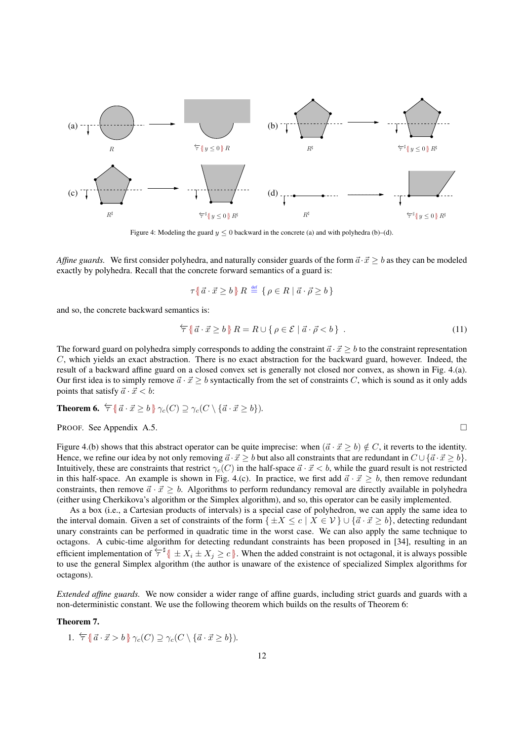

<span id="page-12-0"></span>Figure 4: Modeling the guard  $y \le 0$  backward in the concrete (a) and with polyhedra (b)–(d).

*Affine guards.* We first consider polyhedra, and naturally consider guards of the form  $\vec{a} \cdot \vec{x} \geq b$  as they can be modeled exactly by polyhedra. Recall that the concrete forward semantics of a guard is:

$$
\tau \{ \vec{a} \cdot \vec{x} \ge b \} \} R \stackrel{\text{def}}{=} \{ \rho \in R \mid \vec{a} \cdot \vec{\rho} \ge b \}
$$

and so, the concrete backward semantics is:

<span id="page-12-2"></span><span id="page-12-1"></span>
$$
\overleftarrow{\tau} \left\{ \vec{a} \cdot \vec{x} \ge b \right\} R = R \cup \left\{ \rho \in \mathcal{E} \mid \vec{a} \cdot \vec{\rho} < b \right\} \tag{11}
$$

The forward guard on polyhedra simply corresponds to adding the constraint  $\vec{a} \cdot \vec{x} \geq b$  to the constraint representation C, which yields an exact abstraction. There is no exact abstraction for the backward guard, however. Indeed, the result of a backward affine guard on a closed convex set is generally not closed nor convex, as shown in Fig. [4.](#page-12-0)(a). Our first idea is to simply remove  $\vec{a} \cdot \vec{x} \geq b$  syntactically from the set of constraints C, which is sound as it only adds points that satisfy  $\vec{a} \cdot \vec{x} < b$ :

**Theorem 6.** 
$$
\overleftarrow{\tau} \{ \vec{a} \cdot \vec{x} \geq b \} \gamma_c(C) \supseteq \gamma_c(C \setminus \{ \vec{a} \cdot \vec{x} \geq b \}).
$$

PROOF. See [Appendix A.5.](#page-29-1) □

Figure [4.](#page-12-0)(b) shows that this abstract operator can be quite imprecise: when  $(\vec{a} \cdot \vec{x} \ge b) \notin C$ , it reverts to the identity. Hence, we refine our idea by not only removing  $\vec{a} \cdot \vec{x} \geq b$  but also all constraints that are redundant in  $C \cup \{\vec{a} \cdot \vec{x} \geq b\}$ . Intuitively, these are constraints that restrict  $\gamma_c(C)$  in the half-space  $\vec{a} \cdot \vec{x} < b$ , while the guard result is not restricted in this half-space. An example is shown in Fig. [4.](#page-12-0)(c). In practice, we first add  $\vec{a} \cdot \vec{x} \geq b$ , then remove redundant constraints, then remove  $\vec{a} \cdot \vec{x} \geq b$ . Algorithms to perform redundancy removal are directly available in polyhedra (either using Cherkikova's algorithm or the Simplex algorithm), and so, this operator can be easily implemented.

As a box (i.e., a Cartesian products of intervals) is a special case of polyhedron, we can apply the same idea to the interval domain. Given a set of constraints of the form  $\{\pm X \le c \mid X \in \mathcal{V}\}\cup \{\vec{a}\cdot\vec{x} \ge b\}$ , detecting redundant unary constraints can be performed in quadratic time in the worst case. We can also apply the same technique to octagons. A cubic-time algorithm for detecting redundant constraints has been proposed in [\[34\]](#page-33-18), resulting in an efficient implementation of  $\overleftarrow{\tau}^{\sharp}$  {  $\pm X_i \pm X_j \geq c$  }. When the added constraint is not octagonal, it is always possible to use the general Simplex algorithm (the author is unaware of the existence of specialized Simplex algorithms for octagons).

*Extended affine guards.* We now consider a wider range of affine guards, including strict guards and guards with a non-deterministic constant. We use the following theorem which builds on the results of Theorem [6:](#page-12-1)

Theorem 7.

<span id="page-12-3"></span>1. 
$$
\overleftarrow{\tau} \{ \vec{a} \cdot \vec{x} > b \} \gamma_c(C) \supseteq \gamma_c(C \setminus \{ \vec{a} \cdot \vec{x} \geq b \}).
$$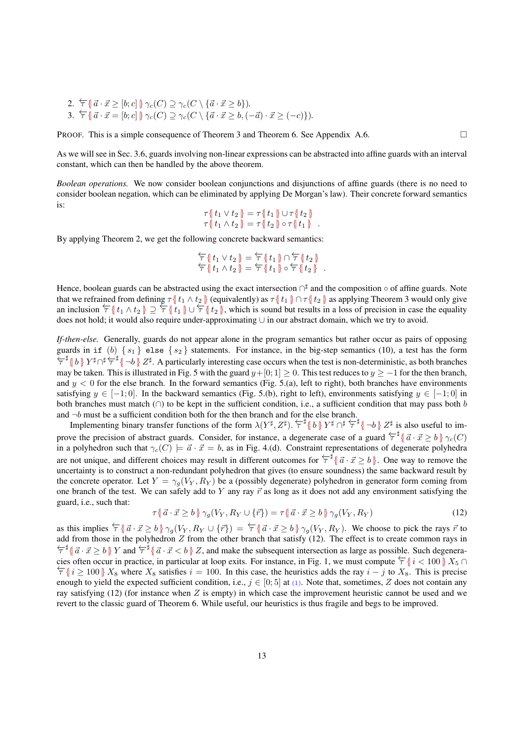2.  $\overleftarrow{\tau} \{\vec{a} \cdot \vec{x} \geq [b; c] \}\gamma_c(C) \supseteq \gamma_c(C \setminus \{\vec{a} \cdot \vec{x} \geq b\}).$ 3.  $\overleftarrow{\tau} \parallel \vec{a} \cdot \vec{x} = [b; c] \parallel \gamma_c(C) \supseteq \gamma_c(C \setminus \{ \vec{a} \cdot \vec{x} \geq b, (-\vec{a}) \cdot \vec{x} \geq (-c) \}).$ 

**PROOF.** This is a simple consequence of Theorem [3](#page-8-0) and Theorem [6.](#page-12-1) See [Appendix A.6.](#page-29-2)

As we will see in Sec. [3.6,](#page-18-0) guards involving non-linear expressions can be abstracted into affine guards with an interval constant, which can then be handled by the above theorem.

*Boolean operations.* We now consider boolean conjunctions and disjunctions of affine guards (there is no need to consider boolean negation, which can be eliminated by applying De Morgan's law). Their concrete forward semantics is:

$$
\tau \{ t_1 \vee t_2 \} = \tau \{ t_1 \} \cup \tau \{ t_2 \} \tau \{ t_1 \wedge t_2 \} = \tau \{ t_2 \} \circ \tau \{ t_1 \} .
$$

By applying Theorem [2,](#page-8-5) we get the following concrete backward semantics:

$$
\frac{\sqrt{7}}{7} \left\{ t_1 \vee t_2 \right\} = \frac{\sqrt{7}}{7} \left\{ t_1 \right\} \cap \frac{\sqrt{7}}{7} \left\{ t_2 \right\} \n\frac{\sqrt{7}}{7} \left\{ t_1 \wedge t_2 \right\} = \frac{\sqrt{7}}{7} \left\{ t_1 \right\} \circ \frac{\sqrt{7}}{7} \left\{ t_2 \right\}.
$$

Hence, boolean guards can be abstracted using the exact intersection  $\cap^{\sharp}$  and the composition  $\circ$  of affine guards. Note that we refrained from defining  $\tau \{t_1 \wedge t_2 \}$  (equivalently) as  $\tau \{t_1 \} \cap \tau \{t_2 \}$  as applying Theorem [3](#page-8-0) would only give an inclusion  $\overleftarrow{\tau}$  { $t_1 \wedge t_2$  }  $\supseteq \overleftarrow{\tau}$  { $t_1$  } ∪  $\overleftarrow{\tau}$  { $t_2$  }, which is sound but results in a loss of precision in case the equality does not hold; it would also require under-approximating ∪ in our abstract domain, which we try to avoid.

*If-then-else.* Generally, guards do not appear alone in the program semantics but rather occur as pairs of opposing guards in if (b)  $\{s_1\}$  else  $\{s_2\}$  statements. For instance, in the big-step semantics [\(10\)](#page-10-1), a test has the form  $\overline{H}^{\sharp}\{\,b\}\,Y^{\sharp}\cap^{\sharp}\overline{H}^{\sharp}\{\neg b\}\,Z^{\sharp}$ . A particularly interesting case occurs when the test is non-deterministic, as both branches may be taken. This is illustrated in Fig. [5](#page-14-0) with the guard  $y+[0; 1] > 0$ . This test reduces to  $y > -1$  for the then branch, and  $y < 0$  for the else branch. In the forward semantics (Fig. [5.](#page-14-0)(a), left to right), both branches have environments satisfying  $y \in [-1, 0]$ . In the backward semantics (Fig. [5.](#page-14-0)(b), right to left), environments satisfying  $y \in [-1, 0]$  in both branches must match ( $\cap$ ) to be kept in the sufficient condition, i.e., a sufficient condition that may pass both b and  $\neg b$  must be a sufficient condition both for the then branch and for the else branch.

Implementing binary transfer functions of the form  $\lambda(Y^{\sharp}, Z^{\sharp})$ .  $\overleftarrow{\tau}^{\sharp} \{ b \} Y^{\sharp} \cap^{\sharp} \overleftarrow{\tau}^{\sharp} \{ \neg b \} Z^{\sharp}$  is also useful to improve the precision of abstract guards. Consider, for instance, a degenerate case of a guard  $\overleftarrow{\tau}^{\sharp} \{ \vec{a} \cdot \vec{x} \geq b \}$   $\gamma_c(C)$ in a polyhedron such that  $\gamma_c(C) \models \vec{a} \cdot \vec{x} = b$ , as in Fig. [4.](#page-12-0)(d). Constraint representations of degenerate polyhedra are not unique, and different choices may result in different outcomes for  $\forall \vec{a} \cdot \vec{x} \geq b \cdot \vec{b}$ . One way to remove the uncertainty is to construct a non-redundant polyhedron that gives (to ensure soundness) the same backward result by the concrete operator. Let  $Y = \gamma_q(V_Y, R_Y)$  be a (possibly degenerate) polyhedron in generator form coming from one branch of the test. We can safely add to Y any ray  $\vec{r}$  as long as it does not add any environment satisfying the guard, i.e., such that:

<span id="page-13-0"></span>
$$
\tau \{ \vec{a} \cdot \vec{x} \ge b \} \gamma_g(V_Y, R_Y \cup \{\vec{r}\}) = \tau \{ \vec{a} \cdot \vec{x} \ge b \} \gamma_g(V_Y, R_Y) \tag{12}
$$

as this implies  $\overleftarrow{\tau} \{ \overrightarrow{a} \cdot \overrightarrow{x} \geq b \} \gamma_g(V_Y, R_Y \cup \{\overrightarrow{r}\}) = \overleftarrow{\tau} \{ \overrightarrow{a} \cdot \overrightarrow{x} \geq b \} \gamma_g(V_Y, R_Y)$ . We choose to pick the rays  $\overrightarrow{r}$  to add from those in the polyhedron  $Z$  from the other branch that satisfy  $(12)$ . The effect is to create common rays in  $\forall \vec{a} \cdot \vec{x} \geq b \, \forall Y$  and  $\forall \vec{a} \cdot \vec{x} < b \, \forall Z$ , and make the subsequent intersection as large as possible. Such degenera-cies often occur in practice, in particular at loop exits. For instance, in Fig. [1,](#page-2-0) we must compute  $\overleftarrow{\tau} \parallel i$  < 100  $\parallel$  X<sub>5</sub> ∩  $\overleftarrow{\tau}$  { $i \ge 100$  }  $X_8$  where  $X_8$  satisfies  $i = 100$ . In this case, the heuristics adds the ray  $i - j$  to  $X_8$ . This is precise enough to yield the expected sufficient condition, i.e.,  $j \in [0, 5]$  at (1). Note that, sometimes, Z does not contain any ray satisfying  $(12)$  (for instance when Z is empty) in which case the improvement heuristic cannot be used and we revert to the classic guard of Theorem [6.](#page-12-1) While useful, our heuristics is thus fragile and begs to be improved.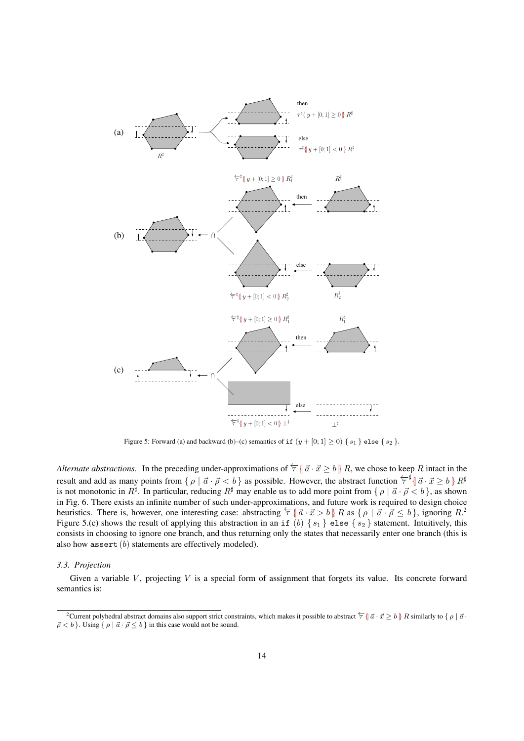

<span id="page-14-0"></span>Figure 5: Forward (a) and backward (b)–(c) semantics of if  $(y + [0; 1] \ge 0)$  {  $s_1$  } else {  $s_2$  }.

*Alternate abstractions.* In the preceding under-approximations of  $\overleftarrow{\tau} \setminus \overrightarrow{a} \cdot \overrightarrow{x} \geq b \setminus R$ , we chose to keep R intact in the result and add as many points from  $\{ \rho \mid \vec{a} \cdot \vec{\rho} < b \}$  as possible. However, the abstract function  $\overleftarrow{\tau}^{\sharp} \{ \vec{a} \cdot \vec{x} \geq b \} R^{\sharp}$ is not monotonic in  $R^{\sharp}$ . In particular, reducing  $R^{\sharp}$  may enable us to add more point from  $\{ \rho \mid \vec{a} \cdot \vec{\rho} < b \}$ , as shown in Fig. [6.](#page-15-0) There exists an infinite number of such under-approximations, and future work is required to design choice heuristics. There is, however, one interesting case: abstracting  $\overleftarrow{\tau} \parallel \vec{a} \cdot \vec{x} > b \parallel R$  as  $\{\rho \mid \vec{a} \cdot \vec{\rho} \leq b\}$ , ignoring  $R^2$  $R^2$ . Figure [5.](#page-14-0)(c) shows the result of applying this abstraction in an if (b)  $\{s_1\}$  else  $\{s_2\}$  statement. Intuitively, this consists in choosing to ignore one branch, and thus returning only the states that necessarily enter one branch (this is also how assert (b) statements are effectively modeled).

## *3.3. Projection*

Given a variable  $V$ , projecting  $V$  is a special form of assignment that forgets its value. Its concrete forward semantics is:

<span id="page-14-1"></span><sup>&</sup>lt;sup>2</sup>Current polyhedral abstract domains also support strict constraints, which makes it possible to abstract  $\overleftarrow{\tau} \setminus \overrightarrow{a} \cdot \overrightarrow{x} \geq b \setminus R$  similarly to  $\{\rho \mid \overrightarrow{a} \cdot \overrightarrow{x} \geq b\}$  $\vec{\rho} < b$  }. Using  $\{\rho \mid \vec{a} \cdot \vec{\rho} \leq b\}$  in this case would not be sound.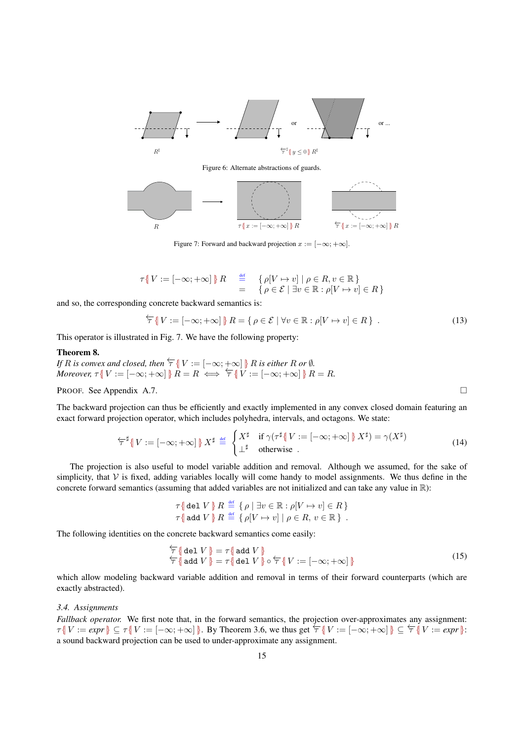



<span id="page-15-4"></span><span id="page-15-1"></span><span id="page-15-0"></span>Figure 7: Forward and backward projection  $x := [-\infty, +\infty]$ .

$$
\tau \{ V := [-\infty; +\infty] \mid\} R \quad \stackrel{\text{def}}{=} \quad \{ \rho[V \mapsto v] \mid \rho \in R, v \in \mathbb{R} \} \\ = \quad \{ \rho \in \mathcal{E} \mid \exists v \in \mathbb{R} : \rho[V \mapsto v] \in R \}
$$

and so, the corresponding concrete backward semantics is:

$$
\overleftarrow{\tau} \{ V := [-\infty; +\infty] \} R = \{ \rho \in \mathcal{E} \mid \forall v \in \mathbb{R} : \rho[V \mapsto v] \in R \} . \tag{13}
$$

This operator is illustrated in Fig. [7.](#page-15-1) We have the following property:

#### Theorem 8.

*If*  $R$  *is convex and closed, then*  $\overleftarrow{\tau} \parallel V := [-\infty; +\infty] \parallel R$  *is either*  $R$  *or*  $\emptyset$ *. Moreover,*  $\tau \setminus V := [-\infty, +\infty] \setminus R = R \iff \tau \setminus V := [-\infty, +\infty] \setminus R = R$ .

PROOF. See [Appendix A.7.](#page-30-0)

The backward projection can thus be efficiently and exactly implemented in any convex closed domain featuring an exact forward projection operator, which includes polyhedra, intervals, and octagons. We state:

<span id="page-15-5"></span>
$$
\overleftarrow{\tau}^{\sharp} \{ V := [-\infty; +\infty] \} X^{\sharp} \stackrel{\text{def}}{=} \begin{cases} X^{\sharp} & \text{if } \gamma(\tau^{\sharp} \{ V := [-\infty; +\infty] \} X^{\sharp}) = \gamma(X^{\sharp}) \\ \bot^{\sharp} & \text{otherwise} \end{cases} \tag{14}
$$

The projection is also useful to model variable addition and removal. Although we assumed, for the sake of simplicity, that  $V$  is fixed, adding variables locally will come handy to model assignments. We thus define in the concrete forward semantics (assuming that added variables are not initialized and can take any value in R):

$$
\tau \{\text{del } V \mid R \stackrel{\text{def}}{=} \{\rho \mid \exists v \in \mathbb{R} : \rho[V \mapsto v] \in R \}
$$
  

$$
\tau \{\text{add } V \mid R \stackrel{\text{def}}{=} \{\rho[V \mapsto v] \mid \rho \in R, v \in \mathbb{R} \}.
$$

The following identities on the concrete backward semantics come easily:

<span id="page-15-2"></span>
$$
\overleftarrow{\tau} {\text{del } V} = \tau {\text{add } V} \n\overleftarrow{\tau} {\text{add } V} = \tau {\text{del } V} \circ \overleftarrow{\tau} {\text{ }} V := [-\infty; +\infty] \}
$$
\n(15)

which allow modeling backward variable addition and removal in terms of their forward counterparts (which are exactly abstracted).

#### <span id="page-15-3"></span>*3.4. Assignments*

*Fallback operator.* We first note that, in the forward semantics, the projection over-approximates any assignment:  $\tau\{[V := \text{expr}\}\subseteq \tau\{[V := [-\infty; +\infty]\}$ . By Theorem [3](#page-8-0)[.6,](#page-8-7) we thus get  $\overleftarrow{\tau}\{[V := [-\infty; +\infty]\}\subseteq \overleftarrow{\tau}\{[V := \text{expr}\}$ : a sound backward projection can be used to under-approximate any assignment.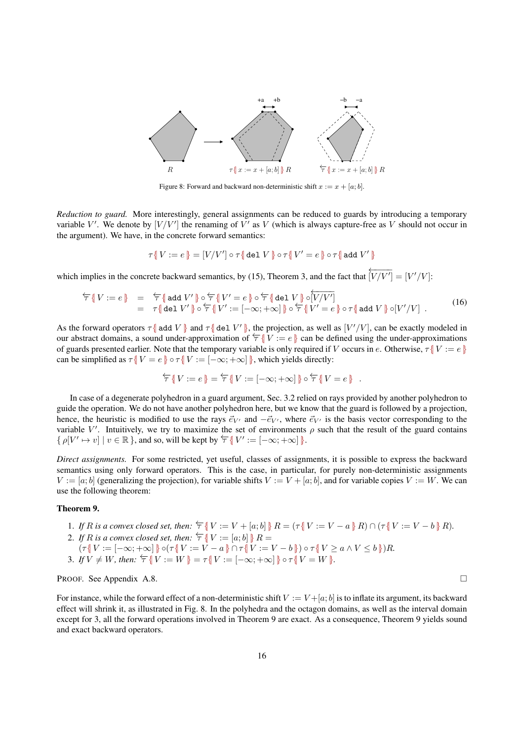

<span id="page-16-0"></span>Figure 8: Forward and backward non-deterministic shift  $x := x + [a, b]$ .

*Reduction to guard.* More interestingly, general assignments can be reduced to guards by introducing a temporary variable V'. We denote by  $[V/V']$  the renaming of V' as V (which is always capture-free as V should not occur in the argument). We have, in the concrete forward semantics:

$$
\tau\{\!\!\{ V:=e\,\}=[V/V']\circ\tau\{\!\!\{ \text{del } V\,\!\!\} \circ\tau\{\!\!\{ V'=e\,\!\!\} \circ\tau\{\!\!\{ \text{add } V'\,\!\!\}
$$

which implies in the concrete backward semantics, by [\(15\)](#page-15-2), Theorem [3,](#page-8-0) and the fact that  $\overline{[V/V']} = [V'/V]$ :

<span id="page-16-2"></span>
$$
\overleftarrow{\tau} \left\{ V := e \right\} = \overleftarrow{\tau} \left\{ \text{add } V' \right\} \circ \overleftarrow{\tau} \left\{ V' = e \right\} \circ \overleftarrow{\tau} \left\{ \text{del } V \right\} \circ \overleftarrow{\left\{ V' \right\}} \right\}
$$
\n
$$
= \tau \left\{ \text{del } V' \right\} \circ \overleftarrow{\tau} \left\{ V' := [-\infty; +\infty] \right\} \circ \overleftarrow{\tau} \left\{ V' = e \right\} \circ \tau \left\{ \text{add } V \right\} \circ [V'/V] . \tag{16}
$$

As the forward operators  $\tau$  add V | and  $\tau$  del V' |, the projection, as well as  $[V'/V]$ , can be exactly modeled in our abstract domains, a sound under-approximation of  $\overleftarrow{+}\left\{V:=e\right\}$  can be defined using the under-approximations of guards presented earlier. Note that the temporary variable is only required if V occurs in e. Otherwise,  $\tau \{V := e\}$ can be simplified as  $\tau \{ V = e \} \circ \tau \{ V := [-\infty; +\infty] \}$ , which yields directly:

$$
\overleftarrow{\tau} \, \llbracket V := e \rrbracket = \overleftarrow{\tau} \, \llbracket V := [-\infty; +\infty] \, \rrbracket \circ \overleftarrow{\tau} \, \llbracket V = e \rrbracket \ .
$$

In case of a degenerate polyhedron in a guard argument, Sec. [3.2](#page-11-0) relied on rays provided by another polyhedron to guide the operation. We do not have another polyhedron here, but we know that the guard is followed by a projection, hence, the heuristic is modified to use the rays  $\vec{e}_{V'}$  and  $-\vec{e}_{V'}$ , where  $\vec{e}_{V'}$  is the basis vector corresponding to the variable V'. Intuitively, we try to maximize the set of environments  $\rho$  such that the result of the guard contains  $\{ \rho[V' \mapsto v] \mid v \in \mathbb{R} \}$ , and so, will be kept by  $\overleftarrow{\tau} \{ V' := [-\infty; +\infty] \}$ .

*Direct assignments.* For some restricted, yet useful, classes of assignments, it is possible to express the backward semantics using only forward operators. This is the case, in particular, for purely non-deterministic assignments  $V := [a, b]$  (generalizing the projection), for variable shifts  $V := V + [a, b]$ , and for variable copies  $V := W$ . We can use the following theorem:

### Theorem 9.

- <span id="page-16-1"></span>1. *If*  $R$  *is a convex closed set, then:*  $\overleftarrow{\tau} \{ V := V + [a, b] \}$   $R = (\tau \{ V := V - a \} | R) \cap (\tau \{ V := V - b \} | R)$ .
- 2. If R is a convex closed set, then:  $\overleftarrow{\tau} \parallel V := [a; b] \parallel R =$
- $(\tau \{\!\!\{ V := [-\infty; +\infty] \!\!\} \circ (\tau \{\!\!\{ V := V a \!\!\} \cap \tau \{\!\!\{ V := V b \!\!\} \!\!\}) \circ \tau \{\!\!\{ V \ge a \wedge V \le b \!\!\} \! \}) R.$ 3. *If*  $V \neq W$ , then:  $\overleftarrow{\tau} \parallel V := W \parallel = \tau \parallel V := [-\infty; +\infty] \parallel \sigma \tau \parallel V = W \parallel$ .

PROOF. See [Appendix A.8.](#page-30-1) □

For instance, while the forward effect of a non-deterministic shift  $V := V+[a;b]$  is to inflate its argument, its backward effect will shrink it, as illustrated in Fig. [8.](#page-16-0) In the polyhedra and the octagon domains, as well as the interval domain except for 3, all the forward operations involved in Theorem [9](#page-16-1) are exact. As a consequence, Theorem [9](#page-16-1) yields sound and exact backward operators.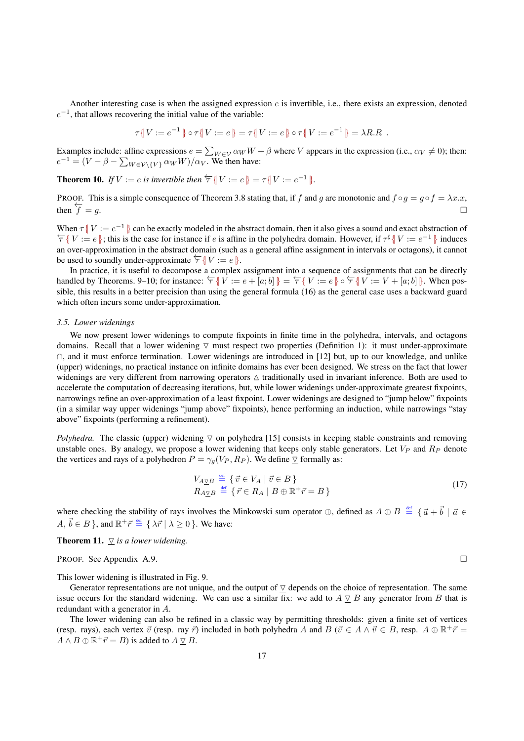Another interesting case is when the assigned expression e is invertible, i.e., there exists an expression, denoted  $e^{-1}$ , that allows recovering the initial value of the variable:

<span id="page-17-0"></span>
$$
\tau \{ V := e^{-1} \} \circ \tau \{ V := e \} = \tau \{ V := e \} \circ \tau \{ V := e^{-1} \} = \lambda R.R .
$$

Examples include: affine expressions  $e = \sum_{W \in \mathcal{V}} \alpha_W W + \beta$  where V appears in the expression (i.e.,  $\alpha_V \neq 0$ ); then:  $e^{-1} = (V - \beta - \sum_{W \in \mathcal{V} \setminus \{V\}} \alpha_W W)/\alpha_V$ . We then have:

**Theorem 10.** *If*  $V := e$  *is invertible then*  $\overleftarrow{\tau} \{ V := e \} = \tau \{ V := e^{-1} \}.$ 

PROOF. This is a simple consequence of Theorem [3](#page-8-0)[.8](#page-8-8) stating that, if f and g are monotonic and  $f \circ g = g \circ f = \lambda x.x$ ,  $\Box$ then  $\overline{f} = a$ .

When  $\tau \setminus V := e^{-1}$  can be exactly modeled in the abstract domain, then it also gives a sound and exact abstraction of  $\overleftarrow{\tau}$  {| V := e |}; this is the case for instance if e is affine in the polyhedra domain. However, if  $\tau^{\sharp}$  {| V := e<sup>-1</sup> } induces an over-approximation in the abstract domain (such as a general affine assignment in intervals or octagons), it cannot be used to soundly under-approximate  $\overleftarrow{\tau} \parallel V := e \parallel$ .

In practice, it is useful to decompose a complex assignment into a sequence of assignments that can be directly handled by Theorems. [9](#page-16-1)[–10;](#page-17-0) for instance:  $\overleftarrow{7} \parallel V := e + [a; b] \parallel = \overleftarrow{7} \parallel V := e \parallel \circ \overleftarrow{7} \parallel V := V + [a; b] \parallel$ . When possible, this results in a better precision than using the general formula [\(16\)](#page-16-2) as the general case uses a backward guard which often incurs some under-approximation.

#### *3.5. Lower widenings*

We now present lower widenings to compute fixpoints in finite time in the polyhedra, intervals, and octagons domains. Recall that a lower widening  $\nabla$  must respect two properties (Definition [1\)](#page-10-2): it must under-approximate ∩, and it must enforce termination. Lower widenings are introduced in [\[12\]](#page-32-11) but, up to our knowledge, and unlike (upper) widenings, no practical instance on infinite domains has ever been designed. We stress on the fact that lower widenings are very different from narrowing operators △ traditionally used in invariant inference. Both are used to accelerate the computation of decreasing iterations, but, while lower widenings under-approximate greatest fixpoints, narrowings refine an over-approximation of a least fixpoint. Lower widenings are designed to "jump below" fixpoints (in a similar way upper widenings "jump above" fixpoints), hence performing an induction, while narrowings "stay above" fixpoints (performing a refinement).

*Polyhedra.* The classic (upper) widening ∇ on polyhedra [\[15\]](#page-32-14) consists in keeping stable constraints and removing unstable ones. By analogy, we propose a lower widening that keeps only stable generators. Let  $V_P$  and  $R_P$  denote the vertices and rays of a polyhedron  $P = \gamma_q(V_P, R_P)$ . We define  $\overline{\vee}$  formally as:

<span id="page-17-2"></span><span id="page-17-1"></span>
$$
V_{A\underline{\nabla}B} \stackrel{\text{def}}{=} \{ \vec{v} \in V_A \mid \vec{v} \in B \}
$$
  
\n
$$
R_{A\underline{\nabla}B} \stackrel{\text{def}}{=} \{ \vec{r} \in R_A \mid B \oplus \mathbb{R}^+ \vec{r} = B \}
$$
\n
$$
(17)
$$

where checking the stability of rays involves the Minkowski sum operator  $\oplus$ , defined as  $A \oplus B \stackrel{\text{def}}{=} \{ \vec{a} + \vec{b} \mid \vec{a} \in A \}$  $A, \vec{b} \in B$  }, and  $\mathbb{R}^+ \vec{r} \stackrel{\text{\tiny def}}{=} {\lambda \vec{r} | \lambda \ge 0}$  }. We have:

**Theorem 11.**  $\triangledown$  *is a lower widening.* 

PROOF. See [Appendix A.9.](#page-31-0) □

This lower widening is illustrated in Fig. [9.](#page-18-1)

Generator representations are not unique, and the output of  $\nabla$  depends on the choice of representation. The same issue occurs for the standard widening. We can use a similar fix: we add to  $A \triangledown B$  any generator from B that is redundant with a generator in A.

The lower widening can also be refined in a classic way by permitting thresholds: given a finite set of vertices (resp. rays), each vertex  $\vec{v}$  (resp. ray  $\vec{r}$ ) included in both polyhedra A and B ( $\vec{v} \in A \land \vec{v} \in B$ , resp.  $A \oplus \mathbb{R}^+ \vec{r} =$  $A \wedge B \oplus \mathbb{R}^+ \vec{r} = B$ ) is added to  $A \nsubseteq B$ .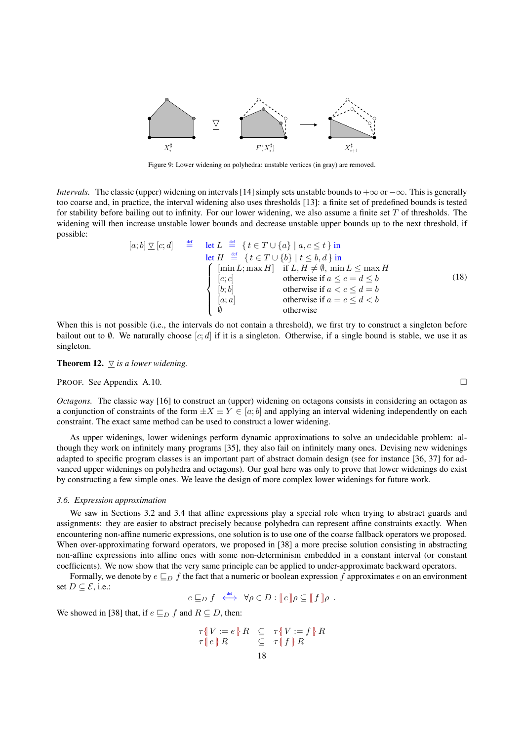

<span id="page-18-1"></span>Figure 9: Lower widening on polyhedra: unstable vertices (in gray) are removed.

*Intervals.* The classic (upper) widening on intervals [\[14\]](#page-32-13) simply sets unstable bounds to  $+\infty$  or  $-\infty$ . This is generally too coarse and, in practice, the interval widening also uses thresholds [\[13\]](#page-32-12): a finite set of predefined bounds is tested for stability before bailing out to infinity. For our lower widening, we also assume a finite set  $T$  of thresholds. The widening will then increase unstable lower bounds and decrease unstable upper bounds up to the next threshold, if possible:

<span id="page-18-3"></span>
$$
[a; b] \nabla [c; d] \quad \stackrel{\text{def}}{=} \quad \text{let } L \stackrel{\text{def}}{=} \{ t \in T \cup \{ a \} \mid a, c \le t \} \text{ in}
$$
\n
$$
\text{let } H \stackrel{\text{def}}{=} \{ t \in T \cup \{ b \} \mid t \le b, d \} \text{ in}
$$
\n
$$
\begin{cases}\n[\min L; \max H] & \text{if } L, H \neq \emptyset, \min L \le \max H \\
[c; c] & \text{otherwise if } a \le c = d \le b \\
[b; b] & \text{otherwise if } a < c \le d = b \\
\emptyset & \text{otherwise if } a = c \le d < b\n\end{cases} \tag{18}
$$

<span id="page-18-2"></span>When this is not possible (i.e., the intervals do not contain a threshold), we first try to construct a singleton before bailout out to  $\emptyset$ . We naturally choose [c; d] if it is a singleton. Otherwise, if a single bound is stable, we use it as singleton.

**Theorem 12.**  $\vee$  *is a lower widening.* 

## PROOF. See [Appendix A.10.](#page-31-1)

*Octagons.* The classic way [\[16\]](#page-33-0) to construct an (upper) widening on octagons consists in considering an octagon as a conjunction of constraints of the form  $\pm X \pm Y \in [a, b]$  and applying an interval widening independently on each constraint. The exact same method can be used to construct a lower widening.

As upper widenings, lower widenings perform dynamic approximations to solve an undecidable problem: although they work on infinitely many programs [\[35\]](#page-33-19), they also fail on infinitely many ones. Devising new widenings adapted to specific program classes is an important part of abstract domain design (see for instance [\[36,](#page-33-20) [37\]](#page-33-21) for advanced upper widenings on polyhedra and octagons). Our goal here was only to prove that lower widenings do exist by constructing a few simple ones. We leave the design of more complex lower widenings for future work.

#### <span id="page-18-0"></span>*3.6. Expression approximation*

We saw in Sections [3.2](#page-11-0) and [3.4](#page-15-3) that affine expressions play a special role when trying to abstract guards and assignments: they are easier to abstract precisely because polyhedra can represent affine constraints exactly. When encountering non-affine numeric expressions, one solution is to use one of the coarse fallback operators we proposed. When over-approximating forward operators, we proposed in [\[38\]](#page-33-22) a more precise solution consisting in abstracting non-affine expressions into affine ones with some non-determinism embedded in a constant interval (or constant coefficients). We now show that the very same principle can be applied to under-approximate backward operators.

Formally, we denote by  $e \sqsubseteq_D f$  the fact that a numeric or boolean expression f approximates e on an environment set  $D \subseteq \mathcal{E}$ , i.e.:

$$
e \sqsubseteq_D f \iff \forall \rho \in D : \llbracket e \rrbracket \rho \subseteq \llbracket f \rrbracket \rho .
$$

We showed in [\[38\]](#page-33-22) that, if  $e \sqsubseteq_D f$  and  $R \subseteq D$ , then:

$$
\tau \{ V := e \} R \subseteq \tau \{ V := f \} R
$$
  

$$
\tau \{ e \} R \subseteq \tau \{ f \} R
$$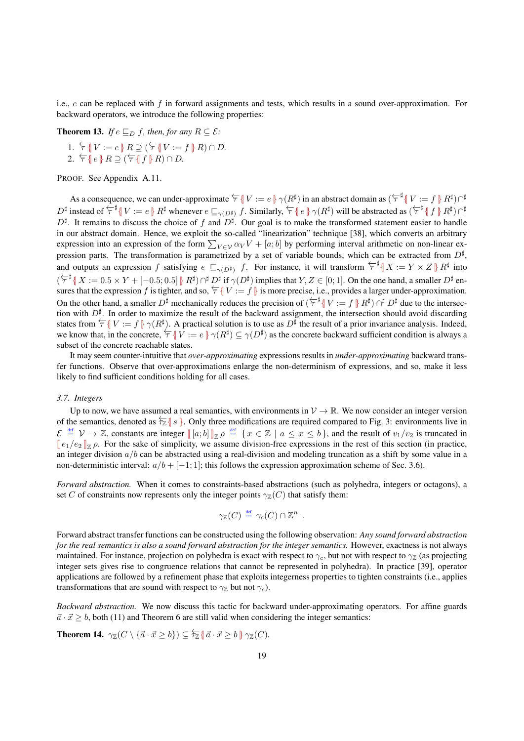i.e., e can be replaced with f in forward assignments and tests, which results in a sound over-approximation. For backward operators, we introduce the following properties:

**Theorem 13.** *If*  $e \sqsubseteq_D f$ , *then, for any*  $R \subseteq \mathcal{E}$ *:* 

<span id="page-19-1"></span>1.  $\overleftarrow{\tau} \parallel V := e \parallel R \supseteq (\overleftarrow{\tau} \parallel V := f \parallel R) \cap D.$ 2.  $\overleftarrow{\tau}$  { $e \nvert R \supset (\overleftarrow{\tau} \nvert f \rvert R) \cap D$ .

PROOF. See [Appendix A.11.](#page-31-2)

As a consequence, we can under-approximate  $\overleftarrow{\tau} \parallel V := e \parallel \gamma(R^{\sharp})$  in an abstract domain as  $(\overleftarrow{\tau}^{\sharp} \parallel V := f \parallel R^{\sharp}) \cap^{\sharp}$  $D^{\sharp}$  instead of  $\overleftarrow{\tau}^{\sharp} \{ V := e \} R^{\sharp}$  whenever  $e \sqsubseteq_{\gamma(D^{\sharp})} f$ . Similarly,  $\overleftarrow{\tau} \{ e \} \gamma(R^{\sharp})$  will be abstracted as  $(\overleftarrow{\tau}^{\sharp} \{ f \} R^{\sharp}) \cap^{\sharp}$  $D^{\sharp}$ . It remains to discuss the choice of f and  $D^{\sharp}$ . Our goal is to make the transformed statement easier to handle in our abstract domain. Hence, we exploit the so-called "linearization" technique [\[38\]](#page-33-22), which converts an arbitrary expression into an expression of the form  $\sum_{V \in \mathcal{V}} \alpha_V V + [a; b]$  by performing interval arithmetic on non-linear expression parts. The transformation is parametrized by a set of variable bounds, which can be extracted from  $D^{\sharp}$ , and outputs an expression f satisfying  $e \subseteq_{\gamma(D^{\sharp})} f$ . For instance, it will transform  $\overleftarrow{\tau}^{\sharp} \setminus X := Y \times Z \setminus R^{\sharp}$  into  $(\overleftarrow{\tau}^{\sharp} \setminus X := 0.5 \times Y + [-0.5; 0.5] \setminus R^{\sharp}) \cap^{\sharp} D^{\sharp}$  if  $\gamma(D^{\sharp})$  implies that  $Y, Z \in [0, 1]$ . On the one hand, a smaller  $D^{\sharp}$  ensures that the expression f is tighter, and so,  $\overleftarrow{I}$   $V := f$  is more precise, i.e., provides a larger under-approximation. On the other hand, a smaller  $D^{\sharp}$  mechanically reduces the precision of  $(\overline{\tau}^{\sharp} \{ V := f \} R^{\sharp}) \cap^{\sharp} D^{\sharp}$  due to the intersection with  $D^{\sharp}$ . In order to maximize the result of the backward assignment, the intersection should avoid discarding states from  $\overleftarrow{\tau}$  { $V := f \overrightarrow{}_{\tau} (R^{\sharp})$ . A practical solution is to use as  $D^{\sharp}$  the result of a prior invariance analysis. Indeed, we know that, in the concrete,  $\overleftarrow{\tau} \left\{ V := e \right\} \gamma(R^{\sharp}) \subseteq \gamma(D^{\sharp})$  as the concrete backward sufficient condition is always a subset of the concrete reachable states.

It may seem counter-intuitive that *over-approximating* expressions results in *under-approximating* backward transfer functions. Observe that over-approximations enlarge the non-determinism of expressions, and so, make it less likely to find sufficient conditions holding for all cases.

#### <span id="page-19-0"></span>*3.7. Integers*

Up to now, we have assumed a real semantics, with environments in  $V \to \mathbb{R}$ . We now consider an integer version of the semantics, denoted as  $\overleftarrow{T}$  s |. Only three modifications are required compared to Fig. [3:](#page-7-0) environments live in  $\mathcal{E} \stackrel{\text{def}}{=} \mathcal{V} \to \mathbb{Z}$ , constants are integer  $\llbracket [a;b] \rrbracket_{\mathbb{Z}} \rho \stackrel{\text{def}}{=} \{ x \in \mathbb{Z} \mid a \leq x \leq b \}$ , and the result of  $v_1/v_2$  is truncated in  $\llbracket e_1/e_2 \rrbracket_{\mathbb{Z}} \rho$ . For the sake of simplicity, we assume division-free expressions in the rest of this section (in practice, an integer division  $a/b$  can be abstracted using a real-division and modeling truncation as a shift by some value in a non-deterministic interval:  $a/b + [-1; 1]$ ; this follows the expression approximation scheme of Sec. [3.6\)](#page-18-0).

*Forward abstraction.* When it comes to constraints-based abstractions (such as polyhedra, integers or octagons), a set C of constraints now represents only the integer points  $\gamma_{\mathbb{Z}}(C)$  that satisfy them:

$$
\gamma_{\mathbb{Z}}(C) \stackrel{\text{def}}{=} \gamma_c(C) \cap \mathbb{Z}^n .
$$

Forward abstract transfer functions can be constructed using the following observation: *Any sound forward abstraction for the real semantics is also a sound forward abstraction for the integer semantics.* However, exactness is not always maintained. For instance, projection on polyhedra is exact with respect to  $\gamma_c$ , but not with respect to  $\gamma_{\mathbb{Z}}$  (as projecting integer sets gives rise to congruence relations that cannot be represented in polyhedra). In practice [\[39\]](#page-33-23), operator applications are followed by a refinement phase that exploits integerness properties to tighten constraints (i.e., applies transformations that are sound with respect to  $\gamma_{\mathbb{Z}}$  but not  $\gamma_c$ ).

*Backward abstraction.* We now discuss this tactic for backward under-approximating operators. For affine guards  $\vec{a} \cdot \vec{x} \geq b$ , both [\(11\)](#page-12-2) and Theorem [6](#page-12-1) are still valid when considering the integer semantics:

**Theorem 14.**  $\gamma_{\mathbb{Z}}(C \setminus {\vec{a}} \cdot \vec{x} \geq b) \subseteq \overleftarrow{\tau_{\mathbb{Z}}} {\vec{a}} \cdot \vec{x} \geq b {\vec{b}} \gamma_{\mathbb{Z}}(C)$ *.*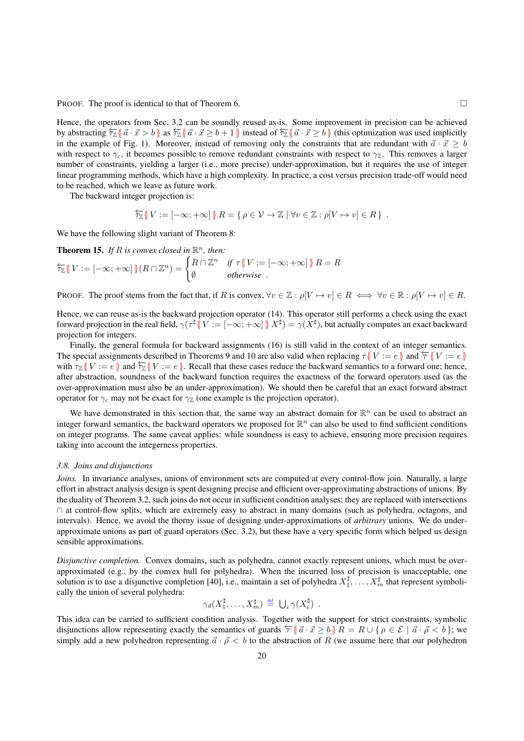**PROOF.** The proof is identical to that of Theorem [6.](#page-12-1)

Hence, the operators from Sec. [3.2](#page-11-0) can be soundly reused as-is. Some improvement in precision can be achieved by abstracting  $\overleftarrow{T_z}$   $\overrightarrow{a} \cdot \overrightarrow{x} > b$  } as  $\overleftarrow{T_z}$   $\overrightarrow{a} \cdot \overrightarrow{x} \geq b + 1$  } instead of  $\overleftarrow{T_z}$   $\overrightarrow{a} \cdot \overrightarrow{x} \geq b$  } (this optimization was used implicitly in the example of Fig. [1\)](#page-2-0). Moreover, instead of removing only the constraints that are redundant with  $\vec{a} \cdot \vec{x} \geq b$ with respect to  $\gamma_c$ , it becomes possible to remove redundant constraints with respect to  $\gamma_z$ . This removes a larger number of constraints, yielding a larger (i.e., more precise) under-approximation, but it requires the use of integer linear programming methods, which have a high complexity. In practice, a cost versus precision trade-off would need to be reached, which we leave as future work.

The backward integer projection is:

$$
\overleftarrow{\tau_{\mathbb{Z}}}\left\{V:=\left[-\infty;+\infty\right]\right\}R=\left\{\rho\in\mathcal{V}\to\mathbb{Z}\mid\forall v\in\mathbb{Z}:\rho[V\mapsto v]\in R\right\}\ .
$$

We have the following slight variant of Theorem [8:](#page-15-4)

**Theorem 15.** If R is convex closed in  $\mathbb{R}^n$ , then:

$$
\overleftarrow{\tau_{\mathbb{Z}}}\{\,V:= [-\infty; +\infty] \,\}\big\}(R\cap\mathbb{Z}^n) = \begin{cases} R\cap\mathbb{Z}^n & \text{if } \tau \{\,V:= [-\infty; +\infty] \,\}\,R = R \\ \emptyset & \text{otherwise} \end{cases}
$$

PROOF. The proof stems from the fact that, if R is convex,  $\forall v \in \mathbb{Z} : \rho[V \mapsto v] \in R \iff \forall v \in \mathbb{R} : \rho[V \mapsto v] \in R$ .

Hence, we can reuse as-is the backward projection operator [\(14\)](#page-15-5). This operator still performs a check using the exact forward projection in the real field,  $\gamma(\tau^\sharp \{ V := [-\infty; +\infty] \mid\} X^\sharp) = \gamma(X^\sharp)$ , but actually computes an exact backward projection for integers.

Finally, the general formula for backward assignments [\(16\)](#page-16-2) is still valid in the context of an integer semantics. The special assignments described in Theorems [9](#page-16-1) and [10](#page-17-0) are also valid when replacing  $\tau\{V := e\}$  and  $\overleftarrow{\tau}\{V := e\}$ with  $\tau_{\mathbb{Z}}\{V := e\}$  and  $\overleftarrow{\tau_{\mathbb{Z}}}\{V := e\}$ . Recall that these cases reduce the backward semantics to a forward one; hence, after abstraction, soundness of the backward function requires the exactness of the forward operators used (as the over-approximation must also be an under-approximation). We should then be careful that an exact forward abstract operator for  $\gamma_c$  may not be exact for  $\gamma_{\mathbb{Z}}$  (one example is the projection operator).

We have demonstrated in this section that, the same way an abstract domain for  $\mathbb{R}^n$  can be used to abstract an integer forward semantics, the backward operators we proposed for  $\mathbb{R}^n$  can also be used to find sufficient conditions on integer programs. The same caveat applies: while soundness is easy to achieve, ensuring more precision requires taking into account the integerness properties.

#### *3.8. Joins and disjunctions*

*Joins.* In invariance analyses, unions of environment sets are computed at every control-flow join. Naturally, a large effort in abstract analysis design is spent designing precise and efficient over-approximating abstractions of unions. By the duality of Theorem [3](#page-8-0)[.2,](#page-8-1) such joins do not occur in sufficient condition analyses; they are replaced with intersections ∩ at control-flow splits, which are extremely easy to abstract in many domains (such as polyhedra, octagons, and intervals). Hence, we avoid the thorny issue of designing under-approximations of *arbitrary* unions. We do underapproximate unions as part of guard operators (Sec. [3.2\)](#page-11-0), but these have a very specific form which helped us design sensible approximations.

*Disjunctive completion.* Convex domains, such as polyhedra, cannot exactly represent unions, which must be overapproximated (e.g., by the convex hull for polyhedra). When the incurred loss of precision is unacceptable, one solution is to use a disjunctive completion [\[40\]](#page-33-24), i.e., maintain a set of polyhedra  $X_1^{\sharp}, \ldots, X_m^{\sharp}$  that represent symbolically the union of several polyhedra:

$$
\gamma_d(X_1^{\sharp},\ldots,X_m^{\sharp}) \stackrel{\text{def}}{=} \bigcup_i \gamma(X_i^{\sharp}) \ .
$$

This idea can be carried to sufficient condition analysis. Together with the support for strict constraints, symbolic disjunctions allow representing exactly the semantics of guards  $\overleftarrow{\tau} \parallel \vec{a} \cdot \vec{x} \ge b \parallel R = R \cup \{ \rho \in \mathcal{E} \mid \vec{a} \cdot \vec{\rho} < b \}$ ; we simply add a new polyhedron representing  $\vec{a} \cdot \vec{\rho} < b$  to the abstraction of R (we assume here that our polyhedron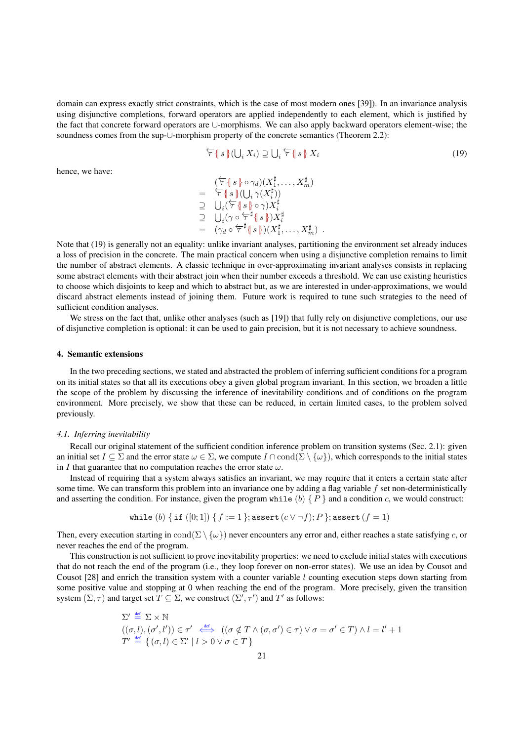domain can express exactly strict constraints, which is the case of most modern ones [\[39\]](#page-33-23)). In an invariance analysis using disjunctive completions, forward operators are applied independently to each element, which is justified by the fact that concrete forward operators are ∪-morphisms. We can also apply backward operators element-wise; the soundness comes from the sup-∪-morphism property of the concrete semantics (Theorem [2](#page-8-5)[.2\)](#page-8-9):

<span id="page-21-1"></span>
$$
\overleftarrow{\tau} \{ s \} (\bigcup_i X_i) \supseteq \bigcup_i \overleftarrow{\tau} \{ s \} X_i
$$
\n
$$
(\overleftarrow{\tau} \{ s \} \circ \gamma_d)(X_1^{\sharp}, \dots, X_m^{\sharp})
$$
\n
$$
= \overleftarrow{\tau} \{ s \} (\bigcup_i \gamma(X_i^{\sharp}))
$$
\n
$$
\sum_i \bigcup_i (\overleftarrow{\tau} \{ s \} \cap \gamma_i) \bigcup_i Y_{\sharp}^{\sharp}
$$
\n(19)

$$
\supseteq \bigcup_{i} \overline{\langle \tau \ {\mathbf{1}} s \ {\mathbf{0}} \ \gamma \rangle} X_{i}^{\sharp}
$$
\n
$$
\supseteq \bigcup_{i} \overline{\langle \gamma \ {\mathbf{0}} \ \overline{\tau}^{\sharp} \ {\mathbf{1}} s \ {\mathbf{0}} \ \gamma \rangle} X_{i}^{\sharp}
$$
\n
$$
= \left( \gamma_{d} \ {\mathbf{0}} \ \overline{\tau}^{\sharp} \ {\mathbf{1}} s \ {\mathbf{0}} \right) (X_{1}^{\sharp}, \ldots, X_{m}^{\sharp})
$$

Note that [\(19\)](#page-21-1) is generally not an equality: unlike invariant analyses, partitioning the environment set already induces a loss of precision in the concrete. The main practical concern when using a disjunctive completion remains to limit the number of abstract elements. A classic technique in over-approximating invariant analyses consists in replacing some abstract elements with their abstract join when their number exceeds a threshold. We can use existing heuristics to choose which disjoints to keep and which to abstract but, as we are interested in under-approximations, we would discard abstract elements instead of joining them. Future work is required to tune such strategies to the need of sufficient condition analyses.

We stress on the fact that, unlike other analyses (such as [\[19\]](#page-33-3)) that fully rely on disjunctive completions, our use of disjunctive completion is optional: it can be used to gain precision, but it is not necessary to achieve soundness.

#### <span id="page-21-0"></span>4. Semantic extensions

hence, we have:

In the two preceding sections, we stated and abstracted the problem of inferring sufficient conditions for a program on its initial states so that all its executions obey a given global program invariant. In this section, we broaden a little the scope of the problem by discussing the inference of inevitability conditions and of conditions on the program environment. More precisely, we show that these can be reduced, in certain limited cases, to the problem solved previously.

#### *4.1. Inferring inevitability*

Recall our original statement of the sufficient condition inference problem on transition systems (Sec. [2.1\)](#page-4-2): given an initial set  $I \subseteq \Sigma$  and the error state  $\omega \in \Sigma$ , we compute  $I \cap \text{cond}(\Sigma \setminus \{\omega\})$ , which corresponds to the initial states in I that guarantee that no computation reaches the error state  $\omega$ .

Instead of requiring that a system always satisfies an invariant, we may require that it enters a certain state after some time. We can transform this problem into an invariance one by adding a flag variable f set non-deterministically and asserting the condition. For instance, given the program while  $(b)$  {  $P$  } and a condition  $c$ , we would construct:

while (b) { if ([0; 1]) { 
$$
f := 1
$$
}; assert ( $c \vee \neg f$ );  $P$ }; assert ( $f = 1$ )

Then, every execution starting in cond( $\Sigma \setminus {\omega}$ ) never encounters any error and, either reaches a state satisfying c, or never reaches the end of the program.

This construction is not sufficient to prove inevitability properties: we need to exclude initial states with executions that do not reach the end of the program (i.e., they loop forever on non-error states). We use an idea by Cousot and Cousot  $[28]$  and enrich the transition system with a counter variable l counting execution steps down starting from some positive value and stopping at 0 when reaching the end of the program. More precisely, given the transition system  $(\Sigma, \tau)$  and target set  $T \subseteq \Sigma$ , we construct  $(\Sigma', \tau')$  and  $T'$  as follows:

$$
\Sigma' \stackrel{\text{def}}{=} \Sigma \times \mathbb{N}
$$
  

$$
((\sigma, l), (\sigma', l')) \in \tau' \iff ((\sigma \notin T \land (\sigma, \sigma') \in \tau) \lor \sigma = \sigma' \in T) \land l = l' + 1
$$
  

$$
T' \stackrel{\text{def}}{=} \{ (\sigma, l) \in \Sigma' \mid l > 0 \lor \sigma \in T \}
$$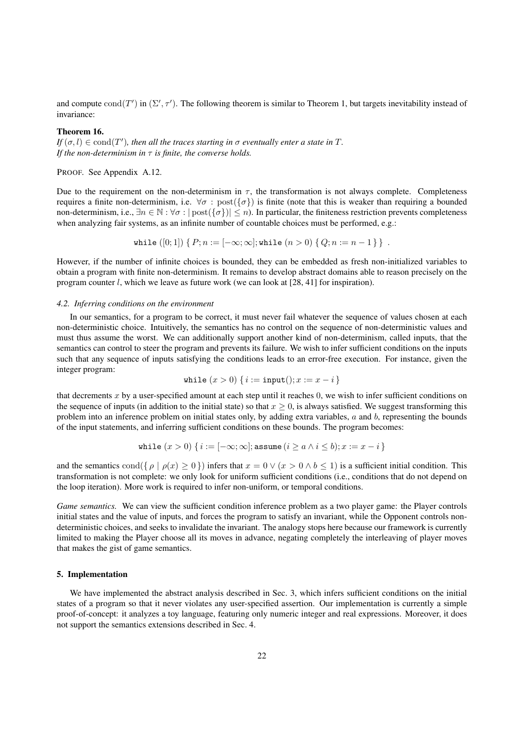<span id="page-22-2"></span>and compute  $cond(T')$  in  $(\Sigma', \tau')$ . The following theorem is similar to Theorem [1,](#page-4-3) but targets inevitability instead of invariance:

## Theorem 16.

 $\partial f(\sigma, l) \in \text{cond}(T')$ , then all the traces starting in  $\sigma$  eventually enter a state in T. *If the non-determinism in*  $\tau$  *is finite, the converse holds.* 

PROOF. See [Appendix A.12.](#page-32-15)

Due to the requirement on the non-determinism in  $\tau$ , the transformation is not always complete. Completeness requires a finite non-determinism, i.e.  $\forall \sigma : \text{post}(\{\sigma\})$  is finite (note that this is weaker than requiring a bounded non-determinism, i.e.,  $\exists n \in \mathbb{N} : \forall \sigma : |\text{post}(\{\sigma\})| \leq n$ ). In particular, the finiteness restriction prevents completeness when analyzing fair systems, as an infinite number of countable choices must be performed, e.g.:

while  $([0; 1]) \{ P; n := [-\infty; \infty];$  while  $(n > 0) \{ Q; n := n - 1 \} \}$ .

However, if the number of infinite choices is bounded, they can be embedded as fresh non-initialized variables to obtain a program with finite non-determinism. It remains to develop abstract domains able to reason precisely on the program counter  $l$ , which we leave as future work (we can look at  $[28, 41]$  $[28, 41]$  for inspiration).

#### <span id="page-22-1"></span>*4.2. Inferring conditions on the environment*

In our semantics, for a program to be correct, it must never fail whatever the sequence of values chosen at each non-deterministic choice. Intuitively, the semantics has no control on the sequence of non-deterministic values and must thus assume the worst. We can additionally support another kind of non-determinism, called inputs, that the semantics can control to steer the program and prevents its failure. We wish to infer sufficient conditions on the inputs such that any sequence of inputs satisfying the conditions leads to an error-free execution. For instance, given the integer program:

while 
$$
(x > 0)
$$
 {  $i :=$  input();  $x := x - i$  }

that decrements  $x$  by a user-specified amount at each step until it reaches  $0$ , we wish to infer sufficient conditions on the sequence of inputs (in addition to the initial state) so that  $x \ge 0$ , is always satisfied. We suggest transforming this problem into an inference problem on initial states only, by adding extra variables, a and b, representing the bounds of the input statements, and inferring sufficient conditions on these bounds. The program becomes:

while 
$$
(x > 0)
$$
 {  $i := [-\infty, \infty]$ ; assume  $(i \ge a \land i \le b)$ ;  $x := x - i$  }

and the semantics cond({ $\rho | \rho(x) \ge 0$ }) infers that  $x = 0 \vee (x > 0 \wedge b \le 1)$  is a sufficient initial condition. This transformation is not complete: we only look for uniform sufficient conditions (i.e., conditions that do not depend on the loop iteration). More work is required to infer non-uniform, or temporal conditions.

*Game semantics.* We can view the sufficient condition inference problem as a two player game: the Player controls initial states and the value of inputs, and forces the program to satisfy an invariant, while the Opponent controls nondeterministic choices, and seeks to invalidate the invariant. The analogy stops here because our framework is currently limited to making the Player choose all its moves in advance, negating completely the interleaving of player moves that makes the gist of game semantics.

#### <span id="page-22-0"></span>5. Implementation

We have implemented the abstract analysis described in Sec. [3,](#page-9-0) which infers sufficient conditions on the initial states of a program so that it never violates any user-specified assertion. Our implementation is currently a simple proof-of-concept: it analyzes a toy language, featuring only numeric integer and real expressions. Moreover, it does not support the semantics extensions described in Sec. [4.](#page-21-0)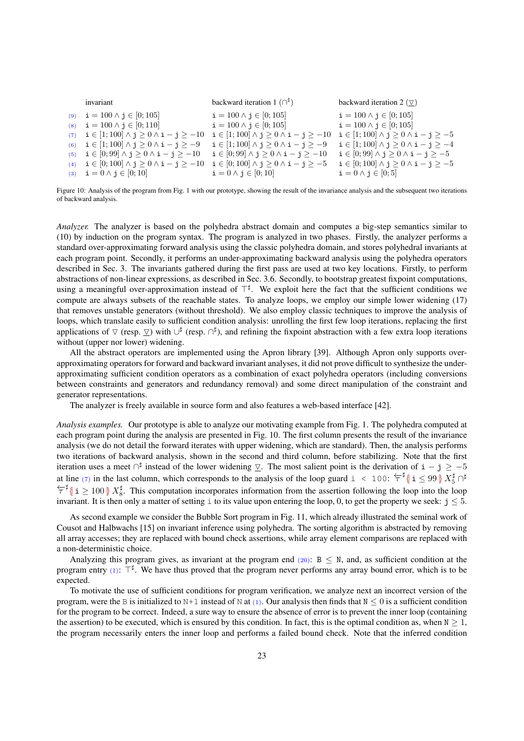| invariant                                                | backward iteration 1 $(\bigcap^{\sharp})$              | backward iteration 2 $(\nabla)$                       |
|----------------------------------------------------------|--------------------------------------------------------|-------------------------------------------------------|
| (9) $i = 100 \land j \in [0; 105]$                       | $i = 100 \land j \in [0; 105]$                         | $i = 100 \land j \in [0; 105]$                        |
| (8) $\mathbf{i} = 100 \land \mathbf{j} \in [0; 110]$     | $i = 100 \land j \in [0; 105]$                         | $i = 100 \land j \in [0; 105]$                        |
| (7) $i \in [1; 100] \wedge j \ge 0 \wedge i - j \ge -10$ | $i \in [1; 100] \wedge j \geq 0 \wedge i - j \geq -10$ | $i \in [1; 100] \wedge j \geq 0 \wedge i - j \geq -5$ |
| (6) $i \in [1; 100] \wedge j \ge 0 \wedge i - j \ge -9$  | $i \in [1; 100] \wedge j \ge 0 \wedge i - j \ge -9$    | $i \in [1; 100] \wedge j \geq 0 \wedge i - j \geq -4$ |
| (5) $i \in [0; 99] \wedge j \ge 0 \wedge i - j \ge -10$  | $i \in [0; 99] \wedge j \geq 0 \wedge i - j \geq -10$  | $i \in [0; 99] \wedge j \geq 0 \wedge i - j \geq -5$  |
| (4) $i \in [0; 100] \wedge j \ge 0 \wedge i - j \ge -10$ | $i \in [0; 100] \wedge j \geq 0 \wedge i - j \geq -5$  | $i \in [0; 100] \wedge j \geq 0 \wedge i - j \geq -5$ |
| (3) $i = 0 \land j \in [0; 10]$                          | $i = 0 \wedge j \in [0; 10]$                           | $\mathtt{i} = 0 \land \mathtt{j} \in [0;5]$           |

<span id="page-23-0"></span>Figure 10: Analysis of the program from Fig. [1](#page-2-0) with our prototype, showing the result of the invariance analysis and the subsequent two iterations of backward analysis.

*Analyzer.* The analyzer is based on the polyhedra abstract domain and computes a big-step semantics similar to [\(10\)](#page-10-1) by induction on the program syntax. The program is analyzed in two phases. Firstly, the analyzer performs a standard over-approximating forward analysis using the classic polyhedra domain, and stores polyhedral invariants at each program point. Secondly, it performs an under-approximating backward analysis using the polyhedra operators described in Sec. [3.](#page-9-0) The invariants gathered during the first pass are used at two key locations. Firstly, to perform abstractions of non-linear expressions, as described in Sec. [3.6.](#page-18-0) Secondly, to bootstrap greatest fixpoint computations, using a meaningful over-approximation instead of  $\top^{\sharp}$ . We exploit here the fact that the sufficient conditions we compute are always subsets of the reachable states. To analyze loops, we employ our simple lower widening [\(17\)](#page-17-1) that removes unstable generators (without threshold). We also employ classic techniques to improve the analysis of loops, which translate easily to sufficient condition analysis: unrolling the first few loop iterations, replacing the first applications of  $\nabla$  (resp.  $\nabla$ ) with  $\cup^{\sharp}$  (resp.  $\cap^{\sharp}$ ), and refining the fixpoint abstraction with a few extra loop iterations without (upper nor lower) widening.

All the abstract operators are implemented using the Apron library [\[39\]](#page-33-23). Although Apron only supports overapproximating operators for forward and backward invariant analyses, it did not prove difficult to synthesize the underapproximating sufficient condition operators as a combination of exact polyhedra operators (including conversions between constraints and generators and redundancy removal) and some direct manipulation of the constraint and generator representations.

The analyzer is freely available in source form and also features a web-based interface [\[42\]](#page-33-26).

*Analysis examples.* Our prototype is able to analyze our motivating example from Fig. [1.](#page-2-0) The polyhedra computed at each program point during the analysis are presented in Fig. [10.](#page-23-0) The first column presents the result of the invariance analysis (we do not detail the forward iterates with upper widening, which are standard). Then, the analysis performs two iterations of backward analysis, shown in the second and third column, before stabilizing. Note that the first iteration uses a meet  $\cap^{\sharp}$  instead of the lower widening  $\vee$ . The most salient point is the derivation of i – j  $\geq$  –5 at line (7) in the last column, which corresponds to the analysis of the loop guard i < 100:  $\overleftarrow{\tau}^{\sharp} \setminus i \leq 99 \overline{\} X_5^{\sharp} \cap^{\sharp}$  $\forall \bar{\tau}^{\sharp}$  { i  $\geq 100$  }  $X_{8}^{\sharp}$ . This computation incorporates information from the assertion following the loop into the loop invariant. It is then only a matter of setting i to its value upon entering the loop, 0, to get the property we seek:  $j \le 5$ .

As second example we consider the Bubble Sort program in Fig. [11,](#page-24-0) which already illustrated the seminal work of Cousot and Halbwachs [\[15\]](#page-32-14) on invariant inference using polyhedra. The sorting algorithm is abstracted by removing all array accesses; they are replaced with bound check assertions, while array element comparisons are replaced with a non-deterministic choice.

Analyzing this program gives, as invariant at the program end (20):  $B \leq N$ , and, as sufficient condition at the program entry (1):  $\top^{\sharp}$ . We have thus proved that the program never performs any array bound error, which is to be expected.

To motivate the use of sufficient conditions for program verification, we analyze next an incorrect version of the program, were the B is initialized to N+1 instead of N at (1). Our analysis then finds that  $N \le 0$  is a sufficient condition for the program to be correct. Indeed, a sure way to ensure the absence of error is to prevent the inner loop (containing the assertion) to be executed, which is ensured by this condition. In fact, this is the optimal condition as, when  $N \ge 1$ , the program necessarily enters the inner loop and performs a failed bound check. Note that the inferred condition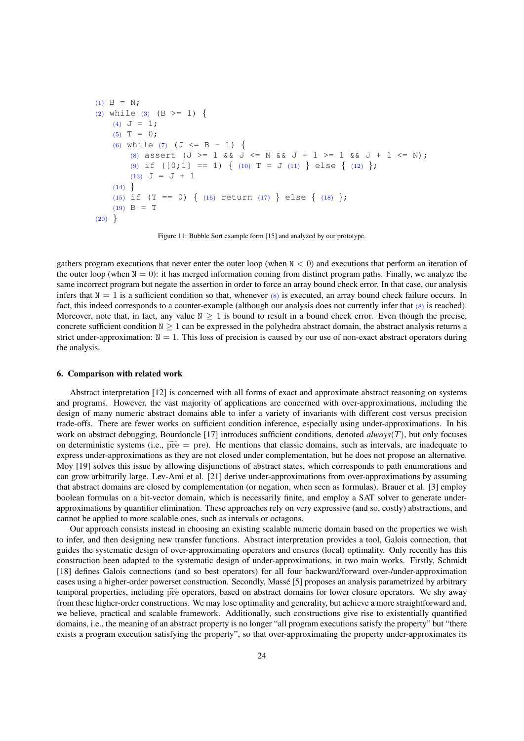```
(1) B = N;
(2) while (3) (B \ge 1) {
   (4) J = 1;(5) T = 0;(6) while (7) (J \leq B - 1) {
        (8) assert (J \ge 1 \& 0 \& J \le N \& 0 \& J + 1 \ge 1 \& 0 \& J + 1 \le N);(9) if ([0;1] == 1) { (10) T = J (11) } else { (12) };(13) J = J + 1
   (14)(15) if (T == 0) \{ (16) return (17) \} else \{ (18) \};(19) B = T
(20)}
```
<span id="page-24-0"></span>Figure 11: Bubble Sort example form [\[15\]](#page-32-14) and analyzed by our prototype.

gathers program executions that never enter the outer loop (when  $N < 0$ ) and executions that perform an iteration of the outer loop (when  $N = 0$ ): it has merged information coming from distinct program paths. Finally, we analyze the same incorrect program but negate the assertion in order to force an array bound check error. In that case, our analysis infers that  $N = 1$  is a sufficient condition so that, whenever (8) is executed, an array bound check failure occurs. In fact, this indeed corresponds to a counter-example (although our analysis does not currently infer that (8) is reached). Moreover, note that, in fact, any value  $N \geq 1$  is bound to result in a bound check error. Even though the precise, concrete sufficient condition  $N \geq 1$  can be expressed in the polyhedra abstract domain, the abstract analysis returns a strict under-approximation:  $N = 1$ . This loss of precision is caused by our use of non-exact abstract operators during the analysis.

#### <span id="page-24-1"></span>6. Comparison with related work

Abstract interpretation [\[12\]](#page-32-11) is concerned with all forms of exact and approximate abstract reasoning on systems and programs. However, the vast majority of applications are concerned with over-approximations, including the design of many numeric abstract domains able to infer a variety of invariants with different cost versus precision trade-offs. There are fewer works on sufficient condition inference, especially using under-approximations. In his work on abstract debugging, Bourdoncle [\[17\]](#page-33-1) introduces sufficient conditions, denoted *always*(T), but only focuses on deterministic systems (i.e.,  $\tilde{pr} = \text{pre}$ ). He mentions that classic domains, such as intervals, are inadequate to express under-approximations as they are not closed under complementation, but he does not propose an alternative. Moy [\[19\]](#page-33-3) solves this issue by allowing disjunctions of abstract states, which corresponds to path enumerations and can grow arbitrarily large. Lev-Ami et al. [\[21\]](#page-33-5) derive under-approximations from over-approximations by assuming that abstract domains are closed by complementation (or negation, when seen as formulas). Brauer et al. [\[3\]](#page-32-2) employ boolean formulas on a bit-vector domain, which is necessarily finite, and employ a SAT solver to generate underapproximations by quantifier elimination. These approaches rely on very expressive (and so, costly) abstractions, and cannot be applied to more scalable ones, such as intervals or octagons.

Our approach consists instead in choosing an existing scalable numeric domain based on the properties we wish to infer, and then designing new transfer functions. Abstract interpretation provides a tool, Galois connection, that guides the systematic design of over-approximating operators and ensures (local) optimality. Only recently has this construction been adapted to the systematic design of under-approximations, in two main works. Firstly, Schmidt [\[18\]](#page-33-2) defines Galois connections (and so best operators) for all four backward/forward over-/under-approximation cases using a higher-order powerset construction. Secondly, Masse [\[5\]](#page-32-4) proposes an analysis parametrized by arbitrary ´ temporal properties, including  $\widetilde{pre}$  operators, based on abstract domains for lower closure operators. We shy away from these higher-order constructions. We may lose optimality and generality, but achieve a more straightforward and, we believe, practical and scalable framework. Additionally, such constructions give rise to existentially quantified domains, i.e., the meaning of an abstract property is no longer "all program executions satisfy the property" but "there exists a program execution satisfying the property", so that over-approximating the property under-approximates its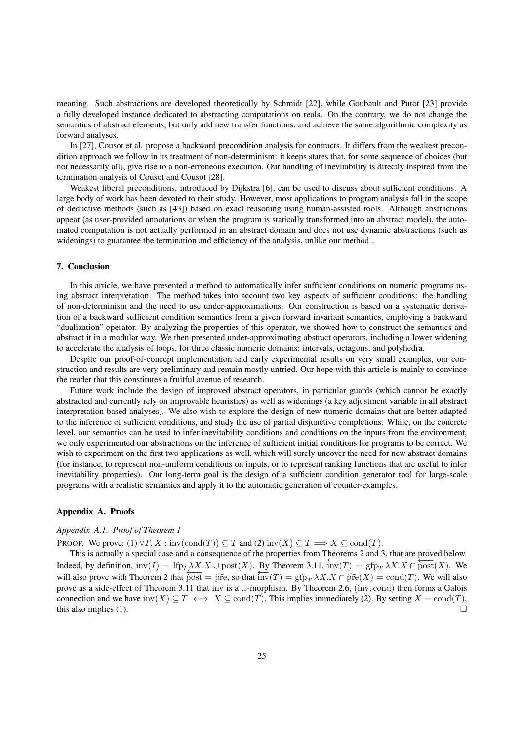meaning. Such abstractions are developed theoretically by Schmidt [\[22\]](#page-33-6), while Goubault and Putot [\[23\]](#page-33-7) provide a fully developed instance dedicated to abstracting computations on reals. On the contrary, we do not change the semantics of abstract elements, but only add new transfer functions, and achieve the same algorithmic complexity as forward analyses.

In [\[27\]](#page-33-11), Cousot et al. propose a backward precondition analysis for contracts. It differs from the weakest precondition approach we follow in its treatment of non-determinism: it keeps states that, for some sequence of choices (but not necessarily all), give rise to a non-erroneous execution. Our handling of inevitability is directly inspired from the termination analysis of Cousot and Cousot [\[28\]](#page-33-12).

Weakest liberal preconditions, introduced by Dijkstra [\[6\]](#page-32-5), can be used to discuss about sufficient conditions. A large body of work has been devoted to their study. However, most applications to program analysis fall in the scope of deductive methods (such as [\[43\]](#page-33-27)) based on exact reasoning using human-assisted tools. Although abstractions appear (as user-provided annotations or when the program is statically transformed into an abstract model), the automated computation is not actually performed in an abstract domain and does not use dynamic abstractions (such as widenings) to guarantee the termination and efficiency of the analysis, unlike our method .

## <span id="page-25-0"></span>7. Conclusion

In this article, we have presented a method to automatically infer sufficient conditions on numeric programs using abstract interpretation. The method takes into account two key aspects of sufficient conditions: the handling of non-determinism and the need to use under-approximations. Our construction is based on a systematic derivation of a backward sufficient condition semantics from a given forward invariant semantics, employing a backward "dualization" operator. By analyzing the properties of this operator, we showed how to construct the semantics and abstract it in a modular way. We then presented under-approximating abstract operators, including a lower widening to accelerate the analysis of loops, for three classic numeric domains: intervals, octagons, and polyhedra.

Despite our proof-of-concept implementation and early experimental results on very small examples, our construction and results are very preliminary and remain mostly untried. Our hope with this article is mainly to convince the reader that this constitutes a fruitful avenue of research.

Future work include the design of improved abstract operators, in particular guards (which cannot be exactly abstracted and currently rely on improvable heuristics) as well as widenings (a key adjustment variable in all abstract interpretation based analyses). We also wish to explore the design of new numeric domains that are better adapted to the inference of sufficient conditions, and study the use of partial disjunctive completions. While, on the concrete level, our semantics can be used to infer inevitability conditions and conditions on the inputs from the environment, we only experimented our abstractions on the inference of sufficient initial conditions for programs to be correct. We wish to experiment on the first two applications as well, which will surely uncover the need for new abstract domains (for instance, to represent non-uniform conditions on inputs, or to represent ranking functions that are useful to infer inevitability properties). Our long-term goal is the design of a sufficient condition generator tool for large-scale programs with a realistic semantics and apply it to the automatic generation of counter-examples.

## <span id="page-25-1"></span>Appendix A. Proofs

#### <span id="page-25-2"></span>*Appendix A.1. Proof of Theorem [1](#page-4-3)*

PROOF. We prove: (1)  $\forall T, X : inv(cond(T)) \subseteq T$  and (2)  $inv(X) \subseteq T \implies X \subseteq cond(T)$ .

This is actually a special case and a consequence of the properties from Theorems [2](#page-8-5) and [3,](#page-8-0) that are proved below. Indeed, by definition,  $inv(I) = \text{lfp}_I \lambda X.X \cup post(X)$ . By Theorem [3.](#page-8-0)[11,](#page-8-4)  $inv(T) = gf_T \lambda X.X \cap post(X)$ . We will also prove with Theorem [2](#page-8-5) that post = pre, so that  $\text{inv}(T) = \text{gfp}_T \lambda X. X \cap \text{pr}(X) = \text{cond}(T)$ . We will also prove as a side-effect of Theorem [3](#page-8-0)[.11](#page-8-4) that inv is a ∪-morphism. By Theorem [2](#page-8-5)[.6,](#page-8-10) (inv, cond) then forms a Galois connection and we have  $inv(X) \subseteq T \iff X \subseteq cond(T)$ . This implies immediately (2). By setting  $X = cond(T)$ , this also implies (1).  $\Box$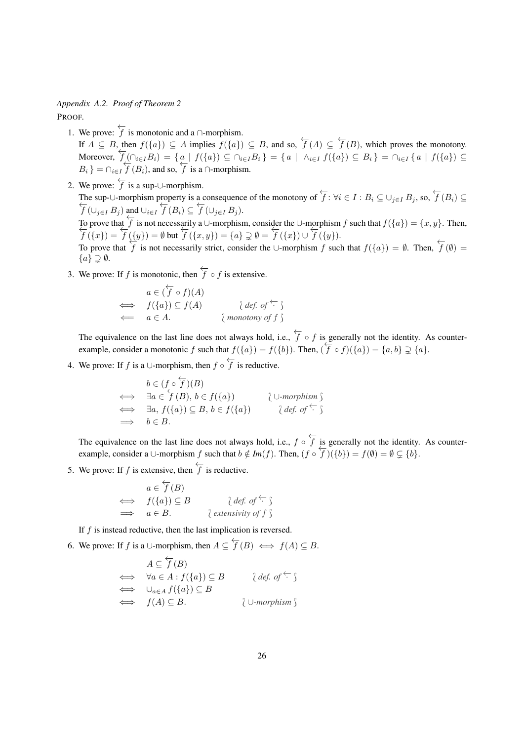## <span id="page-26-0"></span>*Appendix A.2. Proof of Theorem [2](#page-8-5)*

PROOF.

1. We prove:  $\overleftarrow{f}$  is monotonic and a ∩-morphism.

If  $A \subseteq B$ , then  $f(\lbrace a \rbrace) \subseteq A$  implies  $f(\lbrace a \rbrace) \subseteq B$ , and so,  $\overleftarrow{f}(A) \subseteq \overleftarrow{f}(B)$ , which proves the monotony.  $\text{Moreover, } f(\cap_{i\in I}B_i) = \{a \mid f(\{a\}) \subseteq \cap_{i\in I}B_i\} = \{a \mid \wedge_{i\in I} f(\{a\}) \subseteq B_i\} = \cap_{i\in I} \{a \mid f(\{a\}) \subseteq B_i\}$  $B_i$  } =  $\bigcap_{i \in I} f(B_i)$ , and so,  $\overline{f}$  is a  $\cap$ -morphism.

- 2. We prove:  $\overleftarrow{f}$  is a sup-∪-morphism. The sup-∪-morphism property is a consequence of the monotony of  $\overleftarrow{f}$ :  $\forall i \in I : B_i \subseteq \bigcup_{j \in I} B_j$ , so,  $\overleftarrow{f}(B_i) \subseteq$  $\overline{f}(\bigcup_{j\in I} B_j)$  and  $\bigcup_{i\in I} \overline{f}(B_i) \subseteq \overline{f}(\bigcup_{j\in I} B_j)$ . To prove that  $\overline{f}$  is not necessarily a ∪-morphism, consider the ∪-morphism f such that  $f(\{a\}) = \{x, y\}$ . Then,  $\overline{f}(\{x\}) = \overline{f}(\{y\}) = \emptyset$  but  $\overline{f}(\{x,y\}) = \{a\} \supsetneq \emptyset = \overline{f}(\{x\}) \cup \overline{f}(\{y\}).$ To prove that  $\overline{f}$  is not necessarily strict, consider the ∪-morphism f such that  $f(\{a\}) = \emptyset$ . Then,  $\overline{f}(\emptyset) =$  ${a} \supseteq \emptyset$ .
- 3. We prove: If f is monotonic, then  $\overleftarrow{f} \circ f$  is extensive.

$$
a \in (\mathfrak{f} \circ f)(A)
$$
  
\n
$$
\iff f(\{a\}) \subseteq f(A) \qquad \text{def. of } \mathfrak{f} \mathfrak{f}
$$
  
\n
$$
\iff a \in A. \qquad \text{ (monotony of } f \mathfrak{f})
$$

The equivalence on the last line does not always hold, i.e.,  $\overleftarrow{f} \circ f$  is generally not the identity. As counterexample, consider a monotonic f such that  $f({a}) = f({b})$ . Then,  $(\overline{f} \circ f)(\overline{a}) = \{a, b\} \supseteq \{a\}$ .

4. We prove: If *f* is a ∪-morphism, then  $f \circ \overleftarrow{f}$  is reductive.

$$
b \in (f \circ f)(B)
$$
  
\n
$$
\iff \exists a \in f(B), b \in f(\{a\}) \qquad \text{[} \cup \text{-morphism} \text{]}
$$
  
\n
$$
\iff \exists a, f(\{a\}) \subseteq B, b \in f(\{a\}) \qquad \text{[} \text{def. of } \text{--}\text{]}
$$
  
\n
$$
\Rightarrow b \in B.
$$

The equivalence on the last line does not always hold, i.e.,  $f \circ \overleftarrow{f}$  is generally not the identity. As counterexample, consider a ∪-morphism f such that  $b \notin Im(f)$ . Then,  $(f \circ f)(\{b\}) = f(\emptyset) = \emptyset \subsetneq \{b\}$ .

5. We prove: If f is extensive, then  $\overleftarrow{f}$  is reductive.

$$
a \in \overleftarrow{f}(B)
$$
  
\n
$$
\iff f(\{a\}) \subseteq B \qquad \text{def. of} \in \S
$$
  
\n
$$
\implies a \in B.
$$
 \qquad \text{existsivity of } f \S

If  $f$  is instead reductive, then the last implication is reversed.

6. We prove: If f is a ∪-morphism, then  $A \subseteq \overleftarrow{f}(B) \iff f(A) \subseteq B$ .

$$
A \subseteq \overleftarrow{f}(B)
$$
  
\n
$$
\iff \forall a \in A : f(\{a\}) \subseteq B \qquad \text{def. of } \overleftarrow{S}
$$
  
\n
$$
\iff \cup_{a \in A} f(\{a\}) \subseteq B \qquad \text{if } \cup \text{-morphism } \overrightarrow{S}
$$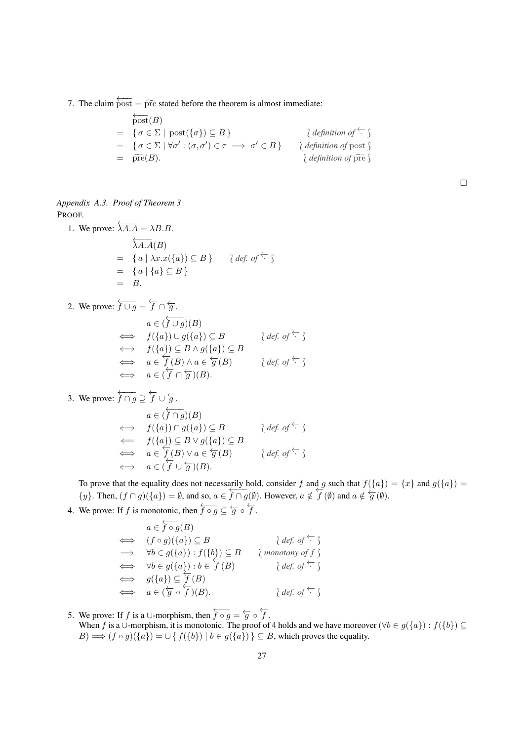<span id="page-27-0"></span>7. The claim  $\frac{\sqrt{2}}{\sqrt{2}}$  =  $\widetilde{pr}$  stated before the theorem is almost immediate:

←−− post(B) <sup>=</sup> { <sup>σ</sup> <sup>∈</sup> <sup>Σ</sup> <sup>|</sup> post({σ}) <sup>⊆</sup> <sup>B</sup> } <sup>H</sup> *definition of* ←−· <sup>I</sup> = { σ ∈ Σ | ∀σ ′ : (σ, σ′ ) ∈ τ =⇒ σ ′ ∈ B } H *definition of* post I <sup>=</sup> pre( <sup>f</sup> <sup>B</sup>). <sup>H</sup> *definition of* pre <sup>f</sup> <sup>I</sup>

 $\Box$ 

## <span id="page-27-1"></span>*Appendix A.3. Proof of Theorem [3](#page-8-0)* PROOF.

- 1. We prove:  $\overleftarrow{\lambda A.A} = \lambda B.B.$  $\overleftarrow{\lambda A.A}(B)$  $= \{ a \mid \lambda x. x(\lbrace a \rbrace) \subseteq B \} \qquad \text{def. of} \leq \text{def.}$  $= \{ a \mid \{a\} \subseteq B \}$  $=$   $B$ .
- 2. We prove:  $\overleftarrow{f \cup g} = \overleftarrow{f} \cap \overleftarrow{g}$ .

$$
a \in (\overleftarrow{f \cup g})(B)
$$
  
\n
$$
\iff f(\{a\}) \cup g(\{a\}) \subseteq B \qquad \text{def. of}^{\leftarrow} \text{)}
$$
  
\n
$$
\iff f(\{a\}) \subseteq B \land g(\{a\}) \subseteq B
$$
  
\n
$$
\iff a \in \overleftarrow{f(B)} \land a \in \overleftarrow{g(B)} \qquad \text{def. of}^{\leftarrow} \text{)}
$$
  
\n
$$
\iff a \in (\overleftarrow{f} \cap \overleftarrow{g})(B).
$$

3. We prove: 
$$
\overleftarrow{f \cap g} \supseteq \overleftarrow{f} \cup \overleftarrow{g}
$$
.  
\n
$$
a \in (\overleftarrow{f \cap g})(B)
$$
\n
$$
\iff f(\{a\}) \cap g(\{a\}) \subseteq B
$$
\n
$$
\iff f(\{a\}) \subseteq B \lor g(\{a\}) \subseteq B
$$

$$
\iff a \in \overbrace{f(B) \lor a \in \overbrace{g(B)}}^{\text{max}} \quad \text{let. of } \overbrace{f(b)}^{\text{max}}
$$
\n
$$
\iff a \in (\overbrace{f \cup \overbrace{g}}^{\text{max}})(B).
$$

To prove that the equality does not necessarily hold, consider f and g such that  $f(\lbrace a \rbrace) = \lbrace x \rbrace$  and  $g(\lbrace a \rbrace) =$ {y}. Then,  $(f \cap g)(\{a\}) = \emptyset$ , and so,  $a \in f \cap g(\emptyset)$ . However,  $a \notin f(\emptyset)$  and  $a \notin g(\emptyset)$ .

 $\{def. of \leftarrow\}$ 

4. We prove: If f is monotonic, then  $f \circ g \subseteq \overleftarrow{g} \circ \overleftarrow{f}$ .

$$
a \in \overleftarrow{f \circ g}(B)
$$
  
\n
$$
\iff (f \circ g)(\{a\}) \subseteq B \qquad \text{def. of } \overleftarrow{\ } \}
$$
  
\n
$$
\Rightarrow \forall b \in g(\{a\}) : f(\{b\}) \subseteq B \qquad \text{ (monotony of } f \}
$$
  
\n
$$
\iff \forall b \in g(\{a\}) : b \in \overleftarrow{f}(B) \qquad \text{ } \text{def. of } \overleftarrow{\ } \}
$$
  
\n
$$
\iff g(\{a\}) \subseteq \overleftarrow{f}(B) \qquad \text{ } \text{def. of } \overleftarrow{\ } \}
$$
  
\n
$$
a \in (\overleftarrow{g} \circ \overleftarrow{f})(B). \qquad \text{def. of } \overleftarrow{\ } \}
$$

5. We prove: If f is a ∪-morphism, then  $\overleftarrow{f \circ g} = \overleftarrow{g} \circ \overleftarrow{f}$ . When f is a ∪-morphism, it is monotonic. The proof of 4 holds and we have moreover  $(\forall b \in g(\{a\}) : f(\{b\}) \subseteq$  $B) \Longrightarrow (f \circ g)(\{a\}) = \bigcup \{f(\{b\}) \mid b \in g(\{a\})\} \subseteq B$ , which proves the equality.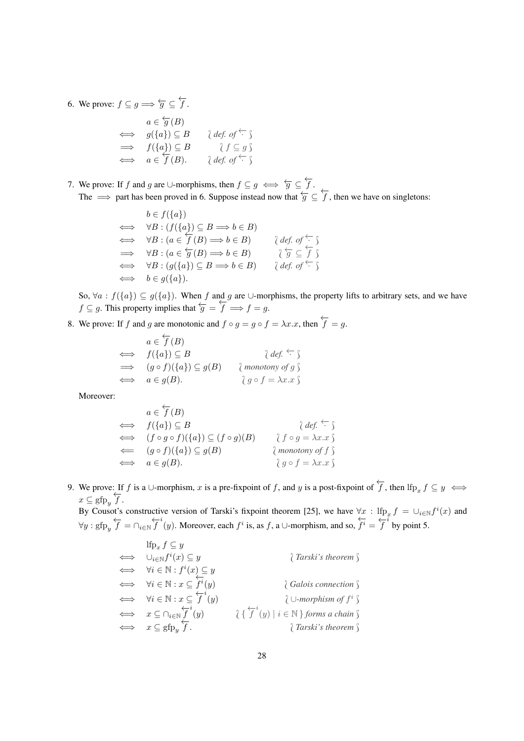6. We prove:  $f \subseteq g \Longrightarrow \overleftarrow{g} \subseteq \overleftarrow{f}$ .

$$
a \in \overleftarrow{g}(B)
$$
  
\n
$$
\iff g(\{a\}) \subseteq B \quad \text{def. of} \hookrightarrow \text{S}
$$
  
\n
$$
\iff f(\{a\}) \subseteq B \quad \text{if } \subseteq g \text{S}
$$
  
\n
$$
\iff a \in \overleftarrow{f}(B). \quad \text{def. of} \hookrightarrow \text{S}
$$

7. We prove: If f and g are ∪-morphisms, then  $f \subseteq g \iff \overleftarrow{g} \subseteq \overleftarrow{f}$ . The  $\Rightarrow$  part has been proved in 6. Suppose instead now that  $\overleftarrow{g} \subseteq \overleftarrow{f}$ , then we have on singletons:

$$
b \in f(\{a\})
$$
  
\n
$$
\iff \forall B : (f(\{a\}) \subseteq B \implies b \in B)
$$
  
\n
$$
\iff \forall B : (a \in \overline{f}(B) \implies b \in B)
$$
  
\n
$$
\iff \forall B : (a \in \overline{g}(B) \implies b \in B)
$$
  
\n
$$
\iff \forall B : (g(\{a\}) \subseteq B \implies b \in B)
$$
  
\n
$$
\iff \forall B : (g(\{a\}) \subseteq B \implies b \in B)
$$
  
\n
$$
\iff b \in g(\{a\}).
$$

So,  $\forall a : f(\{a\}) \subseteq g(\{a\})$ . When f and g are ∪-morphisms, the property lifts to arbitrary sets, and we have  $f \subseteq g$ . This property implies that  $\overleftarrow{g} = \overleftarrow{f} \implies f = g$ .

8. We prove: If f and g are monotonic and  $f \circ g = g \circ f = \lambda x.x$ , then  $\overleftarrow{f} = g$ .

$$
a \in \overleftarrow{f}(B)
$$
  
\n
$$
\iff f(\{a\}) \subseteq B \qquad \text{def.} \qquad \{def. \leq \}
$$
  
\n
$$
\iff (g \circ f)(\{a\}) \subseteq g(B) \qquad \text{ (monotony of } g \text{)}
$$
  
\n
$$
\iff a \in g(B). \qquad \text{if } g \circ f = \lambda x.x \text{ }
$$

Moreover:

$$
a \in \overleftarrow{f}(B)
$$
  
\n
$$
\iff f(\{a\}) \subseteq B \qquad \qquad \text{def. } \leq \text{ }\{g \in \text{def}\}
$$
  
\n
$$
\iff (f \circ g \circ f)(\{a\}) \subseteq (f \circ g)(B) \qquad \text{if } \circ g = \lambda x.x \text{ }\{g \in \text{def. } g \in \text{def. } g \text{ }\{g \in \text{def. } g \text{ }\{g \in \text{def. } g \text{ }\{g \in \text{def. } g \text{ }\{g \in \text{def. } g \text{ }\{g \in \text{def. } g \text{ }\{g \in \text{def. } g \text{ }\{g \in \text{def. } g \text{ }\{g \in \text{def. } g \text{ }\{g \in \text{def. } g \text{ }\{g \in \text{def. } g \text{ }\{g \in \text{def. } g \text{ }\{g \in \text{def. } g \text{ }\{g \in \text{def. } g \text{ }\{g \in \text{def. } g \text{ }\{g \in \text{def. } g \text{ }\{g \in \text{def. } g \text{ }\{g \in \text{def. } g \text{ }\{g \in \text{def. } g \text{ }\{g \in \text{def. } g \text{ }\{g \in \text{def. } g \text{ }\{g \in \text{def. } g \text{ }\{g \in \text{def. } g \text{ }\{g \in \text{def. } g \text{ }\{g \in \text{def. } g \text{ }\{g \in \text{def. } g \text{ }\{g \in \text{def. } g \text{ }\{g \in \text{def. } g \text{ }\{g \in \text{def. } g \text{ }\{g \in \text{def. } g \text{ }\{g \in \text{def. } g \text{ }\{g \in \text{def. } g \text{ }\{g \in \text{def. } g \text{ }\{g \in \text{def. } g \text{ }\{g \in \text{def. } g \text{ }\{g \in \text{def. } g \text{ }\{g \in \text{def. } g \text{ }\{g \in \text{def. } g \text{ }\{g \in \text{def. } g \text{ }\{g \in \text{def. } g \text{ }\{g \in \text{def. } g \text{ }\{g \in \text{def. } g \text{ }\{g
$$

9. We prove: If f is a ∪-morphism, x is a pre-fixpoint of f, and y is a post-fixpoint of  $\overleftarrow{f}$ , then  $\text{lfp}_x f \subseteq y \iff$  $x \subseteq \text{gfp}_y \overleftarrow{f}.$ 

By Cousot's constructive version of Tarski's fixpoint theorem [\[25\]](#page-33-9), we have  $\forall x : \text{lip}_x f = \cup_{i \in \mathbb{N}} f^i(x)$  and  $\forall y : gf_{y} \overleftarrow{f} = \bigcap_{i \in \mathbb{N}} \overleftarrow{f}^{i}(y)$ . Moreover, each  $f^{i}$  is, as  $f$ , a ∪-morphism, and so, ←−  $\overleftarrow{f}^i = \overleftarrow{f}^i$  by point 5.

$$
\text{If } p_x f \subseteq y
$$
\n  
\n⇒  $\bigcup_{i \in \mathbb{N}} f^i(x) \subseteq y$  {*Taski's theorem* }\n  
\n⇒  $\forall i \in \mathbb{N} : f^i(x) \subseteq y$   
\n⇒  $\forall i \in \mathbb{N} : x \subseteq \overleftarrow{f}^i(y)$  {*Galois connection* }\n  
\n⇒  $\forall i \in \mathbb{N} : x \subseteq \overleftarrow{f}^i(y)$  {*Unorphism of f<sup>i</sup> }* }\n  
\n⇒  $x \subseteq \bigcap_{i \in \mathbb{N}} \overleftarrow{f}^i(y)$  { $\{\overleftarrow{f}^i(y) \mid i \in \mathbb{N}\}\}$  forms a chain }\n  
\n⇒  $x \subseteq \text{gfp}_y \overleftarrow{f}.$  {*Taski's theorem* }\n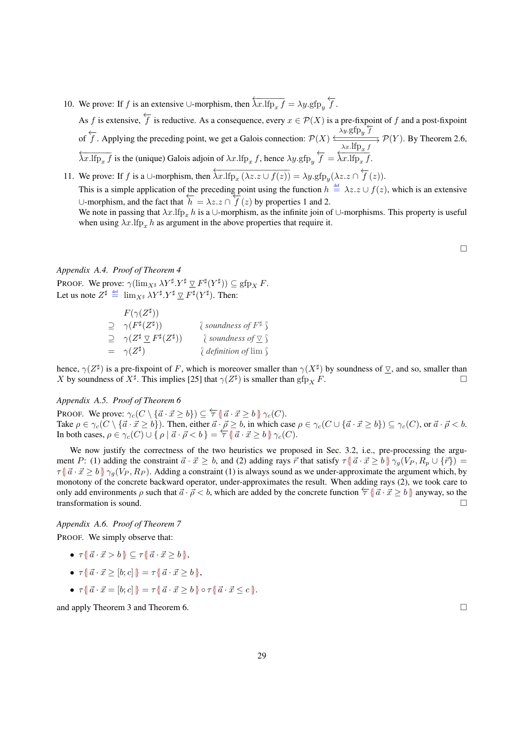10. We prove: If f is an extensive ∪-morphism, then  $\overleftarrow{\lambda x. \text{Ifp}_x f} = \lambda y. \text{gfp}_y \overleftarrow{f}$ .

As f is extensive,  $\overleftarrow{f}$  is reductive. As a consequence, every  $x \in \mathcal{P}(X)$  is a pre-fixpoint of f and a post-fixpoint of  $\overleftarrow{f}$ . Applying the preceding point, we get a Galois connection:  $\mathcal{P}(X) \xrightarrow{\lambda y, gtp_y f}$  $\lambda x$ .lfp<sub>x</sub> f  $\lambda y. \text{gfp}_y \overset{1}{f}$  $P(Y)$ . By Theorem [2](#page-8-5)[.6,](#page-8-10)  $\overleftarrow{\lambda x}.$ If $\overrightarrow{p_x f}$  is the (unique) Galois adjoin of  $\lambda x.$ If $\overrightarrow{p_x f}$ , hence  $\lambda y.$ gf $\overleftarrow{p_y} \stackrel{\leftarrow}{f} = \overleftarrow{\lambda x.}$ If $\overrightarrow{p_x f}$ .

11. We prove: If f is a ∪-morphism, then  $\overleftarrow{\lambda x.lfp_x(\lambda z.z \cup f(z))} = \lambda y. gfp_y(\lambda z.z \cap \overleftarrow{f}(z)).$ This is a simple application of the preceding point using the function  $h \stackrel{\text{def}}{=} \lambda z.z \cup f(z)$ , which is an extensive U-morphism, and the fact that  $h = \lambda z \cdot z \cap f(z)$  by properties 1 and 2. We note in passing that  $\lambda x$ . If  $p_x h$  is a ∪-morphism, as the infinite join of ∪-morphisms. This property is useful when using  $\lambda x$ .lfp<sub>x</sub> h as argument in the above properties that require it.

<span id="page-29-0"></span>*Appendix A.4. Proof of Theorem [4](#page-10-0)*

PROOF. We prove:  $\gamma(\lim_{X^{\sharp}} \lambda Y^{\sharp} . Y^{\sharp} \nabla F^{\sharp} (Y^{\sharp})) \subseteq \text{gfp}_X F$ . Let us note  $Z^{\sharp} \stackrel{\text{def}}{=} \lim_{X^{\sharp}} \lambda Y^{\sharp} . Y^{\sharp} \triangledown F^{\sharp} (Y^{\sharp}).$  Then:

| $F(\gamma(Z^{\sharp}))$                                       |                                     |
|---------------------------------------------------------------|-------------------------------------|
| $\supseteq \gamma(F^{\sharp}(Z^{\sharp}))$                    | $\{$ soundness of $F^{\sharp}$ $\}$ |
| $\supseteq \gamma(Z^{\sharp} \veebar F^{\sharp}(Z^{\sharp}))$ | $\{$ soundness of $\nabla$ $\}$     |
| $= \gamma(Z^{\sharp})$                                        | $\{ definition of \lim \int$        |

hence,  $\gamma(Z^{\sharp})$  is a pre-fixpoint of F, which is moreover smaller than  $\gamma(X^{\sharp})$  by soundness of  $\underline{\nabla}$ , and so, smaller than X by soundness of  $X^{\sharp}$ . This implies [\[25\]](#page-33-9) that  $\gamma(Z^{\sharp})$  is smaller than  $gfp_X F$ .

## <span id="page-29-1"></span>*Appendix A.5. Proof of Theorem [6](#page-12-1)*

PROOF. We prove:  $\gamma_c(C \setminus {\vec{a} \cdot \vec{x} \ge b}) \subseteq \overleftarrow{\tau} {\vec{a} \cdot \vec{x} \ge b} \gamma_c(C)$ . Take  $\rho \in \gamma_c(C \setminus {\{\vec{a} \cdot \vec{x} \ge b\}})$ . Then, either  $\vec{a} \cdot \vec{\rho} \ge b$ , in which case  $\rho \in \gamma_c(C \cup {\{\vec{a} \cdot \vec{x} \ge b\}}) \subseteq \gamma_c(C)$ , or  $\vec{a} \cdot \vec{\rho} < b$ .<br>In both cases,  $\rho \in \gamma_c(C) \cup {\{\rho \mid \vec{a} \cdot \vec{\rho} < b\}} = \pm \sqrt{\{\vec{a} \cdot \vec{x} \ge b\}} \gamma_c(C)$ .

We now justify the correctness of the two heuristics we proposed in Sec. [3.2,](#page-11-0) i.e., pre-processing the argument P: (1) adding the constraint  $\vec{a} \cdot \vec{x} \geq b$ , and (2) adding rays  $\vec{r}$  that satisfy  $\tau \cdot \vec{a} \cdot \vec{x} \geq b \cdot \gamma_q(V_P, R_p \cup \{\vec{r}\}) =$  $\tau \{ \vec{a} \cdot \vec{x} \geq b \} \gamma_q(V_P, R_P)$ . Adding a constraint (1) is always sound as we under-approximate the argument which, by monotony of the concrete backward operator, under-approximates the result. When adding rays (2), we took care to only add environments  $\rho$  such that  $\vec{a} \cdot \vec{\rho} < b$ , which are added by the concrete function  $\forall \vec{a} \cdot \vec{x} \geq b \nparallel$  anyway, so the transformation is sound.

<span id="page-29-2"></span>*Appendix A.6. Proof of Theorem [7](#page-12-3)*

PROOF. We simply observe that:

- $\tau \{\vec{a} \cdot \vec{x} > b\} \subset \tau \{\vec{a} \cdot \vec{x} > b\},\$
- $\tau \{h{d} \cdot \vec{x} \geq [b; c] \| = \tau \{d \cdot \vec{x} \geq b\},\}$
- $\tau \{|\vec{a} \cdot \vec{x} = [b; c] |} = \tau \{|\vec{a} \cdot \vec{x} > b |} \circ \tau \{|\vec{a} \cdot \vec{x} \leq c \}$ .

and apply Theorem [3](#page-8-0) and Theorem [6.](#page-12-1)

 $\Box$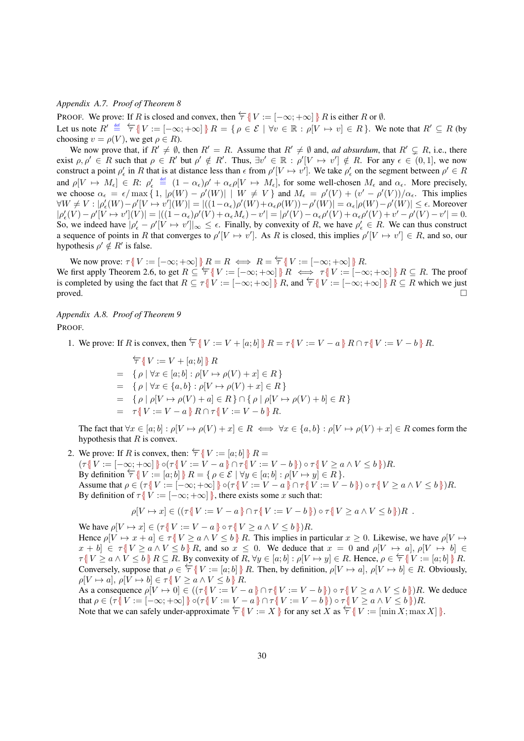#### <span id="page-30-0"></span>*Appendix A.7. Proof of Theorem [8](#page-15-4)*

PROOF. We prove: If R is closed and convex, then  $\overleftarrow{\tau} \parallel V := [-\infty; +\infty] \parallel R$  is either R or  $\emptyset$ . Let us note  $R' \stackrel{\text{def}}{=} \overleftarrow{\tau} \{V := [-\infty; +\infty] \}$   $R = \{ \rho \in \mathcal{E} \mid \forall v \in \mathbb{R} : \rho[V \mapsto v] \in R \}$ . We note that  $R' \subseteq R$  (by choosing  $v = \rho(V)$ , we get  $\rho \in R$ ).

We now prove that, if  $R' \neq \emptyset$ , then  $R' = R$ . Assume that  $R' \neq \emptyset$  and, *ad absurdum*, that  $R' \subseteq R$ , i.e., there exist  $\rho, \rho' \in R$  such that  $\rho \in R'$  but  $\rho' \notin R'$ . Thus,  $\exists v' \in \mathbb{R} : \rho'[V \mapsto v'] \notin R$ . For any  $\epsilon \in (0,1]$ , we now construct a point  $\rho'_\epsilon$  in R that is at distance less than  $\epsilon$  from  $\rho'[V \to v']$ . We take  $\rho'_\epsilon$  on the segment between  $\rho' \in R$ and  $\rho[V \mapsto M_{\epsilon}] \in R$ :  $\rho'_{\epsilon} \stackrel{\text{def}}{=} (1 - \alpha_{\epsilon})\rho' + \alpha_{\epsilon}\rho[V \mapsto M_{\epsilon}]$ , for some well-chosen  $M_{\epsilon}$  and  $\alpha_{\epsilon}$ . More precisely, we choose  $\alpha_{\epsilon} = \epsilon / \max \{ 1, |\rho(W) - \rho'(W)| \mid W \neq V \}$  and  $M_{\epsilon} = \rho'(V) + (v' - \rho'(V))/\alpha_{\epsilon}$ . This implies  $\forall W \neq V : |\rho'_{\epsilon}(W) - \rho'[V \mapsto v'](W)| = |((1 - \alpha_{\epsilon})\rho'(W) + \alpha_{\epsilon}\rho(W)) - \rho'(W)| = \alpha_{\epsilon}|\rho(W) - \rho'(W)| \leq \epsilon$ . Moreover  $|\rho_\epsilon'(V)-\rho'[V \mapsto v'](V)|=|((1-\alpha_\epsilon)\rho'(V)+\alpha_\epsilon M_\epsilon)-v'|=|\rho'(V)-\alpha_\epsilon \rho'(V)+\alpha_\epsilon \rho'(V)+v'-\rho'(V)-v'|=0.$ So, we indeed have  $|\rho'_{\epsilon} - \rho'[V \mapsto v']|_{\infty} \leq \epsilon$ . Finally, by convexity of R, we have  $\rho'_{\epsilon} \in R$ . We can thus construct a sequence of points in R that converges to  $\rho'[V \mapsto v']$ . As R is closed, this implies  $\rho'[V \mapsto v'] \in R$ , and so, our hypothesis  $\rho' \notin R'$  is false.

We now prove:  $\tau \{ V := [-\infty; +\infty] \mid P \in \mathbb{R} \iff R = \overleftarrow{\tau} \{ V := [-\infty; +\infty] \mid P \in \mathbb{R} \}$ We first apply Theorem [2.](#page-8-5)[6,](#page-8-10) to get  $R \subseteq \overleftarrow{\tau} \{V := [-\infty; +\infty] \mid R \iff \tau \{V := [-\infty; +\infty] \mid R \subseteq R$ . The proof is completed by using the fact that  $R \subseteq \tau \setminus V := [-\infty; +\infty]$   $R$ , and  $\overleftarrow{\tau} \setminus V := [-\infty; +\infty]$   $R \subseteq R$  which we just  $\Box$ 

<span id="page-30-1"></span>*Appendix A.8. Proof of Theorem [9](#page-16-1)* PROOF.

1. We prove: If R is convex, then  $\overleftarrow{\tau} \parallel V := V + [a; b] \parallel R = \tau \parallel V := V - a \parallel R \cap \tau \parallel V := V - b \parallel R$ .

$$
\begin{aligned}\n&\quad \forall \bar{f} \{ V := V + [a; b] \} \, R \\
&= \{ \rho \mid \forall x \in [a; b] : \rho[V \mapsto \rho(V) + x] \in R \} \\
&= \{ \rho \mid \forall x \in \{a, b\} : \rho[V \mapsto \rho(V) + x] \in R \} \\
&= \{ \rho \mid \rho[V \mapsto \rho(V) + a] \in R \} \cap \{ \rho \mid \rho[V \mapsto \rho(V) + b] \in R \} \\
&= \tau \{ V := V - a \} \, R \cap \tau \{ V := V - b \} \, R.\n\end{aligned}
$$

The fact that  $\forall x \in [a;b] : \rho[V \mapsto \rho(V) + x] \in R \iff \forall x \in \{a,b\} : \rho[V \mapsto \rho(V) + x] \in R$  comes form the hypothesis that  $R$  is convex.

2. We prove: If R is convex, then:  $\overleftarrow{\tau}$  {| V := [a; b]  $R =$  $(\tau \{ | V := [\infty, +\infty] \} \circ (\tau \{ | V := V - a \} \cap \tau \{ | V := V - b \}) \circ \tau \{ | V \ge a \land V \le b \} )R.$ By definition  $\overleftarrow{\tau} \parallel V := [a; b] \parallel R = \{ \rho \in \mathcal{E} \mid \forall y \in [a; b] : \rho[V \mapsto y] \in R \}.$ Assume that  $\rho \in (\tau \{ || V := [-\infty; +\infty] \} \circ (\tau \{ || V := V - a \} \cap \tau \{ || V := V - b \} ) \circ \tau \{ || V \geq a \land V \leq b \} )R.$ By definition of  $\tau$  { $V := [-\infty; +\infty]$ }, there exists some x such that:

$$
\rho[V \mapsto x] \in ((\tau \{ V := V - a \} \cap \tau \{ V := V - b \}) \circ \tau \{ V \ge a \land V \le b \})R.
$$

We have  $\rho[V \mapsto x] \in (\tau \{ | \ V := V - a | \} \circ \tau \{ | \ V \ge a \land V \le b | \})R.$ 

Hence  $\rho[V \mapsto x + a] \in \tau \{V \ge a \wedge V \le b\}$  R. This implies in particular  $x \ge 0$ . Likewise, we have  $\rho[V \mapsto \tau]$  $x + b$   $\in \tau \{ V \ge a \wedge V \le b \} R$ , and so  $x \le 0$ . We deduce that  $x = 0$  and  $\rho [V \mapsto a]$ ,  $\rho [V \mapsto b] \in \tau \{ V \mapsto b \} R$  $\tau\{V \geq a \land V \leq b\}$   $R \subseteq R$ . By convexity of  $R$ ,  $\forall y \in [a;b] : \rho[V \mapsto y] \in R$ . Hence,  $\rho \in \overleftarrow{\tau} \{V := [a;b] \}$   $R$ . Conversely, suppose that  $\rho \in \overleftarrow{\tau} \, \| V := [a; b] \, \| R$ . Then, by definition,  $\rho[V \mapsto a], \rho[V \mapsto b] \in R$ . Obviously,  $\rho[V \mapsto a], \rho[V \mapsto b] \in \tau \{V \ge a \wedge V \le b\} R.$ 

As a consequence  $\rho[V \mapsto 0] \in ((\tau \{ |V := V - a \} \cap \tau \{ |V := V - b \}) \circ \tau \{ |V \ge a \land V \le b \} )R$ . We deduce that  $\rho \in (\tau \{ \mid V := [-\infty; +\infty] \} \circ (\tau \{ \mid V := V - a \} \cap \tau \{ \mid V := V - b \} ) \circ \tau \{ \mid V \geq a \land V \leq b \} )R.$ Note that we can safely under-approximate  $\overleftarrow{\tau} \parallel V := X \parallel$  for any set X as  $\overleftrightarrow{\tau} \parallel V := [\min X; \max X] \parallel$ .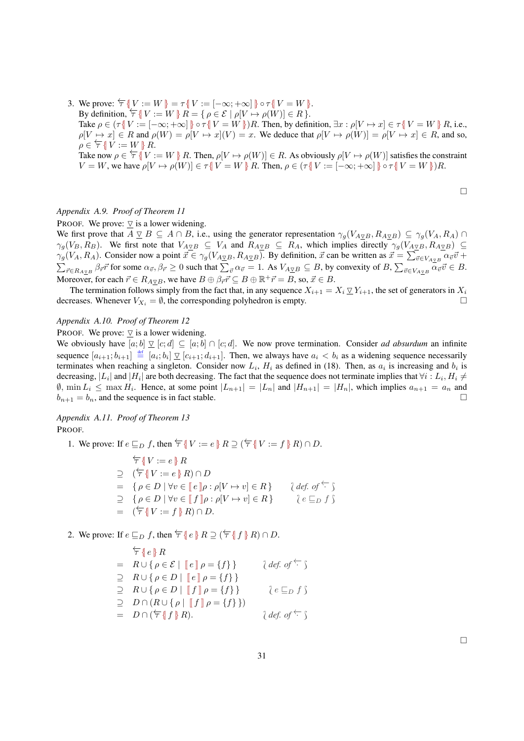3. We prove:  $\overleftarrow{\tau} \parallel V := W \parallel = \tau \parallel V := [-\infty; +\infty] \parallel \circ \tau \parallel V = W \parallel$ . By definition,  $\overleftarrow{\tau} \parallel V := W \parallel R = \{ \rho \in \mathcal{E} \mid \rho[V \mapsto \rho(W)] \in R \}.$ Take  $\rho \in (\tau \{ | \, V := [-\infty; +\infty] \} \circ \tau \{ | \, V = W \, \} )$  R. Then, by definition,  $\exists x : \rho [V \mapsto x] \in \tau \{ | \, V = W \, \}$  R, i.e.,  $\rho[V \mapsto x] \in R$  and  $\rho(W) = \rho[V \mapsto x](V) = x$ . We deduce that  $\rho[V \mapsto \rho(W)] = \rho[V \mapsto x] \in R$ , and so,  $\rho \in \overleftarrow{\tau} \, \Vert V := W \Vert R.$ Take now  $\rho \in \overleftarrow{\tau}$  { $V := W$  } R. Then,  $\rho[V \mapsto \rho(W)] \in R$ . As obviously  $\rho[V \mapsto \rho(W)]$  satisfies the constraint  $V = W$ , we have  $\rho[V \mapsto \rho(W)] \in \tau \{ V = W \}$  R. Then,  $\rho \in (\tau \{ V := [-\infty; +\infty] \} \circ \tau \{ V = W \} )R$ .

 $\Box$ 

#### <span id="page-31-0"></span>*Appendix A.9. Proof of Theorem [11](#page-17-2)*

PROOF. We prove:  $\nabla$  is a lower widening.

We first prove that  $A \subseteq B \subseteq A \cap B$ , i.e., using the generator representation  $\gamma_g(V_{A \nabla B}, R_{A \nabla B}) \subseteq \gamma_g(V_A, R_A) \cap$  $\gamma_g(V_B, R_B)$ . We first note that  $V_{A\triangledown B} \subseteq V_A$  and  $R_{A\triangledown B} \subseteq R_A$ , which implies directly  $\gamma_g(V_{A\triangledown B}, R_{A\triangledown B}) \subseteq$  $\gamma_g(V_A, R_A)$ . Consider now a point  $\vec{x} \in \gamma_g(V_{A \underline{\nabla} B}, R_{A \underline{\nabla} B})$ . By definition,  $\vec{x}$  can be written as  $\vec{x} = \sum_{\vec{v} \in V_{A \underline{\nabla} B}} \alpha_{\vec{v}} \vec{v}$  +  $\sum_{\vec{r} \in R_{A \nabla B}} \beta_{\vec{r}} \vec{r}$  for some  $\alpha_{\vec{v}}, \beta_{\vec{r}} \geq 0$  such that  $\sum_{\vec{v}} \alpha_{\vec{v}} = 1$ . As  $V_{A \nabla B} \subseteq B$ , by convexity of  $B$ ,  $\sum_{\vec{v} \in V_{A \nabla B}} \alpha_{\vec{v}} \vec{v} \in B$ . Moreover, for each  $\vec{r} \in R_{A \nabla B}$ , we have  $B \oplus \beta_{\vec{r}} \vec{r} \subseteq B \oplus \mathbb{R}^+ \vec{r} = B$ , so,  $\vec{x} \in B$ .

The termination follows simply from the fact that, in any sequence  $X_{i+1} = X_i \nabla Y_{i+1}$ , the set of generators in  $X_i$ decreases. Whenever  $V_{X_i} = \emptyset$ , the corresponding polyhedron is empty.

## <span id="page-31-1"></span>*Appendix A.10. Proof of Theorem [12](#page-18-2)*

PROOF. We prove:  $\nabla$  is a lower widening.

We obviously have  $[a; b] \nabla [c; d] \subseteq [a; b] \cap [c; d]$ . We now prove termination. Consider *ad absurdum* an infinite sequence  $[a_{i+1}; b_{i+1}] \stackrel{\text{def}}{=} [a_i; b_i] \triangledown [c_{i+1}; d_{i+1}]$ . Then, we always have  $a_i < b_i$  as a widening sequence necessarily terminates when reaching a singleton. Consider now  $L_i$ ,  $H_i$  as defined in [\(18\)](#page-18-3). Then, as  $a_i$  is increasing and  $b_i$  is decreasing,  $|L_i|$  and  $|H_i|$  are both decreasing. The fact that the sequence does not terminate implies that  $\forall i: L_i, H_i \neq$  $\emptyset$ ,  $\min L_i \leq \max H_i$ . Hence, at some point  $|L_{n+1}| = |L_n|$  and  $|H_{n+1}| = |H_n|$ , which implies  $a_{n+1} = a_n$  and  $b_{n+1} = b_n$ , and the sequence is in fact stable.

<span id="page-31-2"></span>*Appendix A.11. Proof of Theorem [13](#page-19-1)* PROOF.

1. We prove: If  $e \sqsubseteq_D f$ , then  $\overleftarrow{\tau} \parallel V := e \parallel R \supseteq (\overleftarrow{\tau} \parallel V := f \parallel R) \cap D$ .

$$
\begin{aligned}\n\overleftarrow{\tau} \{ V := e \} & R \\
\supseteq \quad & (\overleftarrow{\tau} \{ V := e \} \} & R \\
\supseteq \quad & (\overleftarrow{\tau} \{ V := e \} \} & R) \cap D \\
\supseteq \quad & \{ \rho \in D \mid \forall v \in [\![ e \!] \rho : \rho[V \mapsto v] \in R \} \qquad \text{def. of } \stackrel{\leftarrow}{\cdot} \text{ } \\ \supseteq \quad & \{ \rho \in D \mid \forall v \in [\![ f \!] \rho : \rho[V \mapsto v] \in R \} \qquad \text{def. of } \stackrel{\leftarrow}{\cdot} \text{ } \\ \supseteq \quad & \{ \nabla \{ V := f \} \} & R) \cap D.\n\end{aligned}
$$

2. We prove: If  $e \sqsubset_{D} f$ , then  $\overleftarrow{\tau} \{e \mid R \supset (\overleftarrow{\tau} \{f \mid R) \cap D\}$ .

$$
\overleftarrow{\tau} \{e\} R
$$
\n
$$
= R \cup \{ \rho \in \mathcal{E} \mid [e] \mid \rho = \{f\} \} \qquad \text{def. of } \overleftarrow{\cdot} \}
$$
\n
$$
\supseteq R \cup \{ \rho \in D \mid [e] \mid \rho = \{f\} \} \qquad \text{def. of } \overleftarrow{\cdot} \}
$$
\n
$$
\supseteq R \cup \{ \rho \in D \mid [f] \mid \rho = \{f\} \} \qquad \text{def. of } \overleftarrow{\cdot} \}
$$
\n
$$
\supseteq D \cap (R \cup \{ \rho \mid [f] \mid \rho = \{f\} \}) \qquad \text{def. of } \overleftarrow{\cdot} \}
$$
\n
$$
= D \cap (\overleftarrow{\tau} \{f\} \mid R). \qquad \text{def. of } \overleftarrow{\cdot} \}
$$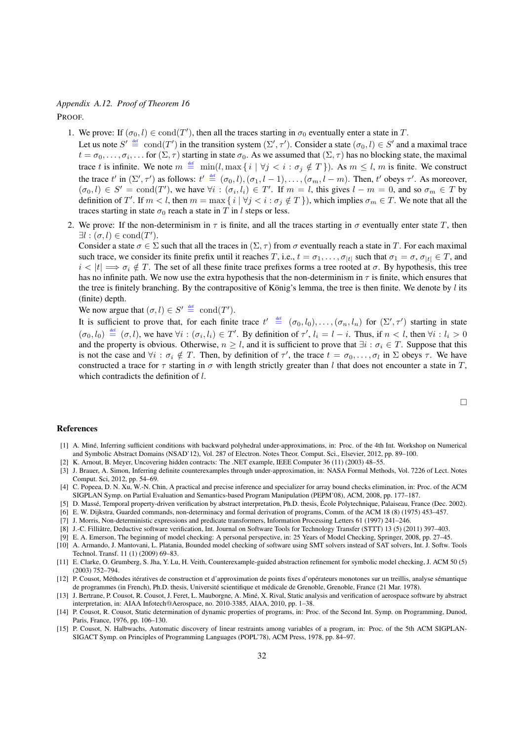### <span id="page-32-15"></span>*Appendix A.12. Proof of Theorem [16](#page-22-2)*

PROOF.

- 1. We prove: If  $(\sigma_0, l) \in \text{cond}(T')$ , then all the traces starting in  $\sigma_0$  eventually enter a state in T.
	- Let us note  $S' \triangleq \text{cond}(T')$  in the transition system  $(\Sigma', \tau')$ . Consider a state  $(\sigma_0, l) \in S'$  and a maximal trace  $t = \sigma_0, \ldots, \sigma_i, \ldots$  for  $(\Sigma, \tau)$  starting in state  $\sigma_0$ . As we assumed that  $(\Sigma, \tau)$  has no blocking state, the maximal trace t is infinite. We note  $m \stackrel{\text{def}}{=} \min(l, \max\{i \mid \forall j < i : \sigma_j \notin T\})$ . As  $m \le l, m$  is finite. We construct the trace t' in  $(\Sigma', \tau')$  as follows:  $t' \stackrel{\text{def}}{=} (\sigma_0, l), (\sigma_1, l - 1), \ldots, (\sigma_m, l - m)$ . Then, t' obeys  $\tau'$ . As moreover,  $(\sigma_0, l) \in S' = \text{cond}(T')$ , we have  $\forall i : (\sigma_i, l_i) \in T'$ . If  $m = l$ , this gives  $l - m = 0$ , and so  $\sigma_m \in T$  by definition of T'. If  $m < l$ , then  $m = \max\{i \mid \forall j < i : \sigma_j \notin T\}$ ), which implies  $\sigma_m \in T$ . We note that all the traces starting in state  $\sigma_0$  reach a state in T in l steps or less.
- 2. We prove: If the non-determinism in  $\tau$  is finite, and all the traces starting in  $\sigma$  eventually enter state T, then  $\exists l : (\sigma, l) \in \text{cond}(T').$

Consider a state  $\sigma \in \Sigma$  such that all the traces in  $(\Sigma, \tau)$  from  $\sigma$  eventually reach a state in T. For each maximal such trace, we consider its finite prefix until it reaches T, i.e.,  $t = \sigma_1, \ldots, \sigma_{|t|}$  such that  $\sigma_1 = \sigma, \sigma_{|t|} \in T$ , and  $i < |t| \Longrightarrow \sigma_i \notin T$ . The set of all these finite trace prefixes forms a tree rooted at  $\sigma$ . By hypothesis, this tree has no infinite path. We now use the extra hypothesis that the non-determinism in  $\tau$  is finite, which ensures that the tree is finitely branching. By the contrapositive of König's lemma, the tree is then finite. We denote by  $l$  its (finite) depth.

We now argue that  $(\sigma, l) \in S' \stackrel{\text{def}}{=} \text{cond}(T')$ .

It is sufficient to prove that, for each finite trace  $t' \stackrel{\text{def}}{=} (\sigma_0, l_0), \ldots, (\sigma_n, l_n)$  for  $(\Sigma', \tau')$  starting in state  $(\sigma_0, l_0) \stackrel{\text{def}}{=} (\sigma, l)$ , we have  $\forall i : (\sigma_i, l_i) \in T'$ . By definition of  $\tau', l_i = l - i$ . Thus, if  $n < l$ , then  $\forall i : l_i > 0$ and the property is obvious. Otherwise,  $n \geq l$ , and it is sufficient to prove that  $\exists i : \sigma_i \in T$ . Suppose that this is not the case and  $\forall i : \sigma_i \notin T$ . Then, by definition of  $\tau'$ , the trace  $t = \sigma_0, \ldots, \sigma_l$  in  $\Sigma$  obeys  $\tau$ . We have constructed a trace for  $\tau$  starting in  $\sigma$  with length strictly greater than l that does not encounter a state in T, which contradicts the definition of l.

 $\Box$ 

#### References

- <span id="page-32-0"></span>[1] A. Mine, Inferring sufficient conditions with backward polyhedral under-approximations, in: Proc. of the 4th Int. Workshop on Numerical ´ and Symbolic Abstract Domains (NSAD'12), Vol. 287 of Electron. Notes Theor. Comput. Sci., Elsevier, 2012, pp. 89–100.
- <span id="page-32-1"></span>[2] K. Arnout, B. Meyer, Uncovering hidden contracts: The .NET example, IEEE Computer 36 (11) (2003) 48–55.
- <span id="page-32-2"></span>[3] J. Brauer, A. Simon, Inferring definite counterexamples through under-approximation, in: NASA Formal Methods, Vol. 7226 of Lect. Notes Comput. Sci, 2012, pp. 54–69.
- <span id="page-32-3"></span>[4] C. Popeea, D. N. Xu, W.-N. Chin, A practical and precise inference and specializer for array bound checks elimination, in: Proc. of the ACM SIGPLAN Symp. on Partial Evaluation and Semantics-based Program Manipulation (PEPM'08), ACM, 2008, pp. 177–187.
- <span id="page-32-4"></span>[5] D. Massé, Temporal property-driven verification by abstract interpretation, Ph.D. thesis, École Polytechnique, Palaiseau, France (Dec. 2002).
- <span id="page-32-5"></span>[6] E. W. Dijkstra, Guarded commands, non-determinacy and formal derivation of programs, Comm. of the ACM 18 (8) (1975) 453–457.
- <span id="page-32-6"></span>[7] J. Morris, Non-deterministic expressions and predicate transformers, Information Processing Letters 61 (1997) 241–246.
- <span id="page-32-7"></span>[8] J.-C. Filliâtre, Deductive software verification, Int. Journal on Software Tools for Technology Transfer (STTT) 13 (5) (2011) 397–403.
- <span id="page-32-8"></span>[9] E. A. Emerson, The beginning of model checking: A personal perspective, in: 25 Years of Model Checking, Springer, 2008, pp. 27–45.
- <span id="page-32-9"></span>[10] A. Armando, J. Mantovani, L. Platania, Bounded model checking of software using SMT solvers instead of SAT solvers, Int. J. Softw. Tools Technol. Transf. 11 (1) (2009) 69–83.
- <span id="page-32-10"></span>[11] E. Clarke, O. Grumberg, S. Jha, Y. Lu, H. Veith, Counterexample-guided abstraction refinement for symbolic model checking, J. ACM 50 (5) (2003) 752–794.
- <span id="page-32-11"></span>[12] P. Cousot, Méthodes itératives de construction et d'approximation de points fixes d'opérateurs monotones sur un treillis, analyse sémantique de programmes (in French), Ph.D. thesis, Université scientifique et médicale de Grenoble, Grenoble, France (21 Mar. 1978).
- <span id="page-32-12"></span>[13] J. Bertrane, P. Cousot, R. Cousot, J. Feret, L. Mauborgne, A. Mine, X. Rival, Static analysis and verification of aerospace software by abstract ´ interpretation, in: AIAA Infotech@Aerospace, no. 2010-3385, AIAA, 2010, pp. 1–38.
- <span id="page-32-13"></span>[14] P. Cousot, R. Cousot, Static determination of dynamic properties of programs, in: Proc. of the Second Int. Symp. on Programming, Dunod, Paris, France, 1976, pp. 106–130.
- <span id="page-32-14"></span>[15] P. Cousot, N. Halbwachs, Automatic discovery of linear restraints among variables of a program, in: Proc. of the 5th ACM SIGPLAN-SIGACT Symp. on Principles of Programming Languages (POPL'78), ACM Press, 1978, pp. 84–97.